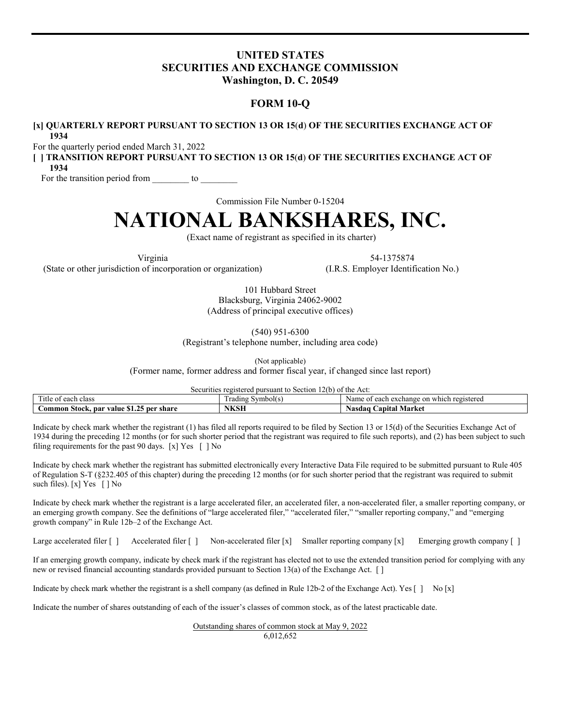# **UNITED STATES SECURITIES AND EXCHANGE COMMISSION Washington, D. C. 20549**

# **FORM 10-Q**

## **[x] QUARTERLY REPORT PURSUANT TO SECTION 13 OR 15**(**d**) **OF THE SECURITIES EXCHANGE ACT OF 1934**

For the quarterly period ended March 31, 2022

**[ ] TRANSITION REPORT PURSUANT TO SECTION 13 OR 15**(**d**) **OF THE SECURITIES EXCHANGE ACT OF 1934**

For the transition period from to

Commission File Number 0-15204

# **NATIONAL BANKSHARES, INC.**

(Exact name of registrant as specified in its charter)

Virginia (State or other jurisdiction of incorporation or organization)

54-1375874 (I.R.S. Employer Identification No.)

101 Hubbard Street Blacksburg, Virginia 24062-9002 (Address of principal executive offices)

(540) 951-6300

(Registrant's telephone number, including area code)

(Not applicable)

(Former name, former address and former fiscal year, if changed since last report)

Securities registered pursuant to Section 12(b) of the Act:

| $\sim$<br>each<br>utle of<br>class                           | vmbol(s)<br>radıng | on<br>$\therefore$ exchange.<br>registereg<br>Name<br>each<br>which<br>- OT |
|--------------------------------------------------------------|--------------------|-----------------------------------------------------------------------------|
| <b>b</b> per share<br>ommon<br>par<br>stock.<br>value .<br>. | $70$ T<br>лам      | Market<br>∪apıtal<br>Nasdaɑ                                                 |

Indicate by check mark whether the registrant (1) has filed all reports required to be filed by Section 13 or 15(d) of the Securities Exchange Act of 1934 during the preceding 12 months (or for such shorter period that the registrant was required to file such reports), and (2) has been subject to such filing requirements for the past 90 days. [x] Yes [ ] No

Indicate by check mark whether the registrant has submitted electronically every Interactive Data File required to be submitted pursuant to Rule 405 of Regulation S-T (§232.405 of this chapter) during the preceding 12 months (or for such shorter period that the registrant was required to submit such files). [x] Yes [ ] No

Indicate by check mark whether the registrant is a large accelerated filer, an accelerated filer, a non-accelerated filer, a smaller reporting company, or an emerging growth company. See the definitions of "large accelerated filer," "accelerated filer," "smaller reporting company," and "emerging growth company" in Rule 12b–2 of the Exchange Act.

Large accelerated filer [ ] Accelerated filer [ ] Non-accelerated filer [x] Smaller reporting company [x] Emerging growth company [ ]

If an emerging growth company, indicate by check mark if the registrant has elected not to use the extended transition period for complying with any new or revised financial accounting standards provided pursuant to Section 13(a) of the Exchange Act. [ ]

Indicate by check mark whether the registrant is a shell company (as defined in Rule 12b-2 of the Exchange Act). Yes  $\begin{bmatrix} 1 \\ N_0 \end{bmatrix}$  No  $\begin{bmatrix} x \\ x \end{bmatrix}$ 

Indicate the number of shares outstanding of each of the issuer's classes of common stock, as of the latest practicable date.

Outstanding shares of common stock at May 9, 2022

6,012,652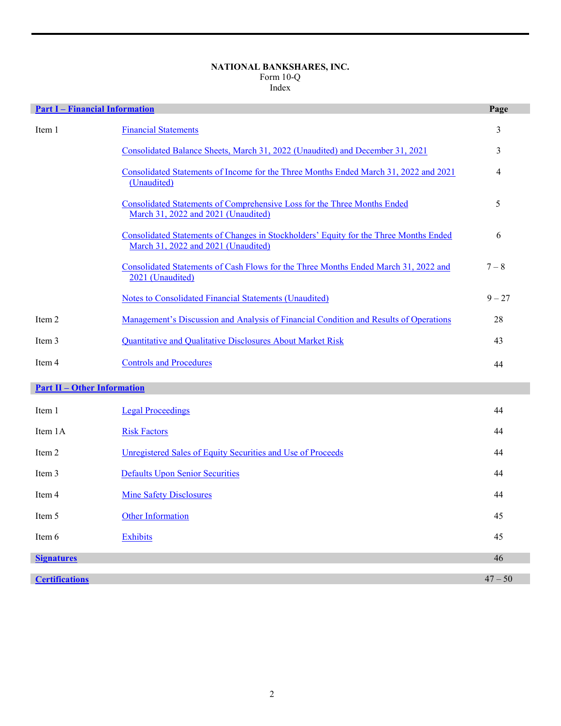## **NATIONAL BANKSHARES, INC.**  Form 10-Q

Index

| <b>Part I - Financial Information</b> |                                                                                                                              | Page      |
|---------------------------------------|------------------------------------------------------------------------------------------------------------------------------|-----------|
| Item 1                                | <b>Financial Statements</b>                                                                                                  | 3         |
|                                       | Consolidated Balance Sheets, March 31, 2022 (Unaudited) and December 31, 2021                                                | 3         |
|                                       | Consolidated Statements of Income for the Three Months Ended March 31, 2022 and 2021<br>(Unaudited)                          | 4         |
|                                       | Consolidated Statements of Comprehensive Loss for the Three Months Ended<br>March 31, 2022 and 2021 (Unaudited)              | 5         |
|                                       | Consolidated Statements of Changes in Stockholders' Equity for the Three Months Ended<br>March 31, 2022 and 2021 (Unaudited) | 6         |
|                                       | Consolidated Statements of Cash Flows for the Three Months Ended March 31, 2022 and<br>2021 (Unaudited)                      | $7 - 8$   |
|                                       | Notes to Consolidated Financial Statements (Unaudited)                                                                       | $9 - 27$  |
| Item 2                                | <u>Management's Discussion and Analysis of Financial Condition and Results of Operations</u>                                 | 28        |
| Item 3                                | Quantitative and Qualitative Disclosures About Market Risk                                                                   | 43        |
| Item 4                                | <b>Controls and Procedures</b>                                                                                               | 44        |
| <u>Part II - Other Information</u>    |                                                                                                                              |           |
| Item 1                                | <b>Legal Proceedings</b>                                                                                                     | 44        |
| Item 1A                               | <b>Risk Factors</b>                                                                                                          | 44        |
| Item 2                                | Unregistered Sales of Equity Securities and Use of Proceeds                                                                  | 44        |
| Item 3                                | <b>Defaults Upon Senior Securities</b>                                                                                       | 44        |
| Item 4                                | <b>Mine Safety Disclosures</b>                                                                                               | 44        |
| Item 5                                | Other Information                                                                                                            | 45        |
| Item 6                                | <b>Exhibits</b>                                                                                                              | 45        |
| <b>Signatures</b>                     |                                                                                                                              | 46        |
| <b>Certifications</b>                 |                                                                                                                              | $47 - 50$ |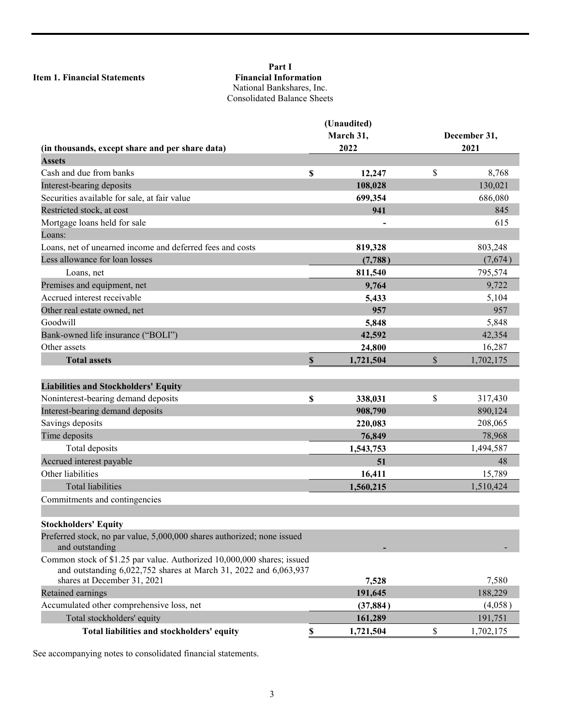## <span id="page-2-1"></span><span id="page-2-0"></span>**Item 1. Financial Statements**

# **Part I**<br>Financial Information National Bankshares, Inc. Consolidated Balance Sheets

|                                                                         |              | (Unaudited) |              |           |  |  |  |
|-------------------------------------------------------------------------|--------------|-------------|--------------|-----------|--|--|--|
|                                                                         |              | March 31,   | December 31, |           |  |  |  |
| (in thousands, except share and per share data)                         |              | 2022        |              | 2021      |  |  |  |
| <b>Assets</b>                                                           |              |             |              |           |  |  |  |
| Cash and due from banks                                                 | \$           | 12,247      | \$           | 8,768     |  |  |  |
| Interest-bearing deposits                                               |              | 108,028     |              | 130,021   |  |  |  |
| Securities available for sale, at fair value                            |              | 699,354     |              | 686,080   |  |  |  |
| Restricted stock, at cost                                               |              | 941         |              | 845       |  |  |  |
| Mortgage loans held for sale                                            |              |             |              | 615       |  |  |  |
| Loans:                                                                  |              |             |              |           |  |  |  |
| Loans, net of unearned income and deferred fees and costs               |              | 819,328     |              | 803,248   |  |  |  |
| Less allowance for loan losses                                          |              | (7,788)     |              | (7,674)   |  |  |  |
| Loans, net                                                              |              | 811,540     |              | 795,574   |  |  |  |
| Premises and equipment, net                                             |              | 9,764       |              | 9,722     |  |  |  |
| Accrued interest receivable                                             |              | 5,433       |              | 5,104     |  |  |  |
| Other real estate owned, net                                            |              | 957         |              | 957       |  |  |  |
| Goodwill                                                                |              | 5,848       |              | 5,848     |  |  |  |
| Bank-owned life insurance ("BOLI")                                      |              | 42,592      |              | 42,354    |  |  |  |
| Other assets                                                            |              | 24,800      |              | 16,287    |  |  |  |
| <b>Total assets</b>                                                     | $\mathbb{S}$ | 1,721,504   | \$           | 1,702,175 |  |  |  |
|                                                                         |              |             |              |           |  |  |  |
| <b>Liabilities and Stockholders' Equity</b>                             |              |             |              |           |  |  |  |
| Noninterest-bearing demand deposits                                     | \$           | 338,031     | \$           | 317,430   |  |  |  |
| Interest-bearing demand deposits                                        |              | 908,790     |              | 890,124   |  |  |  |
| Savings deposits                                                        |              | 220,083     |              | 208,065   |  |  |  |
| Time deposits                                                           |              | 76,849      |              | 78,968    |  |  |  |
| Total deposits                                                          |              | 1,543,753   |              | 1,494,587 |  |  |  |
| Accrued interest payable                                                |              | 51          |              | 48        |  |  |  |
| Other liabilities                                                       |              | 16,411      |              | 15,789    |  |  |  |
| <b>Total liabilities</b>                                                |              | 1,560,215   |              | 1,510,424 |  |  |  |
| Commitments and contingencies                                           |              |             |              |           |  |  |  |
|                                                                         |              |             |              |           |  |  |  |
| <b>Stockholders' Equity</b>                                             |              |             |              |           |  |  |  |
| Preferred stock, no par value, 5,000,000 shares authorized; none issued |              |             |              |           |  |  |  |
| and outstanding                                                         |              |             |              |           |  |  |  |
| Common stock of \$1.25 par value. Authorized 10,000,000 shares; issued  |              |             |              |           |  |  |  |
| and outstanding 6,022,752 shares at March 31, 2022 and 6,063,937        |              |             |              |           |  |  |  |
| shares at December 31, 2021                                             |              | 7,528       |              | 7,580     |  |  |  |
| Retained earnings                                                       |              | 191,645     |              | 188,229   |  |  |  |
| Accumulated other comprehensive loss, net                               |              | (37, 884)   |              | (4,058)   |  |  |  |
| Total stockholders' equity                                              |              | 161,289     |              | 191,751   |  |  |  |
| Total liabilities and stockholders' equity                              | $\mathbb S$  | 1,721,504   | \$           | 1,702,175 |  |  |  |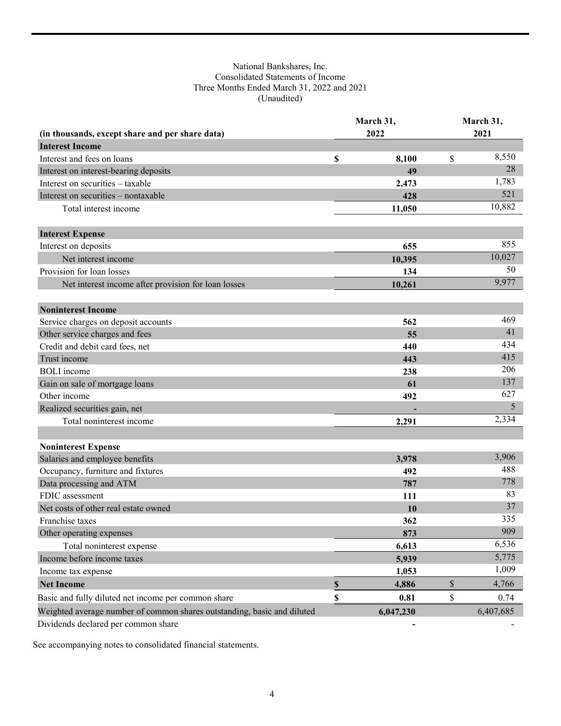## National Bankshares, Inc. Consolidated Statements of Income Three Months Ended March 31, 2022 and 2021 (Unaudited)

<span id="page-3-1"></span><span id="page-3-0"></span>

|                                                                         |                    | March 31, | March 31, |           |  |  |
|-------------------------------------------------------------------------|--------------------|-----------|-----------|-----------|--|--|
| (in thousands, except share and per share data)                         |                    | 2022      |           | 2021      |  |  |
| <b>Interest Income</b>                                                  |                    |           |           |           |  |  |
| Interest and fees on loans                                              | \$                 | 8,100     | \$        | 8,550     |  |  |
| Interest on interest-bearing deposits                                   |                    | 49        |           | 28        |  |  |
| Interest on securities - taxable                                        |                    | 2,473     |           | 1,783     |  |  |
| Interest on securities - nontaxable                                     |                    | 428       |           | 521       |  |  |
| Total interest income                                                   |                    | 11,050    |           | 10,882    |  |  |
| <b>Interest Expense</b>                                                 |                    |           |           |           |  |  |
| Interest on deposits                                                    |                    | 655       |           | 855       |  |  |
| Net interest income                                                     |                    | 10,395    |           | 10,027    |  |  |
| Provision for loan losses                                               |                    | 134       |           | 50        |  |  |
| Net interest income after provision for loan losses                     |                    | 10,261    |           | 9,977     |  |  |
| <b>Noninterest Income</b>                                               |                    |           |           |           |  |  |
| Service charges on deposit accounts                                     |                    | 562       |           | 469       |  |  |
| Other service charges and fees                                          |                    | 55        |           | 41        |  |  |
| Credit and debit card fees, net                                         |                    | 440       |           | 434       |  |  |
| Trust income                                                            |                    | 443       |           | 415       |  |  |
| <b>BOLI</b> income                                                      |                    | 238       |           | 206       |  |  |
| Gain on sale of mortgage loans                                          |                    | 61        |           | 137       |  |  |
| Other income                                                            |                    | 492       |           | 627       |  |  |
| Realized securities gain, net                                           |                    |           |           | 5         |  |  |
| Total noninterest income                                                |                    | 2,291     |           | 2,334     |  |  |
| <b>Noninterest Expense</b>                                              |                    |           |           |           |  |  |
| Salaries and employee benefits                                          |                    | 3,978     |           | 3,906     |  |  |
| Occupancy, furniture and fixtures                                       |                    | 492       |           | 488       |  |  |
| Data processing and ATM                                                 |                    | 787       |           | 778       |  |  |
| FDIC assessment                                                         |                    | 111       |           | 83        |  |  |
| Net costs of other real estate owned                                    |                    | 10        |           | 37        |  |  |
| Franchise taxes                                                         |                    | 362       |           | 335       |  |  |
| Other operating expenses                                                |                    | 873       |           | 909       |  |  |
| Total noninterest expense                                               |                    | 6,613     |           | 6,536     |  |  |
| Income before income taxes                                              |                    | 5,939     |           | 5,775     |  |  |
| Income tax expense                                                      |                    | 1,053     |           | 1,009     |  |  |
| <b>Net Income</b>                                                       | $\pmb{\mathbb{S}}$ | 4,886     | \$        | 4,766     |  |  |
| Basic and fully diluted net income per common share                     | \$                 | 0.81      | \$        | 0.74      |  |  |
| Weighted average number of common shares outstanding, basic and diluted |                    | 6,047,230 |           | 6,407,685 |  |  |
| Dividends declared per common share                                     |                    |           |           |           |  |  |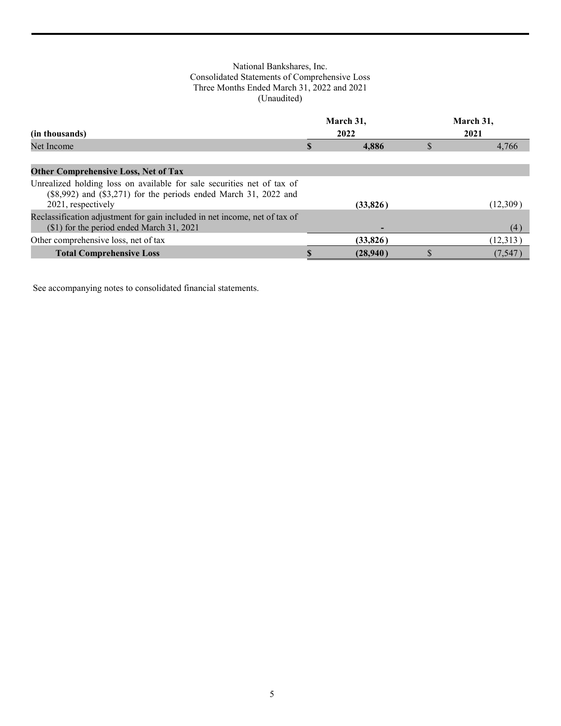## National Bankshares, Inc. Consolidated Statements of Comprehensive Loss Three Months Ended March 31, 2022 and 2021 (Unaudited)

| (in thousands)                                                                                                                                                       | March 31,<br>2022 | March 31,<br>2021 |
|----------------------------------------------------------------------------------------------------------------------------------------------------------------------|-------------------|-------------------|
| Net Income                                                                                                                                                           | 4,886             | 4,766             |
| <b>Other Comprehensive Loss, Net of Tax</b>                                                                                                                          |                   |                   |
| Unrealized holding loss on available for sale securities net of tax of<br>$(\$8,992)$ and $(\$3,271)$ for the periods ended March 31, 2022 and<br>2021, respectively | (33,826)          | (12,309)          |
| Reclassification adjustment for gain included in net income, net of tax of<br>$(\$1)$ for the period ended March 31, 2021                                            |                   | (4)               |
| Other comprehensive loss, net of tax                                                                                                                                 | (33,826)          | (12,313)          |
| <b>Total Comprehensive Loss</b>                                                                                                                                      | (28,940)          | (7, 547)          |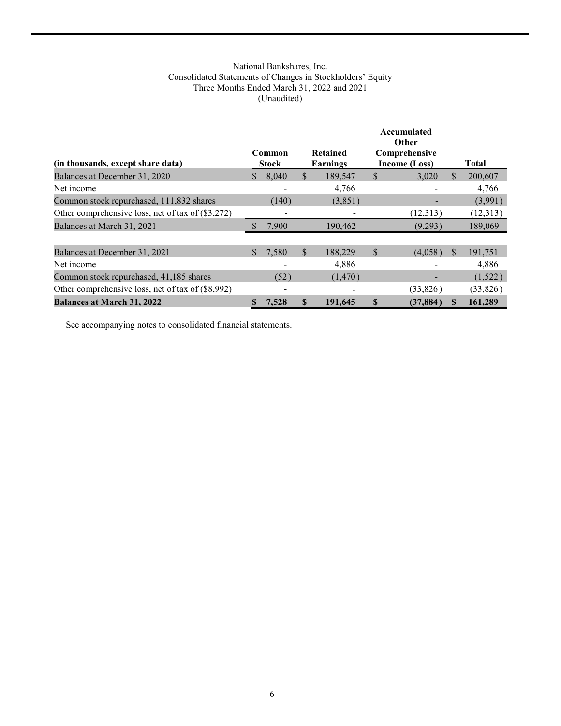## National Bankshares, Inc. Consolidated Statements of Changes in Stockholders' Equity Three Months Ended March 31, 2022 and 2021 (Unaudited)

<span id="page-5-0"></span>

|                                                   |                          |    |                             |               | Accumulated<br><b>Other</b>    |              |              |
|---------------------------------------------------|--------------------------|----|-----------------------------|---------------|--------------------------------|--------------|--------------|
| (in thousands, except share data)                 | Common<br><b>Stock</b>   |    | <b>Retained</b><br>Earnings |               | Comprehensive<br>Income (Loss) |              | <b>Total</b> |
| Balances at December 31, 2020                     | 8,040                    | \$ | 189,547                     | S             | 3,020                          | <sup>S</sup> | 200,607      |
| Net income                                        |                          |    | 4,766                       |               |                                |              | 4,766        |
| Common stock repurchased, 111,832 shares          | (140)                    |    | (3,851)                     |               |                                |              | (3,991)      |
| Other comprehensive loss, net of tax of (\$3,272) |                          |    |                             |               | (12,313)                       |              | (12,313)     |
| Balances at March 31, 2021                        | \$<br>7,900              |    | 190,462                     |               | (9,293)                        |              | 189,069      |
| Balances at December 31, 2021                     | 7,580                    | \$ | 188,229                     | <sup>\$</sup> | (4,058)                        | \$           | 191,751      |
| Net income                                        |                          |    | 4,886                       |               |                                |              | 4,886        |
| Common stock repurchased, 41,185 shares           | (52)                     |    | (1,470)                     |               |                                |              | (1,522)      |
| Other comprehensive loss, net of tax of (\$8,992) | $\overline{\phantom{0}}$ |    |                             |               | (33,826)                       |              | (33,826)     |
| <b>Balances at March 31, 2022</b>                 | 7,528                    | S  | 191,645                     |               | (37, 884)                      | S            | 161,289      |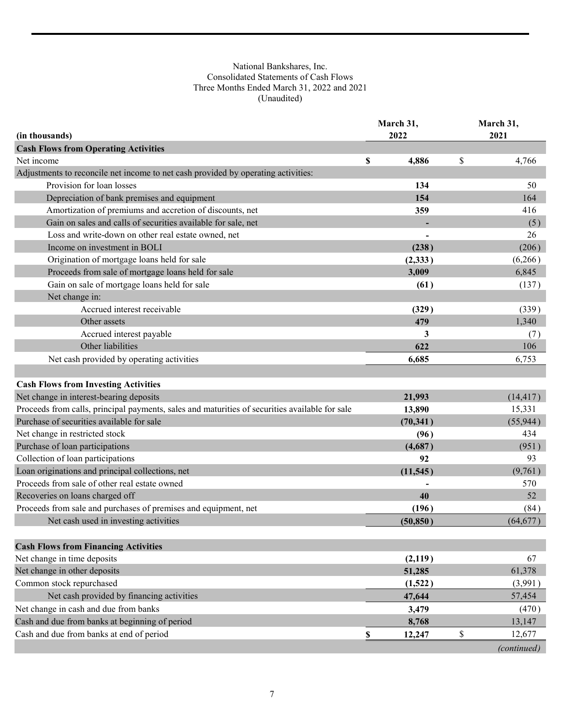## National Bankshares, Inc. Consolidated Statements of Cash Flows Three Months Ended March 31, 2022 and 2021 (Unaudited)

<span id="page-6-0"></span>

|                                                                                                | March 31,    | March 31, |             |  |  |
|------------------------------------------------------------------------------------------------|--------------|-----------|-------------|--|--|
| (in thousands)                                                                                 | 2022         | 2021      |             |  |  |
| <b>Cash Flows from Operating Activities</b>                                                    |              |           |             |  |  |
| Net income                                                                                     | \$<br>4,886  | \$        | 4,766       |  |  |
| Adjustments to reconcile net income to net cash provided by operating activities:              |              |           |             |  |  |
| Provision for loan losses                                                                      | 134          |           | 50          |  |  |
| Depreciation of bank premises and equipment                                                    | 154          |           | 164         |  |  |
| Amortization of premiums and accretion of discounts, net                                       | 359          |           | 416         |  |  |
| Gain on sales and calls of securities available for sale, net                                  |              |           | (5)         |  |  |
| Loss and write-down on other real estate owned, net                                            |              |           | 26          |  |  |
| Income on investment in BOLI                                                                   | (238)        |           | (206)       |  |  |
| Origination of mortgage loans held for sale                                                    | (2, 333)     |           | (6,266)     |  |  |
| Proceeds from sale of mortgage loans held for sale                                             | 3,009        |           | 6,845       |  |  |
| Gain on sale of mortgage loans held for sale                                                   | (61)         |           | (137)       |  |  |
| Net change in:                                                                                 |              |           |             |  |  |
| Accrued interest receivable                                                                    | (329)        |           | (339)       |  |  |
| Other assets                                                                                   | 479          |           | 1,340       |  |  |
| Accrued interest payable                                                                       | 3            |           | (7)         |  |  |
| Other liabilities                                                                              | 622          |           | 106         |  |  |
| Net cash provided by operating activities                                                      | 6,685        |           | 6,753       |  |  |
|                                                                                                |              |           |             |  |  |
| <b>Cash Flows from Investing Activities</b>                                                    |              |           |             |  |  |
| Net change in interest-bearing deposits                                                        | 21,993       |           | (14, 417)   |  |  |
| Proceeds from calls, principal payments, sales and maturities of securities available for sale | 13,890       |           | 15,331      |  |  |
| Purchase of securities available for sale                                                      | (70, 341)    |           | (55, 944)   |  |  |
| Net change in restricted stock                                                                 | (96)         |           | 434         |  |  |
| Purchase of loan participations                                                                | (4,687)      |           | (951)       |  |  |
| Collection of loan participations                                                              | 92           |           | 93          |  |  |
| Loan originations and principal collections, net                                               | (11, 545)    |           | (9,761)     |  |  |
| Proceeds from sale of other real estate owned                                                  |              |           | 570         |  |  |
| Recoveries on loans charged off                                                                | 40           |           | 52          |  |  |
| Proceeds from sale and purchases of premises and equipment, net                                | (196)        |           | (84)        |  |  |
| Net cash used in investing activities                                                          | (50, 850)    |           | (64, 677)   |  |  |
|                                                                                                |              |           |             |  |  |
| <b>Cash Flows from Financing Activities</b>                                                    |              |           |             |  |  |
| Net change in time deposits                                                                    | (2,119)      |           | 67          |  |  |
| Net change in other deposits                                                                   | 51,285       |           | 61,378      |  |  |
| Common stock repurchased                                                                       | (1,522)      |           | (3,991)     |  |  |
| Net cash provided by financing activities                                                      | 47,644       |           | 57,454      |  |  |
| Net change in cash and due from banks                                                          | 3,479        |           | (470)       |  |  |
| Cash and due from banks at beginning of period                                                 | 8,768        |           | 13,147      |  |  |
| Cash and due from banks at end of period                                                       | \$<br>12,247 | \$        | 12,677      |  |  |
|                                                                                                |              |           |             |  |  |
|                                                                                                |              |           | (continued) |  |  |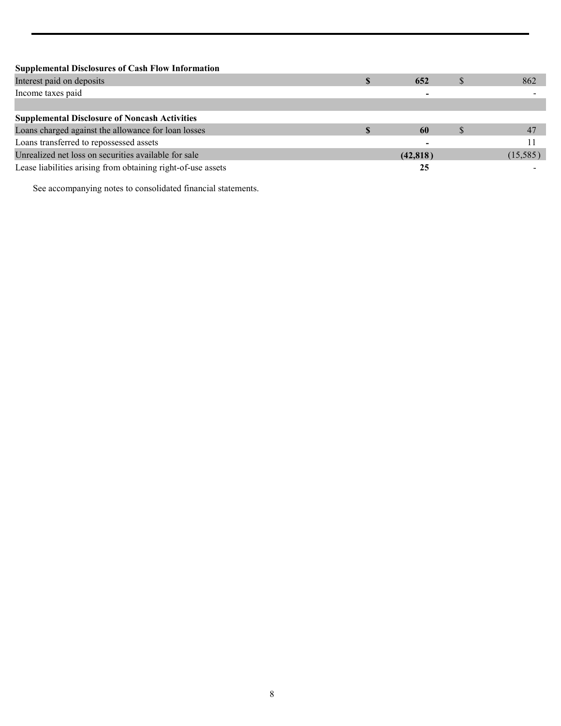| <b>Supplemental Disclosures of Cash Flow Information</b>     |           |          |
|--------------------------------------------------------------|-----------|----------|
| Interest paid on deposits                                    | 652       | 862      |
| Income taxes paid                                            |           |          |
|                                                              |           |          |
| <b>Supplemental Disclosure of Noncash Activities</b>         |           |          |
| Loans charged against the allowance for loan losses          | 60        | 47       |
| Loans transferred to repossessed assets                      |           |          |
| Unrealized net loss on securities available for sale         | (42, 818) | (15,585) |
| Lease liabilities arising from obtaining right-of-use assets | 25        |          |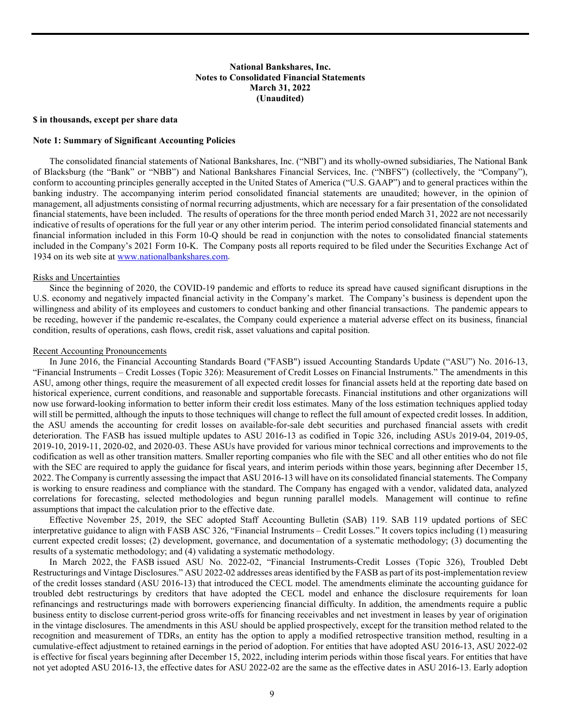## **National Bankshares, Inc. Notes to Consolidated Financial Statements March 31, 2022 (Unaudited)**

#### <span id="page-8-0"></span>**\$ in thousands, except per share data**

#### **Note 1: Summary of Significant Accounting Policies**

The consolidated financial statements of National Bankshares, Inc. ("NBI") and its wholly-owned subsidiaries, The National Bank of Blacksburg (the "Bank" or "NBB") and National Bankshares Financial Services, Inc. ("NBFS") (collectively, the "Company"), conform to accounting principles generally accepted in the United States of America ("U.S. GAAP") and to general practices within the banking industry. The accompanying interim period consolidated financial statements are unaudited; however, in the opinion of management, all adjustments consisting of normal recurring adjustments, which are necessary for a fair presentation of the consolidated financial statements, have been included. The results of operations for the three month period ended March 31, 2022 are not necessarily indicative of results of operations for the full year or any other interim period. The interim period consolidated financial statements and financial information included in this Form 10-Q should be read in conjunction with the notes to consolidated financial statements included in the Company's 2021 Form 10-K. The Company posts all reports required to be filed under the Securities Exchange Act of 1934 on its web site at [www.nationalbankshares.com.](http://www.nationalbankshares.com/)

#### Risks and Uncertainties

Since the beginning of 2020, the COVID-19 pandemic and efforts to reduce its spread have caused significant disruptions in the U.S. economy and negatively impacted financial activity in the Company's market. The Company's business is dependent upon the willingness and ability of its employees and customers to conduct banking and other financial transactions. The pandemic appears to be receding, however if the pandemic re-escalates, the Company could experience a material adverse effect on its business, financial condition, results of operations, cash flows, credit risk, asset valuations and capital position.

#### Recent Accounting Pronouncements

In June 2016, the Financial Accounting Standards Board ("FASB") issued Accounting Standards Update ("ASU") No. 2016-13, "Financial Instruments – Credit Losses (Topic 326): Measurement of Credit Losses on Financial Instruments." The amendments in this ASU, among other things, require the measurement of all expected credit losses for financial assets held at the reporting date based on historical experience, current conditions, and reasonable and supportable forecasts. Financial institutions and other organizations will now use forward-looking information to better inform their credit loss estimates. Many of the loss estimation techniques applied today will still be permitted, although the inputs to those techniques will change to reflect the full amount of expected credit losses. In addition, the ASU amends the accounting for credit losses on available-for-sale debt securities and purchased financial assets with credit deterioration. The FASB has issued multiple updates to ASU 2016-13 as codified in Topic 326, including ASUs 2019-04, 2019-05, 2019-10, 2019-11, 2020-02, and 2020-03. These ASUs have provided for various minor technical corrections and improvements to the codification as well as other transition matters. Smaller reporting companies who file with the SEC and all other entities who do not file with the SEC are required to apply the guidance for fiscal years, and interim periods within those years, beginning after December 15, 2022. The Company is currently assessing the impact that ASU 2016-13 will have on its consolidated financial statements. The Company is working to ensure readiness and compliance with the standard. The Company has engaged with a vendor, validated data, analyzed correlations for forecasting, selected methodologies and begun running parallel models. Management will continue to refine assumptions that impact the calculation prior to the effective date.

Effective November 25, 2019, the SEC adopted Staff Accounting Bulletin (SAB) 119. SAB 119 updated portions of SEC interpretative guidance to align with FASB ASC 326, "Financial Instruments – Credit Losses." It covers topics including (1) measuring current expected credit losses; (2) development, governance, and documentation of a systematic methodology; (3) documenting the results of a systematic methodology; and (4) validating a systematic methodology.

In March 2022, the FASB issued ASU No. 2022-02, "Financial Instruments-Credit Losses (Topic 326), Troubled Debt Restructurings and Vintage Disclosures." ASU 2022-02 addresses areas identified by the FASB as part of its post-implementation review of the credit losses standard (ASU 2016-13) that introduced the CECL model. The amendments eliminate the accounting guidance for troubled debt restructurings by creditors that have adopted the CECL model and enhance the disclosure requirements for loan refinancings and restructurings made with borrowers experiencing financial difficulty. In addition, the amendments require a public business entity to disclose current-period gross write-offs for financing receivables and net investment in leases by year of origination in the vintage disclosures. The amendments in this ASU should be applied prospectively, except for the transition method related to the recognition and measurement of TDRs, an entity has the option to apply a modified retrospective transition method, resulting in a cumulative-effect adjustment to retained earnings in the period of adoption. For entities that have adopted ASU 2016-13, ASU 2022-02 is effective for fiscal years beginning after December 15, 2022, including interim periods within those fiscal years. For entities that have not yet adopted ASU 2016-13, the effective dates for ASU 2022-02 are the same as the effective dates in ASU 2016-13. Early adoption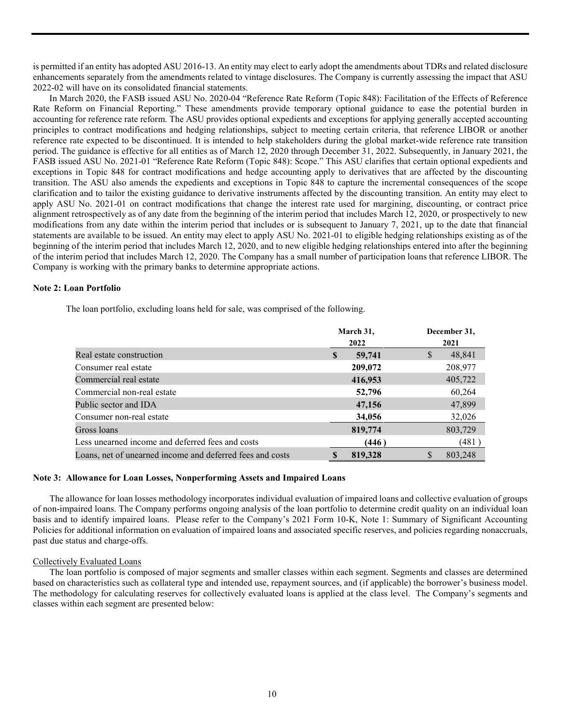is permitted if an entity has adopted ASU 2016-13. An entity may elect to early adopt the amendments about TDRs and related disclosure enhancements separately from the amendments related to vintage disclosures. The Company is currently assessing the impact that ASU 2022-02 will have on its consolidated financial statements.

In March 2020, the FASB issued ASU No. 2020-04 "Reference Rate Reform (Topic 848): Facilitation of the Effects of Reference Rate Reform on Financial Reporting." These amendments provide temporary optional guidance to ease the potential burden in accounting for reference rate reform. The ASU provides optional expedients and exceptions for applying generally accepted accounting principles to contract modifications and hedging relationships, subject to meeting certain criteria, that reference LIBOR or another reference rate expected to be discontinued. It is intended to help stakeholders during the global market-wide reference rate transition period. The guidance is effective for all entities as of March 12, 2020 through December 31, 2022. Subsequently, in January 2021, the FASB issued ASU No. 2021-01 "Reference Rate Reform (Topic 848): Scope." This ASU clarifies that certain optional expedients and exceptions in Topic 848 for contract modifications and hedge accounting apply to derivatives that are affected by the discounting transition. The ASU also amends the expedients and exceptions in Topic 848 to capture the incremental consequences of the scope clarification and to tailor the existing guidance to derivative instruments affected by the discounting transition. An entity may elect to apply ASU No. 2021-01 on contract modifications that change the interest rate used for margining, discounting, or contract price alignment retrospectively as of any date from the beginning of the interim period that includes March 12, 2020, or prospectively to new modifications from any date within the interim period that includes or is subsequent to January 7, 2021, up to the date that financial statements are available to be issued. An entity may elect to apply ASU No. 2021-01 to eligible hedging relationships existing as of the beginning of the interim period that includes March 12, 2020, and to new eligible hedging relationships entered into after the beginning of the interim period that includes March 12, 2020. The Company has a small number of participation loans that reference LIBOR. The Company is working with the primary banks to determine appropriate actions.

#### **Note 2: Loan Portfolio**

The loan portfolio, excluding loans held for sale, was comprised of the following.

|                                                           | March 31,   | December 31, |
|-----------------------------------------------------------|-------------|--------------|
|                                                           | 2022        | 2021         |
| Real estate construction                                  | 59,741<br>S | 48,841<br>S  |
| Consumer real estate                                      | 209,072     | 208,977      |
| Commercial real estate                                    | 416,953     | 405,722      |
| Commercial non-real estate                                | 52,796      | 60,264       |
| Public sector and IDA                                     | 47,156      | 47,899       |
| Consumer non-real estate                                  | 34,056      | 32,026       |
| Gross loans                                               | 819,774     | 803,729      |
| Less unearned income and deferred fees and costs          | (446)       | (481)        |
| Loans, net of unearned income and deferred fees and costs | 819.328     | S<br>803,248 |

#### **Note 3: Allowance for Loan Losses, Nonperforming Assets and Impaired Loans**

The allowance for loan losses methodology incorporates individual evaluation of impaired loans and collective evaluation of groups of non-impaired loans. The Company performs ongoing analysis of the loan portfolio to determine credit quality on an individual loan basis and to identify impaired loans. Please refer to the Company's 2021 Form 10-K, Note 1: Summary of Significant Accounting Policies for additional information on evaluation of impaired loans and associated specific reserves, and policies regarding nonaccruals, past due status and charge-offs.

#### Collectively Evaluated Loans

The loan portfolio is composed of major segments and smaller classes within each segment. Segments and classes are determined based on characteristics such as collateral type and intended use, repayment sources, and (if applicable) the borrower's business model. The methodology for calculating reserves for collectively evaluated loans is applied at the class level. The Company's segments and classes within each segment are presented below: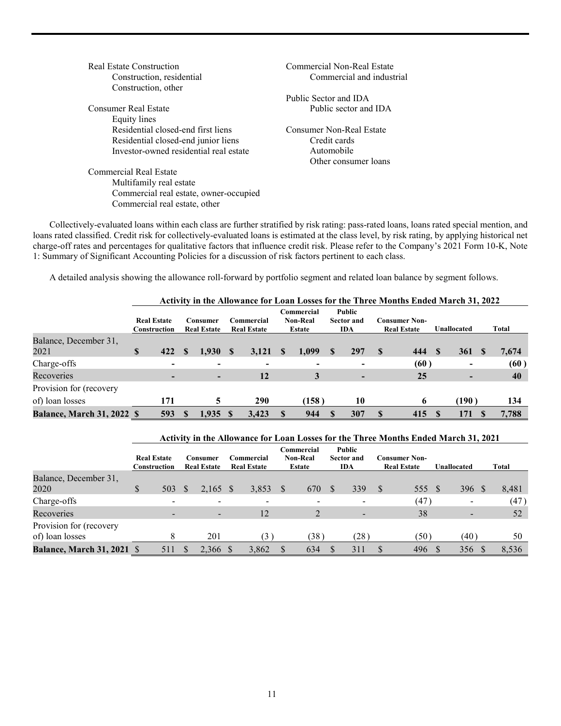| Real Estate Construction<br>Construction, residential<br>Construction, other | Commercial Non-Real Estate<br>Commercial and industrial |
|------------------------------------------------------------------------------|---------------------------------------------------------|
|                                                                              | Public Sector and IDA                                   |
| <b>Consumer Real Estate</b><br>Equity lines                                  | Public sector and IDA                                   |
| Residential closed-end first liens                                           | <b>Consumer Non-Real Estate</b>                         |
| Residential closed-end junior liens                                          | Credit cards                                            |
| Investor-owned residential real estate                                       | Automobile                                              |
|                                                                              | Other consumer loans                                    |
| Commercial Real Estate                                                       |                                                         |
| Multifamily real estate                                                      |                                                         |
| Commercial real estate, owner-occupied                                       |                                                         |
| Commercial real estate, other                                                |                                                         |

Collectively-evaluated loans within each class are further stratified by risk rating: pass-rated loans, loans rated special mention, and loans rated classified. Credit risk for collectively-evaluated loans is estimated at the class level, by risk rating, by applying historical net charge-off rates and percentages for qualitative factors that influence credit risk. Please refer to the Company's 2021 Form 10-K, Note 1: Summary of Significant Accounting Policies for a discussion of risk factors pertinent to each class.

A detailed analysis showing the allowance roll-forward by portfolio segment and related loan balance by segment follows.

|                                   | Activity in the Allowance for Loan Losses for the Three Months Ended March 31, 2022 |                    |    |                    |      |                    |  |                 |   |                   |   |                      |          |                    |  |       |
|-----------------------------------|-------------------------------------------------------------------------------------|--------------------|----|--------------------|------|--------------------|--|-----------------|---|-------------------|---|----------------------|----------|--------------------|--|-------|
|                                   |                                                                                     |                    |    |                    |      |                    |  | Commercial      |   | <b>Public</b>     |   |                      |          |                    |  |       |
|                                   |                                                                                     | <b>Real Estate</b> |    | Consumer           |      | Commercial         |  | <b>Non-Real</b> |   | <b>Sector and</b> |   | <b>Consumer Non-</b> |          |                    |  |       |
|                                   |                                                                                     | Construction       |    | <b>Real Estate</b> |      | <b>Real Estate</b> |  | Estate          |   | <b>IDA</b>        |   | <b>Real Estate</b>   |          | <b>Unallocated</b> |  | Total |
| Balance, December 31,             |                                                                                     |                    |    |                    |      |                    |  |                 |   |                   |   |                      |          |                    |  |       |
| 2021                              | S                                                                                   | 422                | S. | 1.930              | - \$ | 3.121              |  | 1.099           | S | 297               | S | 444                  | <b>S</b> | 361                |  | 7,674 |
| Charge-offs                       |                                                                                     |                    |    |                    |      |                    |  |                 |   |                   |   | (60)                 |          |                    |  | (60)  |
| Recoveries                        |                                                                                     |                    |    |                    |      | 12                 |  | 3               |   |                   |   | 25                   |          |                    |  | 40    |
| Provision for (recovery           |                                                                                     |                    |    |                    |      |                    |  |                 |   |                   |   |                      |          |                    |  |       |
| of) loan losses                   |                                                                                     | 171                |    | 5                  |      | 290                |  | (158)           |   | 10                |   | 6                    |          | (190)              |  | 134   |
| <b>Balance, March 31, 2022 \$</b> |                                                                                     | 593                |    | 1.935              |      | 3,423              |  | 944             |   | 307               | S | 415                  |          | 171                |  | 7,788 |

## **Activity in the Allowance for Loan Losses for the Three Months Ended March 31, 2021**

|                                   | <b>Real Estate</b><br>Construction |   | Consumer<br><b>Real Estate</b> | Commercial<br><b>Real Estate</b> | Commercial<br><b>Non-Real</b><br><b>Estate</b> |          | <b>Public</b><br><b>Sector and</b><br><b>IDA</b> |    | <b>Consumer Non-</b><br><b>Real Estate</b> | <b>Unallocated</b> | Total |
|-----------------------------------|------------------------------------|---|--------------------------------|----------------------------------|------------------------------------------------|----------|--------------------------------------------------|----|--------------------------------------------|--------------------|-------|
| Balance, December 31,             |                                    |   |                                |                                  |                                                |          |                                                  |    |                                            |                    |       |
| 2020                              | 503                                | S | 2,165                          | 3,853                            | 670                                            | <b>S</b> | 339                                              | -S | 555                                        | 396S               | 8,481 |
| Charge-offs                       |                                    |   |                                |                                  |                                                |          |                                                  |    | (47)                                       |                    | (47)  |
| Recoveries                        |                                    |   | $\overline{\phantom{a}}$       | 12                               |                                                |          |                                                  |    | 38                                         |                    | 52    |
| Provision for (recovery           |                                    |   |                                |                                  |                                                |          |                                                  |    |                                            |                    |       |
| of) loan losses                   |                                    |   | 201                            | (3)                              | (38)                                           |          | (28)                                             |    | (50)                                       | (40)               | 50    |
| <b>Balance, March 31, 2021</b> \$ | 511                                |   | 2,366 \$                       | 3,862                            | 634                                            |          | 311                                              |    | 496                                        | 356                | 8,536 |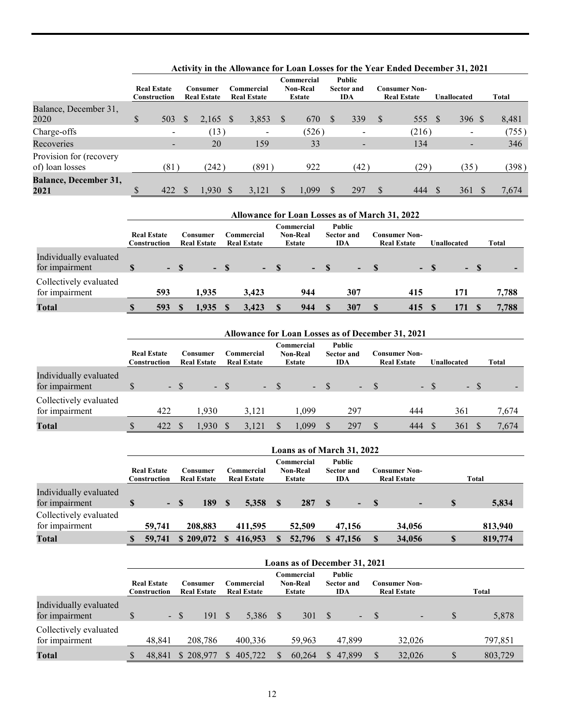|                                            |   | <b>Real Estate</b><br>Construction | Consumer<br><b>Real Estate</b> | Commercial<br><b>Real Estate</b> | Commercial<br><b>Non-Real</b><br><b>Estate</b> |   | <b>Public</b><br><b>Sector and</b><br><b>IDA</b> |    | <b>Consumer Non-</b><br><b>Real Estate</b> | <b>Unallocated</b>       | Total |
|--------------------------------------------|---|------------------------------------|--------------------------------|----------------------------------|------------------------------------------------|---|--------------------------------------------------|----|--------------------------------------------|--------------------------|-------|
| Balance, December 31,<br>2020              | S | 503                                | \$<br>2,165 \$                 | 3,853                            | 670                                            | S | 339                                              | -S | 555 \$                                     | 396S                     | 8,481 |
| Charge-offs                                |   | $\overline{\phantom{a}}$           | (13)                           | $\overline{\phantom{a}}$         | (526)                                          |   |                                                  |    | (216)                                      | $\overline{\phantom{a}}$ | (755) |
| Recoveries                                 |   |                                    | 20                             | 159                              | 33                                             |   |                                                  |    | 134                                        |                          | 346   |
| Provision for (recovery<br>of) loan losses |   | (81)                               | (242)                          | (891)                            | 922                                            |   | (42)                                             |    | (29)                                       | (35)                     | (398) |
| <b>Balance, December 31,</b><br>2021       |   | 422                                | $1,930 \text{ S}$              | 3,121                            | 1.099                                          |   | 297                                              | S  | 444                                        | 361                      | 7,674 |

# **Activity in the Allowance for Loan Losses for the Year Ended December 31, 2021**

|                                          |                                    |       |                                |        | <b>Allowance for Loan Losses as of March 31, 2022</b> |        |                                         |                              |   |                                            |        |             |       |                          |
|------------------------------------------|------------------------------------|-------|--------------------------------|--------|-------------------------------------------------------|--------|-----------------------------------------|------------------------------|---|--------------------------------------------|--------|-------------|-------|--------------------------|
|                                          | <b>Real Estate</b><br>Construction |       | Consumer<br><b>Real Estate</b> |        | Commercial<br><b>Real Estate</b>                      |        | Commercial<br><b>Non-Real</b><br>Estate | Public<br>Sector and<br>IDA. |   | <b>Consumer Non-</b><br><b>Real Estate</b> |        | Unallocated |       | Total                    |
| Individually evaluated<br>for impairment |                                    | $-$ S |                                | $-$ \$ |                                                       | $-$ \$ | $-$ \$                                  | $\blacksquare$               |   |                                            | $-$ \$ |             | $-$ S | $\overline{\phantom{0}}$ |
| Collectively evaluated<br>for impairment | 593                                |       | 1.935                          |        | 3,423                                                 |        | 944                                     | 307                          |   | 415                                        |        | 171         |       | 7,788                    |
| Total                                    | 593                                |       | 1,935                          |        | 3,423                                                 |        | 944                                     | 307                          | S | 415                                        |        | 171         |       | 7,788                    |

|                                          |   |                                    |        |                                |        |                                  |       |                                  |                                                  |   | <b>Allowance for Loan Losses as of December 31, 2021</b> |        |             |       |       |
|------------------------------------------|---|------------------------------------|--------|--------------------------------|--------|----------------------------------|-------|----------------------------------|--------------------------------------------------|---|----------------------------------------------------------|--------|-------------|-------|-------|
|                                          |   | <b>Real Estate</b><br>Construction |        | Consumer<br><b>Real Estate</b> |        | Commercial<br><b>Real Estate</b> |       | Commercial<br>Non-Real<br>Estate | <b>Public</b><br><b>Sector and</b><br><b>IDA</b> |   | <b>Consumer Non-</b><br><b>Real Estate</b>               |        | Unallocated | Total |       |
| Individually evaluated<br>for impairment |   |                                    | $-$ \$ |                                | $-$ \$ |                                  | $- S$ | $-$ \$                           | $-$ \$                                           |   |                                                          | $-$ \$ | $-$ \$      |       |       |
| Collectively evaluated<br>for impairment |   | 422                                |        | 1.930                          |        | 3.121                            |       | 1.099                            | 297                                              |   | 444                                                      |        | 361         |       | 7,674 |
| <b>Total</b>                             | J | 422                                |        | 1.930                          |        | 3.121                            |       | 1.099                            | 297                                              | S | 444                                                      |        | 361         |       | 7.674 |

|                                          |   | Loans as of March 31, 2022         |       |                                |          |                                  |    |                                         |  |                                           |          |                                            |   |         |
|------------------------------------------|---|------------------------------------|-------|--------------------------------|----------|----------------------------------|----|-----------------------------------------|--|-------------------------------------------|----------|--------------------------------------------|---|---------|
|                                          |   | <b>Real Estate</b><br>Construction |       | Consumer<br><b>Real Estate</b> |          | Commercial<br><b>Real Estate</b> |    | Commercial<br><b>Non-Real</b><br>Estate |  | <b>Public</b><br><b>Sector and</b><br>IDA |          | <b>Consumer Non-</b><br><b>Real Estate</b> |   | Total   |
| Individually evaluated<br>for impairment | S |                                    | $-$ S | 189                            | <b>S</b> | 5.358                            |    | 287                                     |  | -                                         | $\sim$ S | -                                          | S | 5,834   |
| Collectively evaluated<br>for impairment |   | 59,741                             |       | 208,883                        |          | 411,595                          |    | 52,509                                  |  | 47,156                                    |          | 34,056                                     |   | 813,940 |
| <b>Total</b>                             |   | 59,741                             |       | \$209,072                      | S.       | 416,953                          | S. | 52,796                                  |  | \$47,156                                  |          | 34,056                                     | S | 819,774 |

|                                          |   | Loans as of December 31, 2021      |       |                                |    |                                  |    |                                         |     |                                           |       |                                            |    |         |
|------------------------------------------|---|------------------------------------|-------|--------------------------------|----|----------------------------------|----|-----------------------------------------|-----|-------------------------------------------|-------|--------------------------------------------|----|---------|
|                                          |   | <b>Real Estate</b><br>Construction |       | Consumer<br><b>Real Estate</b> |    | Commercial<br><b>Real Estate</b> |    | Commercial<br><b>Non-Real</b><br>Estate |     | Public<br><b>Sector and</b><br><b>IDA</b> |       | <b>Consumer Non-</b><br><b>Real Estate</b> |    | Total   |
| Individually evaluated<br>for impairment | S |                                    | $-$ S | 191                            | S. | 5,386                            |    | 301                                     | - S |                                           | $- S$ | $\overline{\phantom{a}}$                   | \$ | 5,878   |
| Collectively evaluated<br>for impairment |   | 48.841                             |       | 208,786                        |    | 400.336                          |    | 59.963                                  |     | 47,899                                    |       | 32,026                                     |    | 797,851 |
| <b>Total</b>                             |   | 48.841                             |       | \$208,977                      | S. | 405,722                          | S. | 60,264                                  |     | \$47,899                                  |       | 32,026                                     | \$ | 803,729 |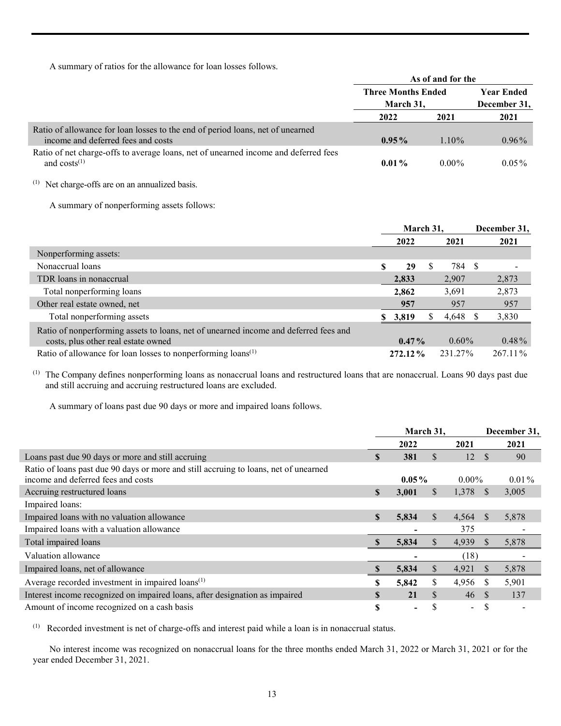A summary of ratios for the allowance for loan losses follows.

|                                                                                                                      |                           | As of and for the |              |
|----------------------------------------------------------------------------------------------------------------------|---------------------------|-------------------|--------------|
|                                                                                                                      | <b>Three Months Ended</b> | <b>Year Ended</b> |              |
|                                                                                                                      | March 31,                 |                   | December 31, |
|                                                                                                                      | 2022                      | 2021              | 2021         |
| Ratio of allowance for loan losses to the end of period loans, net of unearned<br>income and deferred fees and costs | $0.95\%$                  | $1.10\%$          | $0.96\%$     |
| Ratio of net charge-offs to average loans, net of unearned income and deferred fees<br>and $costs^{(1)}$             | $0.01\%$                  | $0.00\%$          | $0.05\%$     |

(1) Net charge-offs are on an annualized basis.

l

A summary of nonperforming assets follows:

|                                                                                      |   | March 31,  |   |          |      | December 31, |
|--------------------------------------------------------------------------------------|---|------------|---|----------|------|--------------|
|                                                                                      |   | 2022       |   | 2021     |      | 2021         |
| Nonperforming assets:                                                                |   |            |   |          |      |              |
| Nonaccrual loans                                                                     | S | 29         | S | 784      | - \$ |              |
| TDR loans in nonaccrual                                                              |   | 2,833      |   | 2,907    |      | 2,873        |
| Total nonperforming loans                                                            |   | 2,862      |   | 3,691    |      | 2,873        |
| Other real estate owned, net                                                         |   | 957        |   | 957      |      | 957          |
| Total nonperforming assets                                                           |   | \$3,819    | S | 4,648    |      | 3,830        |
| Ratio of nonperforming assets to loans, net of unearned income and deferred fees and |   |            |   |          |      |              |
| costs, plus other real estate owned                                                  |   | $0.47\%$   |   | $0.60\%$ |      | $0.48\%$     |
| Ratio of allowance for loan losses to nonperforming $\text{loans}^{(1)}$             |   | $272.12\%$ |   | 231.27%  |      | $267.11\%$   |

(1) The Company defines nonperforming loans as nonaccrual loans and restructured loans that are nonaccrual. Loans 90 days past due and still accruing and accruing restructured loans are excluded.

A summary of loans past due 90 days or more and impaired loans follows.

|                                                                                                                            |    | March 31,                |               |                 |              | December 31, |
|----------------------------------------------------------------------------------------------------------------------------|----|--------------------------|---------------|-----------------|--------------|--------------|
|                                                                                                                            |    | 2022                     |               | 2021            |              | 2021         |
| Loans past due 90 days or more and still accruing                                                                          | S. | 381                      |               | 12 <sup>°</sup> |              | 90           |
| Ratio of loans past due 90 days or more and still accruing to loans, net of unearned<br>income and deferred fees and costs |    | $0.05\%$                 |               | $0.00\%$        |              | $0.01\%$     |
| Accruing restructured loans                                                                                                | \$ | 3,001                    | <sup>S</sup>  | $1,378$ \$      |              | 3,005        |
| Impaired loans:                                                                                                            |    |                          |               |                 |              |              |
| Impaired loans with no valuation allowance                                                                                 | \$ | 5,834                    | \$.           | 4,564           | <sup>S</sup> | 5,878        |
| Impaired loans with a valuation allowance                                                                                  |    |                          |               | 375             |              |              |
| Total impaired loans                                                                                                       |    | 5,834                    |               | 4,939           |              | 5,878        |
| Valuation allowance                                                                                                        |    |                          |               | (18)            |              |              |
| Impaired loans, net of allowance                                                                                           |    | 5,834                    | D             | 4,921           | <sup>S</sup> | 5,878        |
| Average recorded investment in impaired loans <sup>(1)</sup>                                                               |    | 5,842                    | S             | 4,956           |              | 5,901        |
| Interest income recognized on impaired loans, after designation as impaired                                                |    | 21                       | <sup>\$</sup> | 46              |              | 137          |
| Amount of income recognized on a cash basis                                                                                | S  | $\overline{\phantom{0}}$ |               | $\sim$          |              |              |

(1) Recorded investment is net of charge-offs and interest paid while a loan is in nonaccrual status.

No interest income was recognized on nonaccrual loans for the three months ended March 31, 2022 or March 31, 2021 or for the year ended December 31, 2021.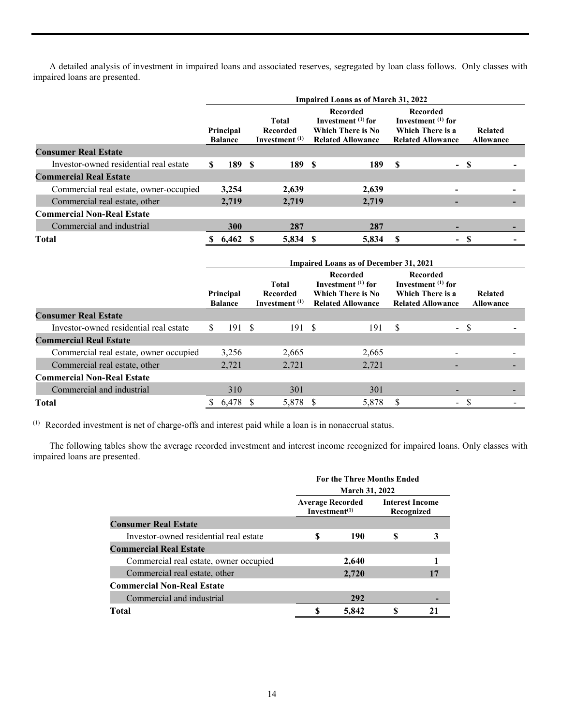A detailed analysis of investment in impaired loans and associated reserves, segregated by loan class follows. Only classes with impaired loans are presented.

|                                        | <b>Impaired Loans as of March 31, 2022</b> |                             |  |                                              |  |                                                                                   |    |                                                                                           |   |                                    |  |  |
|----------------------------------------|--------------------------------------------|-----------------------------|--|----------------------------------------------|--|-----------------------------------------------------------------------------------|----|-------------------------------------------------------------------------------------------|---|------------------------------------|--|--|
|                                        |                                            | Principal<br><b>Balance</b> |  | <b>Total</b><br>Recorded<br>Investment $(1)$ |  | Recorded<br>Investment $(1)$ for<br>Which There is No<br><b>Related Allowance</b> |    | Recorded<br>Investment <sup>(1)</sup> for<br>Which There is a<br><b>Related Allowance</b> |   | <b>Related</b><br><b>Allowance</b> |  |  |
| <b>Consumer Real Estate</b>            |                                            |                             |  |                                              |  |                                                                                   |    |                                                                                           |   |                                    |  |  |
| Investor-owned residential real estate | S                                          | 189 S                       |  | 189 S                                        |  | 189                                                                               | -S | - \$                                                                                      |   |                                    |  |  |
| <b>Commercial Real Estate</b>          |                                            |                             |  |                                              |  |                                                                                   |    |                                                                                           |   |                                    |  |  |
| Commercial real estate, owner-occupied |                                            | 3,254                       |  | 2.639                                        |  | 2,639                                                                             |    | $\,$                                                                                      |   |                                    |  |  |
| Commercial real estate, other          |                                            | 2,719                       |  | 2.719                                        |  | 2.719                                                                             |    | $\overline{\phantom{0}}$                                                                  |   |                                    |  |  |
| <b>Commercial Non-Real Estate</b>      |                                            |                             |  |                                              |  |                                                                                   |    |                                                                                           |   |                                    |  |  |
| Commercial and industrial              |                                            | 300                         |  | 287                                          |  | 287                                                                               |    | -                                                                                         |   |                                    |  |  |
| <b>Total</b>                           |                                            | 6,462                       |  | 5,834 \$                                     |  | 5,834                                                                             |    | $\blacksquare$                                                                            | S |                                    |  |  |

|                                        | <b>Impaired Loans as of December 31, 2021</b> |                             |  |                                       |  |                                                                                          |     |                                                                                                                        |  |  |  |  |  |
|----------------------------------------|-----------------------------------------------|-----------------------------|--|---------------------------------------|--|------------------------------------------------------------------------------------------|-----|------------------------------------------------------------------------------------------------------------------------|--|--|--|--|--|
|                                        |                                               | Principal<br><b>Balance</b> |  | Total<br>Recorded<br>Investment $(1)$ |  | <b>Recorded</b><br>Investment $(1)$ for<br>Which There is No<br><b>Related Allowance</b> |     | Recorded<br>Investment $(1)$ for<br>Which There is a<br><b>Related</b><br><b>Related Allowance</b><br><b>Allowance</b> |  |  |  |  |  |
| <b>Consumer Real Estate</b>            |                                               |                             |  |                                       |  |                                                                                          |     |                                                                                                                        |  |  |  |  |  |
| Investor-owned residential real estate |                                               | 191S                        |  | 191S                                  |  | 191                                                                                      | \$. | -S<br>$\sim$                                                                                                           |  |  |  |  |  |
| <b>Commercial Real Estate</b>          |                                               |                             |  |                                       |  |                                                                                          |     |                                                                                                                        |  |  |  |  |  |
| Commercial real estate, owner occupied |                                               | 3,256                       |  | 2,665                                 |  | 2,665                                                                                    |     |                                                                                                                        |  |  |  |  |  |
| Commercial real estate, other          |                                               | 2,721                       |  | 2,721                                 |  | 2,721                                                                                    |     |                                                                                                                        |  |  |  |  |  |
| <b>Commercial Non-Real Estate</b>      |                                               |                             |  |                                       |  |                                                                                          |     |                                                                                                                        |  |  |  |  |  |
| Commercial and industrial              |                                               | 310                         |  | 301                                   |  | 301                                                                                      |     |                                                                                                                        |  |  |  |  |  |
| <b>Total</b>                           |                                               | 6,478                       |  | 5,878 \$                              |  | 5,878                                                                                    |     | <sup>\$</sup><br>$\sim$                                                                                                |  |  |  |  |  |

 $<sup>(1)</sup>$  Recorded investment is net of charge-offs and interest paid while a loan is in nonaccrual status.</sup>

The following tables show the average recorded investment and interest income recognized for impaired loans. Only classes with impaired loans are presented.

|                                        |                                             | <b>For the Three Months Ended</b> |                                      |   |
|----------------------------------------|---------------------------------------------|-----------------------------------|--------------------------------------|---|
|                                        |                                             | <b>March 31, 2022</b>             |                                      |   |
|                                        | <b>Average Recorded</b><br>Investment $(1)$ |                                   | <b>Interest Income</b><br>Recognized |   |
| <b>Consumer Real Estate</b>            |                                             |                                   |                                      |   |
| Investor-owned residential real estate | S                                           | 190                               | S                                    | 3 |
| <b>Commercial Real Estate</b>          |                                             |                                   |                                      |   |
| Commercial real estate, owner occupied |                                             | 2,640                             |                                      |   |
| Commercial real estate, other          |                                             | 2,720                             |                                      |   |
| <b>Commercial Non-Real Estate</b>      |                                             |                                   |                                      |   |
| Commercial and industrial              |                                             | 292                               |                                      |   |
| <b>Total</b>                           |                                             | 5.842                             |                                      |   |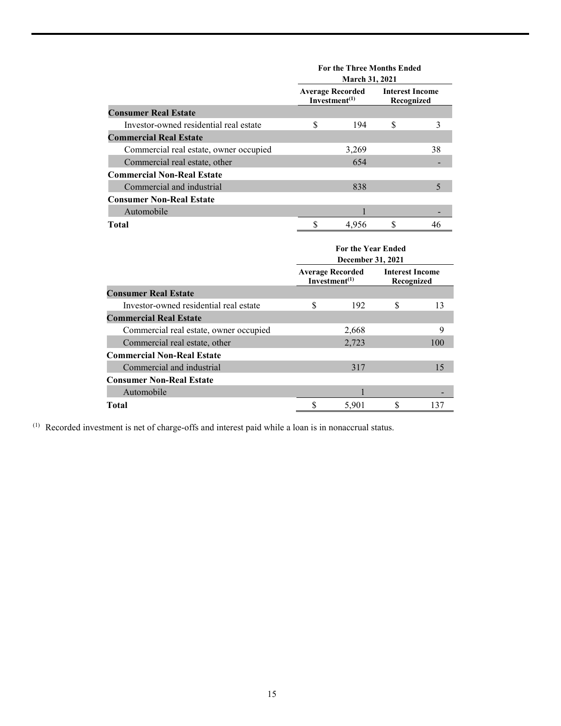|                                        | <b>For the Three Months Ended</b><br><b>March 31, 2021</b> |                                      |     |
|----------------------------------------|------------------------------------------------------------|--------------------------------------|-----|
|                                        | <b>Average Recorded</b><br>Investment $(1)$                | <b>Interest Income</b><br>Recognized |     |
| <b>Consumer Real Estate</b>            |                                                            |                                      |     |
| Investor-owned residential real estate | \$<br>194                                                  | \$                                   | 3   |
| <b>Commercial Real Estate</b>          |                                                            |                                      |     |
| Commercial real estate, owner occupied | 3,269                                                      |                                      | 38  |
| Commercial real estate, other          | 654                                                        |                                      |     |
| <b>Commercial Non-Real Estate</b>      |                                                            |                                      |     |
| Commercial and industrial              | 838                                                        |                                      | 5   |
| <b>Consumer Non-Real Estate</b>        |                                                            |                                      |     |
| Automobile                             | 1                                                          |                                      |     |
| <b>Total</b>                           | \$<br>4,956                                                | \$                                   | 46  |
|                                        | <b>For the Year Ended</b><br>December 31, 2021             |                                      |     |
|                                        | <b>Average Recorded</b><br>Investment $(1)$                | <b>Interest Income</b><br>Recognized |     |
| <b>Consumer Real Estate</b>            |                                                            |                                      |     |
| Investor-owned residential real estate | \$<br>192                                                  | \$                                   | 13  |
| <b>Commercial Real Estate</b>          |                                                            |                                      |     |
| Commercial real estate, owner occupied | 2,668                                                      |                                      | 9   |
| Commercial real estate, other          | 2,723                                                      |                                      | 100 |
| <b>Commercial Non-Real Estate</b>      |                                                            |                                      |     |
| Commercial and industrial              | 317                                                        |                                      | 15  |
| <b>Consumer Non-Real Estate</b>        |                                                            |                                      |     |

Automobile 1 - **Total** \$ 5,901 \$ 137

(1) Recorded investment is net of charge-offs and interest paid while a loan is in nonaccrual status.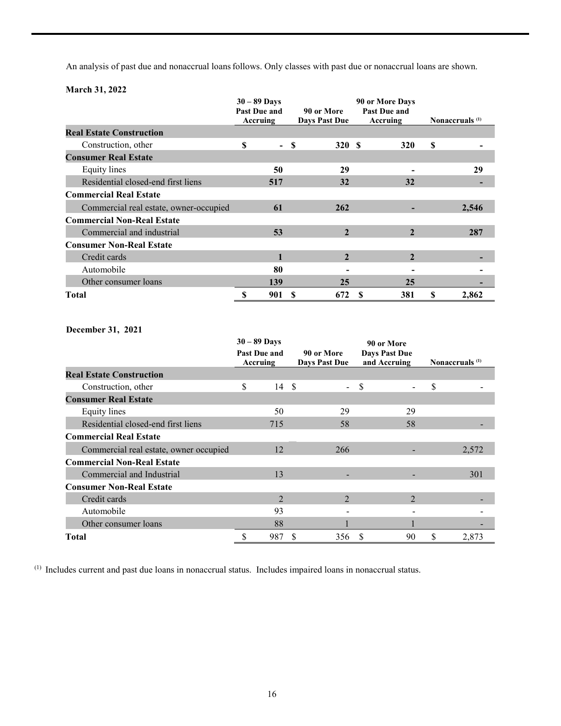An analysis of past due and nonaccrual loans follows. Only classes with past due or nonaccrual loans are shown.

## **March 31, 2022**

|                                        |   | $30 - 89$ Days |      |               |          | 90 or More Days     |                            |       |
|----------------------------------------|---|----------------|------|---------------|----------|---------------------|----------------------------|-------|
|                                        |   | Past Due and   |      | 90 or More    |          | <b>Past Due and</b> |                            |       |
|                                        |   | Accruing       |      | Days Past Due | Accruing |                     | Nonaccruals <sup>(1)</sup> |       |
| <b>Real Estate Construction</b>        |   |                |      |               |          |                     |                            |       |
| Construction, other                    | S | $\blacksquare$ | - \$ | 320 S         |          | 320                 | \$                         |       |
| <b>Consumer Real Estate</b>            |   |                |      |               |          |                     |                            |       |
| <b>Equity</b> lines                    |   | 50             |      | 29            |          |                     |                            | 29    |
| Residential closed-end first liens     |   | 517            |      | 32            |          | 32                  |                            |       |
| <b>Commercial Real Estate</b>          |   |                |      |               |          |                     |                            |       |
| Commercial real estate, owner-occupied |   | 61             |      | 262           |          |                     |                            | 2,546 |
| <b>Commercial Non-Real Estate</b>      |   |                |      |               |          |                     |                            |       |
| Commercial and industrial              |   | 53             |      | $\mathbf{2}$  |          | $\mathbf{2}$        |                            | 287   |
| <b>Consumer Non-Real Estate</b>        |   |                |      |               |          |                     |                            |       |
| Credit cards                           |   |                |      | $\mathbf{2}$  |          | $\mathbf{2}$        |                            |       |
| Automobile                             |   | 80             |      |               |          |                     |                            |       |
| Other consumer loans                   |   | 139            |      | 25            |          | 25                  |                            |       |
| <b>Total</b>                           | S | 901            | S    | 672           | S        | 381                 | \$                         | 2,862 |

## **December 31, 2021**

|                                        | $30 - 89$ Days           |                             |                               | 90 or More     |                            |
|----------------------------------------|--------------------------|-----------------------------|-------------------------------|----------------|----------------------------|
|                                        | Past Due and<br>Accruing | 90 or More<br>Days Past Due | Days Past Due<br>and Accruing |                | Nonaccruals <sup>(1)</sup> |
| <b>Real Estate Construction</b>        |                          |                             |                               |                |                            |
| Construction, other                    | \$<br>14 \$              | $\blacksquare$              | <sup>\$</sup>                 |                | \$                         |
| <b>Consumer Real Estate</b>            |                          |                             |                               |                |                            |
| <b>Equity lines</b>                    | 50                       | 29                          |                               | 29             |                            |
| Residential closed-end first liens     | 715                      | 58                          |                               | 58             |                            |
| <b>Commercial Real Estate</b>          |                          |                             |                               |                |                            |
| Commercial real estate, owner occupied | 12                       | 266                         |                               |                | 2,572                      |
| <b>Commercial Non-Real Estate</b>      |                          |                             |                               |                |                            |
| Commercial and Industrial              | 13                       |                             |                               |                | 301                        |
| <b>Consumer Non-Real Estate</b>        |                          |                             |                               |                |                            |
| Credit cards                           | $\mathcal{D}$            | $\mathcal{D}_{\mathcal{L}}$ |                               | $\mathfrak{D}$ |                            |
| Automobile                             | 93                       | $\overline{\phantom{0}}$    |                               |                |                            |
| Other consumer loans                   | 88                       |                             |                               |                |                            |
| <b>Total</b>                           | 987                      | \$<br>356                   | S                             | 90             | \$<br>2,873                |

(1) Includes current and past due loans in nonaccrual status. Includes impaired loans in nonaccrual status.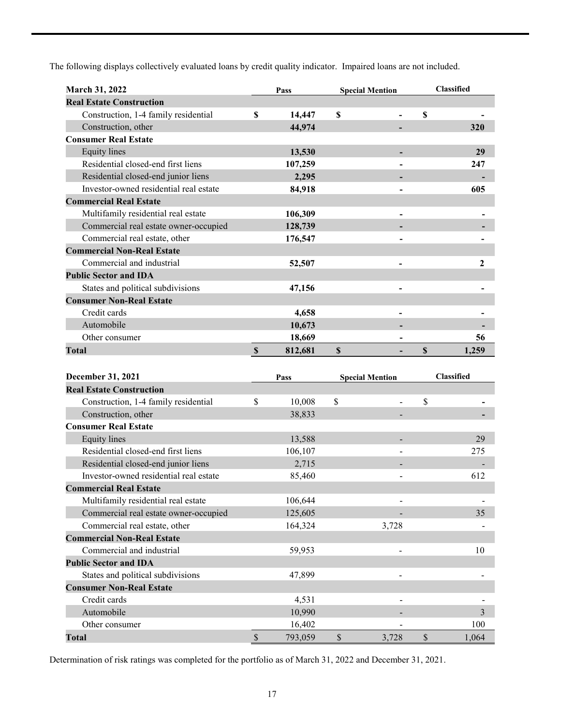The following displays collectively evaluated loans by credit quality indicator. Impaired loans are not included.

| March 31, 2022                         |             | Pass    |    | <b>Special Mention</b>   | <b>Classified</b> |
|----------------------------------------|-------------|---------|----|--------------------------|-------------------|
| <b>Real Estate Construction</b>        |             |         |    |                          |                   |
| Construction, 1-4 family residential   | $\mathbf S$ | 14,447  | \$ | S                        |                   |
| Construction, other                    |             | 44,974  |    |                          | 320               |
| <b>Consumer Real Estate</b>            |             |         |    |                          |                   |
| <b>Equity</b> lines                    |             | 13,530  |    |                          | 29                |
| Residential closed-end first liens     |             | 107,259 |    |                          | 247               |
| Residential closed-end junior liens    |             | 2,295   |    |                          |                   |
| Investor-owned residential real estate |             | 84,918  |    |                          | 605               |
| <b>Commercial Real Estate</b>          |             |         |    |                          |                   |
| Multifamily residential real estate    |             | 106,309 |    |                          |                   |
| Commercial real estate owner-occupied  |             | 128,739 |    |                          |                   |
| Commercial real estate, other          |             | 176,547 |    |                          |                   |
| <b>Commercial Non-Real Estate</b>      |             |         |    |                          |                   |
| Commercial and industrial              |             | 52,507  |    |                          | $\mathbf{2}$      |
| <b>Public Sector and IDA</b>           |             |         |    |                          |                   |
| States and political subdivisions      |             | 47,156  |    | $\overline{\phantom{0}}$ |                   |
| <b>Consumer Non-Real Estate</b>        |             |         |    |                          |                   |
| Credit cards                           |             | 4,658   |    |                          |                   |
| Automobile                             |             | 10,673  |    |                          |                   |
| Other consumer                         |             | 18,669  |    |                          | 56                |
| <b>Total</b>                           | \$          | 812,681 | S  | <b>S</b>                 | 1,259             |

| December 31, 2021                      | Pass          | <b>Special Mention</b> | <b>Classified</b> |  |  |
|----------------------------------------|---------------|------------------------|-------------------|--|--|
| <b>Real Estate Construction</b>        |               |                        |                   |  |  |
| Construction, 1-4 family residential   | \$<br>10,008  | \$                     | \$                |  |  |
| Construction, other                    | 38,833        |                        |                   |  |  |
| <b>Consumer Real Estate</b>            |               |                        |                   |  |  |
| <b>Equity</b> lines                    | 13,588        |                        | 29                |  |  |
| Residential closed-end first liens     | 106,107       |                        | 275               |  |  |
| Residential closed-end junior liens    | 2,715         |                        |                   |  |  |
| Investor-owned residential real estate | 85,460        |                        | 612               |  |  |
| <b>Commercial Real Estate</b>          |               |                        |                   |  |  |
| Multifamily residential real estate    | 106,644       |                        |                   |  |  |
| Commercial real estate owner-occupied  | 125,605       |                        | 35                |  |  |
| Commercial real estate, other          | 164,324       | 3,728                  |                   |  |  |
| <b>Commercial Non-Real Estate</b>      |               |                        |                   |  |  |
| Commercial and industrial              | 59,953        |                        | 10                |  |  |
| <b>Public Sector and IDA</b>           |               |                        |                   |  |  |
| States and political subdivisions      | 47,899        | -                      |                   |  |  |
| <b>Consumer Non-Real Estate</b>        |               |                        |                   |  |  |
| Credit cards                           | 4,531         |                        |                   |  |  |
| Automobile                             | 10,990        |                        | 3                 |  |  |
| Other consumer                         | 16,402        |                        | 100               |  |  |
| Total                                  | \$<br>793,059 | \$<br>3,728            | \$<br>1,064       |  |  |

Determination of risk ratings was completed for the portfolio as of March 31, 2022 and December 31, 2021.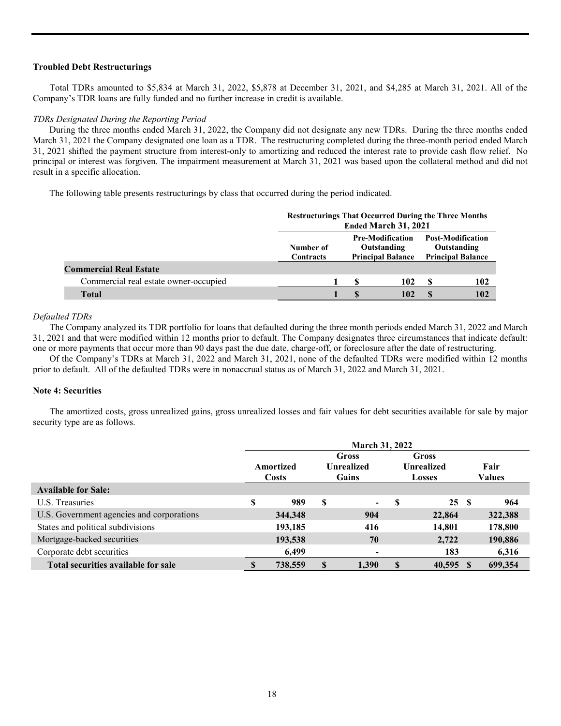### **Troubled Debt Restructurings**

Total TDRs amounted to \$5,834 at March 31, 2022, \$5,878 at December 31, 2021, and \$4,285 at March 31, 2021. All of the Company's TDR loans are fully funded and no further increase in credit is available.

#### *TDRs Designated During the Reporting Period*

During the three months ended March 31, 2022, the Company did not designate any new TDRs. During the three months ended March 31, 2021 the Company designated one loan as a TDR. The restructuring completed during the three-month period ended March 31, 2021 shifted the payment structure from interest-only to amortizing and reduced the interest rate to provide cash flow relief. No principal or interest was forgiven. The impairment measurement at March 31, 2021 was based upon the collateral method and did not result in a specific allocation.

The following table presents restructurings by class that occurred during the period indicated.

|                                       |                               | <b>Restructurings That Occurred During the Three Months</b><br>Ended March 31, 2021 |                                                                    |                                                                     |     |  |  |  |  |  |
|---------------------------------------|-------------------------------|-------------------------------------------------------------------------------------|--------------------------------------------------------------------|---------------------------------------------------------------------|-----|--|--|--|--|--|
|                                       | Number of<br><b>Contracts</b> |                                                                                     | <b>Pre-Modification</b><br>Outstanding<br><b>Principal Balance</b> | <b>Post-Modification</b><br>Outstanding<br><b>Principal Balance</b> |     |  |  |  |  |  |
| <b>Commercial Real Estate</b>         |                               |                                                                                     |                                                                    |                                                                     |     |  |  |  |  |  |
| Commercial real estate owner-occupied |                               |                                                                                     | 102                                                                |                                                                     | 102 |  |  |  |  |  |
| <b>Total</b>                          |                               |                                                                                     |                                                                    |                                                                     | 102 |  |  |  |  |  |

#### *Defaulted TDRs*

The Company analyzed its TDR portfolio for loans that defaulted during the three month periods ended March 31, 2022 and March 31, 2021 and that were modified within 12 months prior to default. The Company designates three circumstances that indicate default: one or more payments that occur more than 90 days past the due date, charge-off, or foreclosure after the date of restructuring.

Of the Company's TDRs at March 31, 2022 and March 31, 2021, none of the defaulted TDRs were modified within 12 months prior to default. All of the defaulted TDRs were in nonaccrual status as of March 31, 2022 and March 31, 2021.

#### **Note 4: Securities**

The amortized costs, gross unrealized gains, gross unrealized losses and fair values for debt securities available for sale by major security type are as follows.

|                                           | <b>March 31, 2022</b> |         |              |                          |               |                 |               |         |  |  |  |
|-------------------------------------------|-----------------------|---------|--------------|--------------------------|---------------|-----------------|---------------|---------|--|--|--|
|                                           |                       |         | <b>Gross</b> |                          |               | Gross           |               |         |  |  |  |
|                                           | Amortized             |         | Unrealized   |                          | Unrealized    |                 |               | Fair    |  |  |  |
|                                           | <b>Costs</b>          |         | <b>Gains</b> |                          | <b>Losses</b> |                 | <b>Values</b> |         |  |  |  |
| <b>Available for Sale:</b>                |                       |         |              |                          |               |                 |               |         |  |  |  |
| U.S. Treasuries                           | \$                    | 989     | S            | $\blacksquare$           |               | 25 <sub>1</sub> | - \$          | 964     |  |  |  |
| U.S. Government agencies and corporations |                       | 344,348 |              | 904                      |               | 22,864          |               | 322,388 |  |  |  |
| States and political subdivisions         |                       | 193,185 |              | 416                      |               | 14,801          |               | 178,800 |  |  |  |
| Mortgage-backed securities                |                       | 193,538 |              | 70                       |               | 2,722           |               | 190,886 |  |  |  |
| Corporate debt securities                 |                       | 6,499   |              | $\overline{\phantom{0}}$ |               | 183             |               | 6,316   |  |  |  |
| Total securities available for sale       |                       | 738,559 | S            | 1.390                    | S             | $40,595$ \$     |               | 699,354 |  |  |  |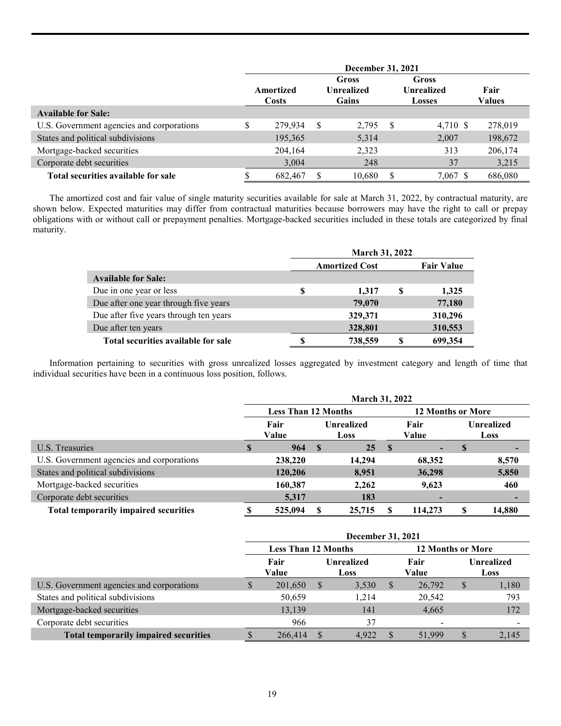|                                           | December 31, 2021         |         |                                     |        |                                                    |          |                       |  |  |  |
|-------------------------------------------|---------------------------|---------|-------------------------------------|--------|----------------------------------------------------|----------|-----------------------|--|--|--|
|                                           | Amortized<br><b>Costs</b> |         | <b>Gross</b><br>Unrealized<br>Gains |        | <b>Gross</b><br><b>Unrealized</b><br><b>Losses</b> |          | Fair<br><b>Values</b> |  |  |  |
| <b>Available for Sale:</b>                |                           |         |                                     |        |                                                    |          |                       |  |  |  |
| U.S. Government agencies and corporations | \$                        | 279,934 | -S                                  | 2,795  | -S                                                 | 4,710 \$ | 278,019               |  |  |  |
| States and political subdivisions         |                           | 195,365 |                                     | 5,314  |                                                    | 2,007    | 198,672               |  |  |  |
| Mortgage-backed securities                |                           | 204,164 |                                     | 2,323  |                                                    | 313      | 206,174               |  |  |  |
| Corporate debt securities                 |                           | 3,004   |                                     | 248    |                                                    | 37       | 3,215                 |  |  |  |
| Total securities available for sale       |                           | 682,467 |                                     | 10.680 | S                                                  | 7.067 \$ | 686,080               |  |  |  |

The amortized cost and fair value of single maturity securities available for sale at March 31, 2022, by contractual maturity, are shown below. Expected maturities may differ from contractual maturities because borrowers may have the right to call or prepay obligations with or without call or prepayment penalties. Mortgage-backed securities included in these totals are categorized by final maturity.

|                                        | <b>March 31, 2022</b> |  |                   |  |  |  |  |  |  |  |
|----------------------------------------|-----------------------|--|-------------------|--|--|--|--|--|--|--|
|                                        | <b>Amortized Cost</b> |  | <b>Fair Value</b> |  |  |  |  |  |  |  |
| <b>Available for Sale:</b>             |                       |  |                   |  |  |  |  |  |  |  |
| Due in one year or less                | 1,317                 |  | 1,325             |  |  |  |  |  |  |  |
| Due after one year through five years  | 79,070                |  | 77,180            |  |  |  |  |  |  |  |
| Due after five years through ten years | 329,371               |  | 310,296           |  |  |  |  |  |  |  |
| Due after ten years                    | 328,801               |  | 310,553           |  |  |  |  |  |  |  |
| Total securities available for sale    | 738,559               |  | 699,354           |  |  |  |  |  |  |  |

Information pertaining to securities with gross unrealized losses aggregated by investment category and length of time that individual securities have been in a continuous loss position, follows.

|                                              | <b>March 31, 2022</b>      |                                                   |     |               |      |                           |   |        |  |  |  |  |
|----------------------------------------------|----------------------------|---------------------------------------------------|-----|---------------|------|---------------------------|---|--------|--|--|--|--|
|                                              | <b>Less Than 12 Months</b> |                                                   |     |               |      | <b>12 Months or More</b>  |   |        |  |  |  |  |
|                                              |                            | Fair<br><b>Unrealized</b><br>Value<br><b>Loss</b> |     | Fair<br>Value |      | <b>Unrealized</b><br>Loss |   |        |  |  |  |  |
| U.S. Treasuries                              | S                          | 964                                               | ∣S. | 25            | - \$ | $\overline{\phantom{a}}$  | D |        |  |  |  |  |
| U.S. Government agencies and corporations    |                            | 238,220                                           |     | 14,294        |      | 68,352                    |   | 8,570  |  |  |  |  |
| States and political subdivisions            |                            | 120,206                                           |     | 8,951         |      | 36,298                    |   | 5,850  |  |  |  |  |
| Mortgage-backed securities                   |                            | 160,387                                           |     | 2,262         |      | 9,623                     |   | 460    |  |  |  |  |
| Corporate debt securities                    |                            | 5,317                                             |     | 183           |      |                           |   |        |  |  |  |  |
| <b>Total temporarily impaired securities</b> |                            | 525,094                                           |     | 25,715        |      | 114,273                   |   | 14,880 |  |  |  |  |

|                                              | December 31, 2021                   |                            |   |       |                   |        |                           |       |  |  |  |
|----------------------------------------------|-------------------------------------|----------------------------|---|-------|-------------------|--------|---------------------------|-------|--|--|--|
|                                              |                                     | <b>Less Than 12 Months</b> |   |       | 12 Months or More |        |                           |       |  |  |  |
|                                              | Fair<br>Unrealized<br>Value<br>Loss |                            |   |       | Fair<br>Value     |        | <b>Unrealized</b><br>Loss |       |  |  |  |
| U.S. Government agencies and corporations    |                                     | 201,650                    | S | 3,530 | <sup>S</sup>      | 26,792 | <sup>S</sup>              | 1,180 |  |  |  |
| States and political subdivisions            |                                     | 50,659                     |   | 1,214 |                   | 20,542 |                           | 793   |  |  |  |
| Mortgage-backed securities                   |                                     | 13,139                     |   | 141   |                   | 4,665  |                           | 172   |  |  |  |
| Corporate debt securities                    |                                     | 966                        |   | 37    |                   | -      |                           |       |  |  |  |
| <b>Total temporarily impaired securities</b> |                                     | 266,414                    |   | 4.922 |                   | 51,999 |                           | 2.145 |  |  |  |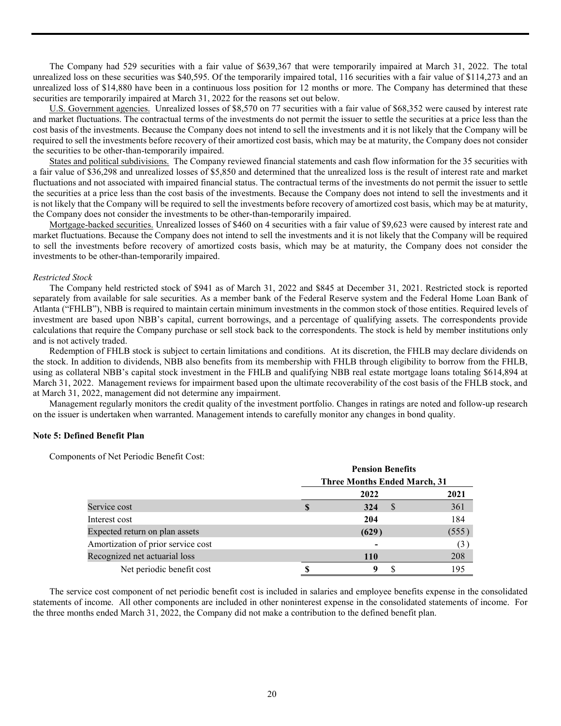The Company had 529 securities with a fair value of \$639,367 that were temporarily impaired at March 31, 2022. The total unrealized loss on these securities was \$40,595. Of the temporarily impaired total, 116 securities with a fair value of \$114,273 and an unrealized loss of \$14,880 have been in a continuous loss position for 12 months or more. The Company has determined that these securities are temporarily impaired at March 31, 2022 for the reasons set out below.

U.S. Government agencies. Unrealized losses of \$8,570 on 77 securities with a fair value of \$68,352 were caused by interest rate and market fluctuations. The contractual terms of the investments do not permit the issuer to settle the securities at a price less than the cost basis of the investments. Because the Company does not intend to sell the investments and it is not likely that the Company will be required to sell the investments before recovery of their amortized cost basis, which may be at maturity, the Company does not consider the securities to be other-than-temporarily impaired.

States and political subdivisions. The Company reviewed financial statements and cash flow information for the 35 securities with a fair value of \$36,298 and unrealized losses of \$5,850 and determined that the unrealized loss is the result of interest rate and market fluctuations and not associated with impaired financial status. The contractual terms of the investments do not permit the issuer to settle the securities at a price less than the cost basis of the investments. Because the Company does not intend to sell the investments and it is not likely that the Company will be required to sell the investments before recovery of amortized cost basis, which may be at maturity, the Company does not consider the investments to be other-than-temporarily impaired.

Mortgage-backed securities. Unrealized losses of \$460 on 4 securities with a fair value of \$9,623 were caused by interest rate and market fluctuations. Because the Company does not intend to sell the investments and it is not likely that the Company will be required to sell the investments before recovery of amortized costs basis, which may be at maturity, the Company does not consider the investments to be other-than-temporarily impaired.

#### *Restricted Stock*

The Company held restricted stock of \$941 as of March 31, 2022 and \$845 at December 31, 2021. Restricted stock is reported separately from available for sale securities. As a member bank of the Federal Reserve system and the Federal Home Loan Bank of Atlanta ("FHLB"), NBB is required to maintain certain minimum investments in the common stock of those entities. Required levels of investment are based upon NBB's capital, current borrowings, and a percentage of qualifying assets. The correspondents provide calculations that require the Company purchase or sell stock back to the correspondents. The stock is held by member institutions only and is not actively traded.

Redemption of FHLB stock is subject to certain limitations and conditions. At its discretion, the FHLB may declare dividends on the stock. In addition to dividends, NBB also benefits from its membership with FHLB through eligibility to borrow from the FHLB, using as collateral NBB's capital stock investment in the FHLB and qualifying NBB real estate mortgage loans totaling \$614,894 at March 31, 2022. Management reviews for impairment based upon the ultimate recoverability of the cost basis of the FHLB stock, and at March 31, 2022, management did not determine any impairment.

Management regularly monitors the credit quality of the investment portfolio. Changes in ratings are noted and follow-up research on the issuer is undertaken when warranted. Management intends to carefully monitor any changes in bond quality.

#### **Note 5: Defined Benefit Plan**

Components of Net Periodic Benefit Cost:

|                                    |   | <b>Pension Benefits</b>             |       |  |  |  |  |  |  |  |  |
|------------------------------------|---|-------------------------------------|-------|--|--|--|--|--|--|--|--|
|                                    |   | <b>Three Months Ended March, 31</b> |       |  |  |  |  |  |  |  |  |
|                                    |   | 2022                                | 2021  |  |  |  |  |  |  |  |  |
| Service cost                       | S | 324<br>S                            | 361   |  |  |  |  |  |  |  |  |
| Interest cost                      |   | 204                                 | 184   |  |  |  |  |  |  |  |  |
| Expected return on plan assets     |   | (629)                               | (555) |  |  |  |  |  |  |  |  |
| Amortization of prior service cost |   |                                     | (3)   |  |  |  |  |  |  |  |  |
| Recognized net actuarial loss      |   | <b>110</b>                          | 208   |  |  |  |  |  |  |  |  |
| Net periodic benefit cost          |   | o                                   | 195   |  |  |  |  |  |  |  |  |

The service cost component of net periodic benefit cost is included in salaries and employee benefits expense in the consolidated statements of income. All other components are included in other noninterest expense in the consolidated statements of income. For the three months ended March 31, 2022, the Company did not make a contribution to the defined benefit plan.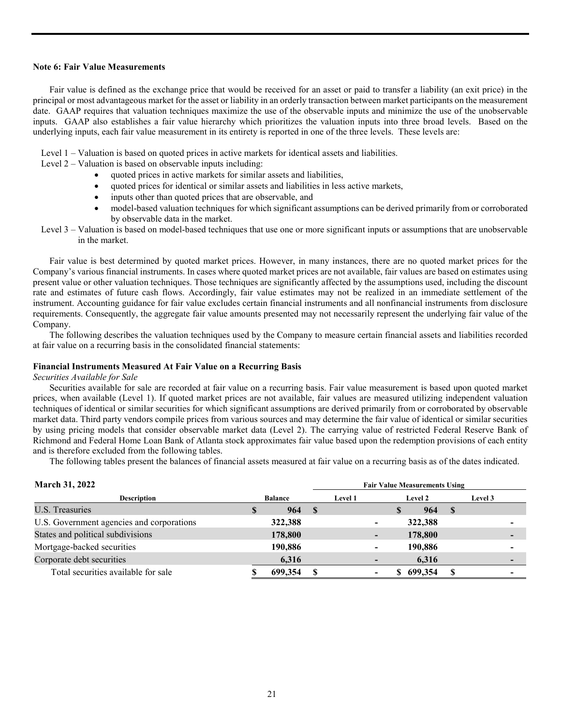#### **Note 6: Fair Value Measurements**

Fair value is defined as the exchange price that would be received for an asset or paid to transfer a liability (an exit price) in the principal or most advantageous market for the asset or liability in an orderly transaction between market participants on the measurement date. GAAP requires that valuation techniques maximize the use of the observable inputs and minimize the use of the unobservable inputs. GAAP also establishes a fair value hierarchy which prioritizes the valuation inputs into three broad levels. Based on the underlying inputs, each fair value measurement in its entirety is reported in one of the three levels. These levels are:

Level 1 – Valuation is based on quoted prices in active markets for identical assets and liabilities.

- Level 2 Valuation is based on observable inputs including:
	- quoted prices in active markets for similar assets and liabilities,
	- quoted prices for identical or similar assets and liabilities in less active markets,
	- inputs other than quoted prices that are observable, and
	- model-based valuation techniques for which significant assumptions can be derived primarily from or corroborated by observable data in the market.
- Level 3 Valuation is based on model-based techniques that use one or more significant inputs or assumptions that are unobservable in the market.

Fair value is best determined by quoted market prices. However, in many instances, there are no quoted market prices for the Company's various financial instruments. In cases where quoted market prices are not available, fair values are based on estimates using present value or other valuation techniques. Those techniques are significantly affected by the assumptions used, including the discount rate and estimates of future cash flows. Accordingly, fair value estimates may not be realized in an immediate settlement of the instrument. Accounting guidance for fair value excludes certain financial instruments and all nonfinancial instruments from disclosure requirements. Consequently, the aggregate fair value amounts presented may not necessarily represent the underlying fair value of the Company.

The following describes the valuation techniques used by the Company to measure certain financial assets and liabilities recorded at fair value on a recurring basis in the consolidated financial statements:

#### **Financial Instruments Measured At Fair Value on a Recurring Basis**

*Securities Available for Sale* 

Securities available for sale are recorded at fair value on a recurring basis. Fair value measurement is based upon quoted market prices, when available (Level 1). If quoted market prices are not available, fair values are measured utilizing independent valuation techniques of identical or similar securities for which significant assumptions are derived primarily from or corroborated by observable market data. Third party vendors compile prices from various sources and may determine the fair value of identical or similar securities by using pricing models that consider observable market data (Level 2). The carrying value of restricted Federal Reserve Bank of Richmond and Federal Home Loan Bank of Atlanta stock approximates fair value based upon the redemption provisions of each entity and is therefore excluded from the following tables.

The following tables present the balances of financial assets measured at fair value on a recurring basis as of the dates indicated.

| <b>March 31, 2022</b>                     |   |                |     | <b>Fair Value Measurements Using</b> |                          |   |                |    |                |  |  |  |
|-------------------------------------------|---|----------------|-----|--------------------------------------|--------------------------|---|----------------|----|----------------|--|--|--|
| <b>Description</b>                        |   | <b>Balance</b> |     | <b>Level 1</b>                       |                          |   | <b>Level 2</b> |    | <b>Level 3</b> |  |  |  |
| U.S. Treasuries                           | S | 964            | - S |                                      |                          | S | 964            | -8 |                |  |  |  |
| U.S. Government agencies and corporations |   | 322,388        |     |                                      | -                        |   | 322,388        |    |                |  |  |  |
| States and political subdivisions         |   | 178,800        |     |                                      |                          |   | 178,800        |    |                |  |  |  |
| Mortgage-backed securities                |   | 190,886        |     |                                      | $\overline{\phantom{a}}$ |   | 190,886        |    |                |  |  |  |
| Corporate debt securities                 |   | 6,316          |     |                                      |                          |   | 6,316          |    |                |  |  |  |
| Total securities available for sale       |   | 699,354        |     |                                      |                          | S | 699,354        |    |                |  |  |  |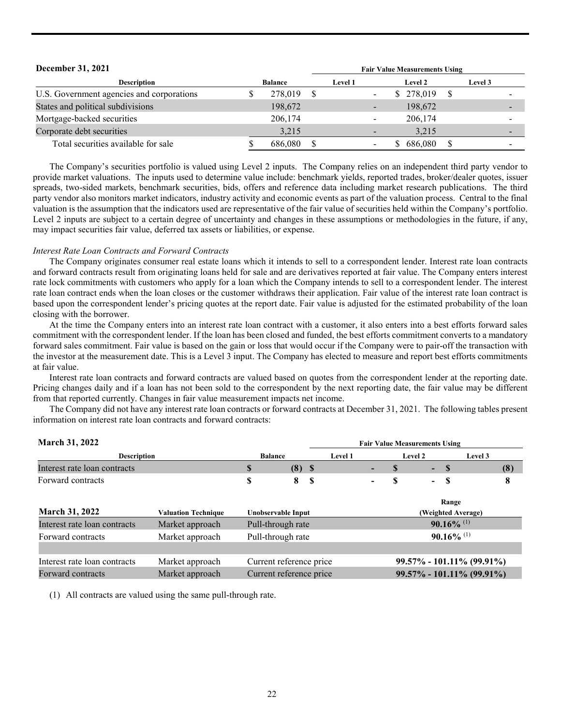| December 31, 2021                         |  |                |  | <b>Fair Value Measurements Using</b> |   |    |                |  |         |  |
|-------------------------------------------|--|----------------|--|--------------------------------------|---|----|----------------|--|---------|--|
| <b>Description</b>                        |  | <b>Balance</b> |  | <b>Level 1</b>                       |   |    | <b>Level 2</b> |  | Level 3 |  |
| U.S. Government agencies and corporations |  | 278,019        |  |                                      |   | S. | 278,019        |  |         |  |
| States and political subdivisions         |  | 198,672        |  |                                      |   |    | 198,672        |  |         |  |
| Mortgage-backed securities                |  | 206,174        |  |                                      | - |    | 206,174        |  |         |  |
| Corporate debt securities                 |  | 3,215          |  |                                      |   |    | 3,215          |  |         |  |
| Total securities available for sale       |  | 686,080        |  |                                      |   |    | 686.080        |  |         |  |

The Company's securities portfolio is valued using Level 2 inputs. The Company relies on an independent third party vendor to provide market valuations. The inputs used to determine value include: benchmark yields, reported trades, broker/dealer quotes, issuer spreads, two-sided markets, benchmark securities, bids, offers and reference data including market research publications. The third party vendor also monitors market indicators, industry activity and economic events as part of the valuation process. Central to the final valuation is the assumption that the indicators used are representative of the fair value of securities held within the Company's portfolio. Level 2 inputs are subject to a certain degree of uncertainty and changes in these assumptions or methodologies in the future, if any, may impact securities fair value, deferred tax assets or liabilities, or expense.

## *Interest Rate Loan Contracts and Forward Contracts*

The Company originates consumer real estate loans which it intends to sell to a correspondent lender. Interest rate loan contracts and forward contracts result from originating loans held for sale and are derivatives reported at fair value. The Company enters interest rate lock commitments with customers who apply for a loan which the Company intends to sell to a correspondent lender. The interest rate loan contract ends when the loan closes or the customer withdraws their application. Fair value of the interest rate loan contract is based upon the correspondent lender's pricing quotes at the report date. Fair value is adjusted for the estimated probability of the loan closing with the borrower.

At the time the Company enters into an interest rate loan contract with a customer, it also enters into a best efforts forward sales commitment with the correspondent lender. If the loan has been closed and funded, the best efforts commitment converts to a mandatory forward sales commitment. Fair value is based on the gain or loss that would occur if the Company were to pair-off the transaction with the investor at the measurement date. This is a Level 3 input. The Company has elected to measure and report best efforts commitments at fair value.

Interest rate loan contracts and forward contracts are valued based on quotes from the correspondent lender at the reporting date. Pricing changes daily and if a loan has not been sold to the correspondent by the next reporting date, the fair value may be different from that reported currently. Changes in fair value measurement impacts net income.

 The Company did not have any interest rate loan contracts or forward contracts at December 31, 2021. The following tables present information on interest rate loan contracts and forward contracts:

| <b>March 31, 2022</b>        |                            |    |                         |    | <b>Fair Value Measurements Using</b> |                          |   |        |                          |                                |     |
|------------------------------|----------------------------|----|-------------------------|----|--------------------------------------|--------------------------|---|--------|--------------------------|--------------------------------|-----|
| <b>Description</b>           |                            |    | <b>Balance</b>          |    | <b>Level 1</b>                       | <b>Level 2</b>           |   |        | Level 3                  |                                |     |
| Interest rate loan contracts |                            | S  | (8) S                   |    |                                      | $\overline{\phantom{0}}$ | S |        | $- S$                    |                                | (8) |
| Forward contracts            |                            | \$ | 8                       | -S |                                      |                          | S | $\sim$ | -S                       |                                | 8   |
| <b>March 31, 2022</b>        | <b>Valuation Technique</b> |    | Unobservable Input      |    |                                      |                          |   |        | Range                    | (Weighted Average)             |     |
| Interest rate loan contracts | Market approach            |    | Pull-through rate       |    |                                      |                          |   |        | $90.16\%$ <sup>(1)</sup> |                                |     |
| Forward contracts            | Market approach            |    | Pull-through rate       |    |                                      |                          |   |        | $90.16\%$ <sup>(1)</sup> |                                |     |
| Interest rate loan contracts | Market approach            |    | Current reference price |    |                                      |                          |   |        |                          | $99.57\% - 101.11\% (99.91\%)$ |     |
| Forward contracts            | Market approach            |    | Current reference price |    | $99.57\% - 101.11\% (99.91\%)$       |                          |   |        |                          |                                |     |

(1) All contracts are valued using the same pull-through rate.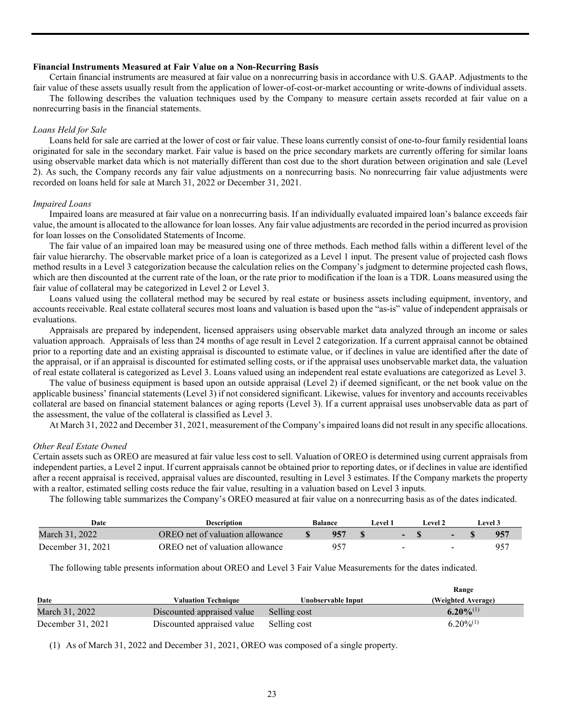#### **Financial Instruments Measured at Fair Value on a Non-Recurring Basis**

Certain financial instruments are measured at fair value on a nonrecurring basis in accordance with U.S. GAAP. Adjustments to the fair value of these assets usually result from the application of lower-of-cost-or-market accounting or write-downs of individual assets.

The following describes the valuation techniques used by the Company to measure certain assets recorded at fair value on a nonrecurring basis in the financial statements.

#### *Loans Held for Sale*

Loans held for sale are carried at the lower of cost or fair value. These loans currently consist of one-to-four family residential loans originated for sale in the secondary market. Fair value is based on the price secondary markets are currently offering for similar loans using observable market data which is not materially different than cost due to the short duration between origination and sale (Level 2). As such, the Company records any fair value adjustments on a nonrecurring basis. No nonrecurring fair value adjustments were recorded on loans held for sale at March 31, 2022 or December 31, 2021.

#### *Impaired Loans*

Impaired loans are measured at fair value on a nonrecurring basis. If an individually evaluated impaired loan's balance exceeds fair value, the amount is allocated to the allowance for loan losses. Any fair value adjustments are recorded in the period incurred as provision for loan losses on the Consolidated Statements of Income.

The fair value of an impaired loan may be measured using one of three methods. Each method falls within a different level of the fair value hierarchy. The observable market price of a loan is categorized as a Level 1 input. The present value of projected cash flows method results in a Level 3 categorization because the calculation relies on the Company's judgment to determine projected cash flows, which are then discounted at the current rate of the loan, or the rate prior to modification if the loan is a TDR. Loans measured using the fair value of collateral may be categorized in Level 2 or Level 3.

Loans valued using the collateral method may be secured by real estate or business assets including equipment, inventory, and accounts receivable. Real estate collateral secures most loans and valuation is based upon the "as-is" value of independent appraisals or evaluations.

Appraisals are prepared by independent, licensed appraisers using observable market data analyzed through an income or sales valuation approach. Appraisals of less than 24 months of age result in Level 2 categorization. If a current appraisal cannot be obtained prior to a reporting date and an existing appraisal is discounted to estimate value, or if declines in value are identified after the date of the appraisal, or if an appraisal is discounted for estimated selling costs, or if the appraisal uses unobservable market data, the valuation of real estate collateral is categorized as Level 3. Loans valued using an independent real estate evaluations are categorized as Level 3.

The value of business equipment is based upon an outside appraisal (Level 2) if deemed significant, or the net book value on the applicable business' financial statements (Level 3) if not considered significant. Likewise, values for inventory and accounts receivables collateral are based on financial statement balances or aging reports (Level 3). If a current appraisal uses unobservable data as part of the assessment, the value of the collateral is classified as Level 3.

At March 31, 2022 and December 31, 2021, measurement of the Company's impaired loans did not result in any specific allocations.

#### *Other Real Estate Owned*

Certain assets such as OREO are measured at fair value less cost to sell. Valuation of OREO is determined using current appraisals from independent parties, a Level 2 input. If current appraisals cannot be obtained prior to reporting dates, or if declines in value are identified after a recent appraisal is received, appraisal values are discounted, resulting in Level 3 estimates. If the Company markets the property with a realtor, estimated selling costs reduce the fair value, resulting in a valuation based on Level 3 inputs.

The following table summarizes the Company's OREO measured at fair value on a nonrecurring basis as of the dates indicated.

| Date              | Description                            | Balance |              | evel [ |        | Level 2 |                             | Level 3 |     |
|-------------------|----------------------------------------|---------|--------------|--------|--------|---------|-----------------------------|---------|-----|
| March 31, 2022    | <b>OREO</b> net of valuation allowance |         | 957          |        |        | $ \sim$ | $\sim$ $\sim$ $\sim$ $\sim$ |         | 957 |
| December 31, 2021 | OREO net of valuation allowance        |         | $95^{\circ}$ |        | $\sim$ |         | $\overline{\phantom{0}}$    |         | 950 |

The following table presents information about OREO and Level 3 Fair Value Measurements for the dates indicated.

|                   |                            |                    | Range              |
|-------------------|----------------------------|--------------------|--------------------|
| Date              | Valuation Technique        | Unobservable Input | (Weighted Average) |
| March 31, 2022    | Discounted appraised value | Selling cost       | $6.20\%^{(1)}$     |
| December 31, 2021 | Discounted appraised value | Selling cost       | $6.20\%^{(1)}$     |

(1) As of March 31, 2022 and December 31, 2021, OREO was composed of a single property.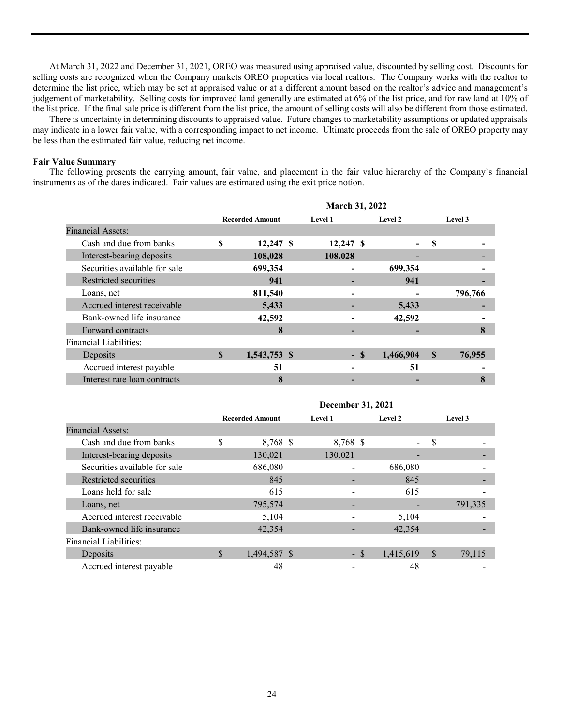At March 31, 2022 and December 31, 2021, OREO was measured using appraised value, discounted by selling cost. Discounts for selling costs are recognized when the Company markets OREO properties via local realtors. The Company works with the realtor to determine the list price, which may be set at appraised value or at a different amount based on the realtor's advice and management's judgement of marketability. Selling costs for improved land generally are estimated at 6% of the list price, and for raw land at 10% of the list price. If the final sale price is different from the list price, the amount of selling costs will also be different from those estimated.

There is uncertainty in determining discounts to appraised value. Future changes to marketability assumptions or updated appraisals may indicate in a lower fair value, with a corresponding impact to net income. Ultimate proceeds from the sale of OREO property may be less than the estimated fair value, reducing net income.

#### **Fair Value Summary**

The following presents the carrying amount, fair value, and placement in the fair value hierarchy of the Company's financial instruments as of the dates indicated. Fair values are estimated using the exit price notion.

|                               |              |                        | March 31, 2022 |        |           |               |         |
|-------------------------------|--------------|------------------------|----------------|--------|-----------|---------------|---------|
|                               |              | <b>Recorded Amount</b> | Level 1        |        | Level 2   |               | Level 3 |
| <b>Financial Assets:</b>      |              |                        |                |        |           |               |         |
| Cash and due from banks       | \$           | 12,247 \$              | $12,247$ \$    |        | -         | <sup>\$</sup> |         |
| Interest-bearing deposits     |              | 108,028                | 108,028        |        |           |               |         |
| Securities available for sale |              | 699,354                |                |        | 699,354   |               |         |
| Restricted securities         |              | 941                    |                |        | 941       |               |         |
| Loans, net                    |              | 811,540                |                |        |           |               | 796,766 |
| Accrued interest receivable   |              | 5,433                  |                |        | 5,433     |               |         |
| Bank-owned life insurance     |              | 42,592                 |                |        | 42,592    |               |         |
| Forward contracts             |              | 8                      |                |        |           |               | 8       |
| <b>Financial Liabilities:</b> |              |                        |                |        |           |               |         |
| Deposits                      | $\mathbf{s}$ | 1,543,753 \$           |                | $-$ \$ | 1,466,904 | <b>S</b>      | 76,955  |
| Accrued interest payable      |              | 51                     |                |        | 51        |               |         |
| Interest rate loan contracts  |              | 8                      |                |        |           |               | 8       |

|                               |                        |                | December 31, 2021        |                |                           |         |
|-------------------------------|------------------------|----------------|--------------------------|----------------|---------------------------|---------|
|                               | <b>Recorded Amount</b> | <b>Level 1</b> |                          | Level 2        |                           | Level 3 |
| <b>Financial Assets:</b>      |                        |                |                          |                |                           |         |
| Cash and due from banks       | \$<br>8,768 \$         |                | 8,768 \$                 | $\blacksquare$ | S                         |         |
| Interest-bearing deposits     | 130,021                |                | 130,021                  |                |                           |         |
| Securities available for sale | 686,080                |                |                          | 686,080        |                           |         |
| Restricted securities         | 845                    |                |                          | 845            |                           |         |
| Loans held for sale           | 615                    |                |                          | 615            |                           |         |
| Loans, net                    | 795,574                |                | $\overline{\phantom{0}}$ |                |                           | 791,335 |
| Accrued interest receivable   | 5,104                  |                |                          | 5,104          |                           |         |
| Bank-owned life insurance     | 42,354                 |                |                          | 42,354         |                           |         |
| <b>Financial Liabilities:</b> |                        |                |                          |                |                           |         |
| Deposits                      | \$<br>1,494,587 \$     |                | $-$ \$                   | 1,415,619      | $\boldsymbol{\mathsf{S}}$ | 79,115  |
| Accrued interest payable      | 48                     |                |                          | 48             |                           |         |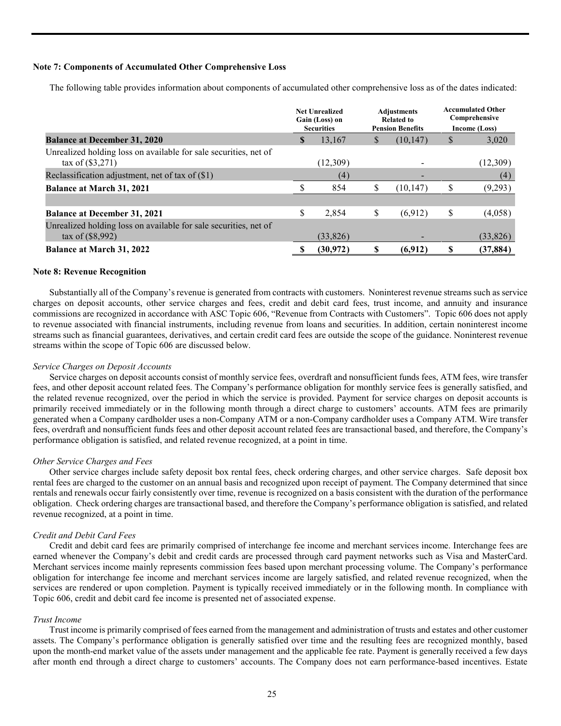#### **Note 7: Components of Accumulated Other Comprehensive Loss**

The following table provides information about components of accumulated other comprehensive loss as of the dates indicated:

|                                                                                               |    | <b>Net Unrealized</b><br>Gain (Loss) on<br><b>Securities</b> | <b>Adjustments</b><br><b>Related to</b><br><b>Pension Benefits</b> |           | <b>Accumulated Other</b><br>Comprehensive<br>Income (Loss) |           |
|-----------------------------------------------------------------------------------------------|----|--------------------------------------------------------------|--------------------------------------------------------------------|-----------|------------------------------------------------------------|-----------|
| <b>Balance at December 31, 2020</b>                                                           | S  | 13,167                                                       | <b>S</b>                                                           | (10, 147) | \$                                                         | 3,020     |
| Unrealized holding loss on available for sale securities, net of<br>$\text{tax of } ($3,271)$ |    | (12,309)                                                     |                                                                    |           |                                                            | (12,309)  |
| Reclassification adjustment, net of tax of $(\$1)$                                            |    | (4)                                                          |                                                                    |           |                                                            | (4)       |
| <b>Balance at March 31, 2021</b>                                                              |    | 854                                                          |                                                                    | (10, 147) | \$                                                         | (9,293)   |
|                                                                                               |    |                                                              |                                                                    |           |                                                            |           |
| <b>Balance at December 31, 2021</b>                                                           | \$ | 2.854                                                        | S                                                                  | (6,912)   | \$                                                         | (4,058)   |
| Unrealized holding loss on available for sale securities, net of<br>$\text{tax of } ($8,992)$ |    | (33, 826)                                                    |                                                                    |           |                                                            | (33,826)  |
| <b>Balance at March 31, 2022</b>                                                              |    | (30, 972)                                                    |                                                                    | (6,912)   | S                                                          | (37, 884) |

#### <span id="page-24-0"></span>**Note 8: Revenue Recognition**

Substantially all of the Company's revenue is generated from contracts with customers. Noninterest revenue streams such as service charges on deposit accounts, other service charges and fees, credit and debit card fees, trust income, and annuity and insurance commissions are recognized in accordance with ASC Topic 606, "Revenue from Contracts with Customers". Topic 606 does not apply to revenue associated with financial instruments, including revenue from loans and securities. In addition, certain noninterest income streams such as financial guarantees, derivatives, and certain credit card fees are outside the scope of the guidance. Noninterest revenue streams within the scope of Topic 606 are discussed below.

#### *Service Charges on Deposit Accounts*

Service charges on deposit accounts consist of monthly service fees, overdraft and nonsufficient funds fees, ATM fees, wire transfer fees, and other deposit account related fees. The Company's performance obligation for monthly service fees is generally satisfied, and the related revenue recognized, over the period in which the service is provided. Payment for service charges on deposit accounts is primarily received immediately or in the following month through a direct charge to customers' accounts. ATM fees are primarily generated when a Company cardholder uses a non-Company ATM or a non-Company cardholder uses a Company ATM. Wire transfer fees, overdraft and nonsufficient funds fees and other deposit account related fees are transactional based, and therefore, the Company's performance obligation is satisfied, and related revenue recognized, at a point in time.

#### *Other Service Charges and Fees*

Other service charges include safety deposit box rental fees, check ordering charges, and other service charges. Safe deposit box rental fees are charged to the customer on an annual basis and recognized upon receipt of payment. The Company determined that since rentals and renewals occur fairly consistently over time, revenue is recognized on a basis consistent with the duration of the performance obligation. Check ordering charges are transactional based, and therefore the Company's performance obligation is satisfied, and related revenue recognized, at a point in time.

#### *Credit and Debit Card Fees*

Credit and debit card fees are primarily comprised of interchange fee income and merchant services income. Interchange fees are earned whenever the Company's debit and credit cards are processed through card payment networks such as Visa and MasterCard. Merchant services income mainly represents commission fees based upon merchant processing volume. The Company's performance obligation for interchange fee income and merchant services income are largely satisfied, and related revenue recognized, when the services are rendered or upon completion. Payment is typically received immediately or in the following month. In compliance with Topic 606, credit and debit card fee income is presented net of associated expense.

#### *Trust Income*

Trust income is primarily comprised of fees earned from the management and administration of trusts and estates and other customer assets. The Company's performance obligation is generally satisfied over time and the resulting fees are recognized monthly, based upon the month-end market value of the assets under management and the applicable fee rate. Payment is generally received a few days after month end through a direct charge to customers' accounts. The Company does not earn performance-based incentives. Estate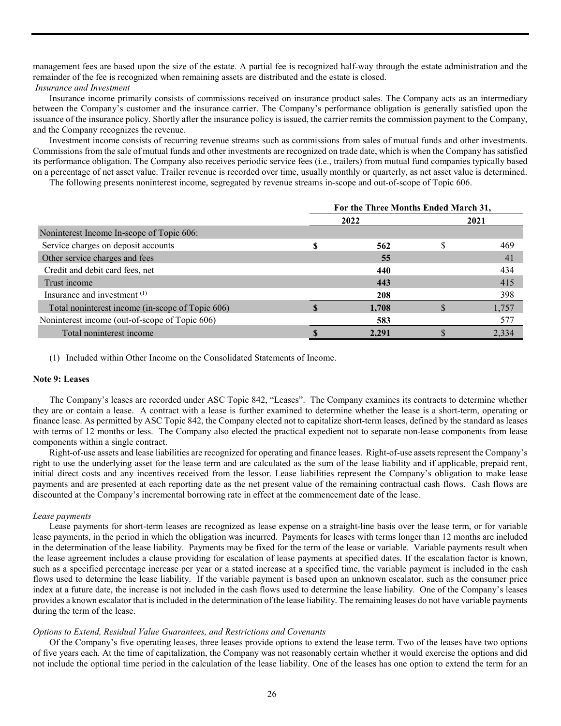management fees are based upon the size of the estate. A partial fee is recognized half-way through the estate administration and the remainder of the fee is recognized when remaining assets are distributed and the estate is closed. *Insurance and Investment*

Insurance income primarily consists of commissions received on insurance product sales. The Company acts as an intermediary between the Company's customer and the insurance carrier. The Company's performance obligation is generally satisfied upon the issuance of the insurance policy. Shortly after the insurance policy is issued, the carrier remits the commission payment to the Company, and the Company recognizes the revenue.

Investment income consists of recurring revenue streams such as commissions from sales of mutual funds and other investments. Commissions from the sale of mutual funds and other investments are recognized on trade date, which is when the Company has satisfied its performance obligation. The Company also receives periodic service fees (i.e., trailers) from mutual fund companies typically based on a percentage of net asset value. Trailer revenue is recorded over time, usually monthly or quarterly, as net asset value is determined.

The following presents noninterest income, segregated by revenue streams in-scope and out-of-scope of Topic 606.

|                                                  | For the Three Months Ended March 31, |       |      |       |  |  |  |
|--------------------------------------------------|--------------------------------------|-------|------|-------|--|--|--|
|                                                  |                                      | 2022  | 2021 |       |  |  |  |
| Noninterest Income In-scope of Topic 606:        |                                      |       |      |       |  |  |  |
| Service charges on deposit accounts              | £.                                   | 562   |      | 469   |  |  |  |
| Other service charges and fees                   |                                      | 55    |      | 41    |  |  |  |
| Credit and debit card fees, net                  |                                      | 440   |      | 434   |  |  |  |
| Trust income                                     |                                      | 443   |      | 415   |  |  |  |
| Insurance and investment (1)                     |                                      | 208   |      | 398   |  |  |  |
| Total noninterest income (in-scope of Topic 606) |                                      | 1,708 |      | 1,757 |  |  |  |
| Noninterest income (out-of-scope of Topic 606)   |                                      | 583   |      | 577   |  |  |  |
| Total noninterest income                         |                                      | 2,291 |      | 2,334 |  |  |  |

(1) Included within Other Income on the Consolidated Statements of Income.

#### **Note 9: Leases**

The Company's leases are recorded under ASC Topic 842, "Leases". The Company examines its contracts to determine whether they are or contain a lease. A contract with a lease is further examined to determine whether the lease is a short-term, operating or finance lease. As permitted by ASC Topic 842, the Company elected not to capitalize short-term leases, defined by the standard as leases with terms of 12 months or less. The Company also elected the practical expedient not to separate non-lease components from lease components within a single contract.

Right-of-use assets and lease liabilities are recognized for operating and finance leases. Right-of-use assets represent the Company's right to use the underlying asset for the lease term and are calculated as the sum of the lease liability and if applicable, prepaid rent, initial direct costs and any incentives received from the lessor. Lease liabilities represent the Company's obligation to make lease payments and are presented at each reporting date as the net present value of the remaining contractual cash flows. Cash flows are discounted at the Company's incremental borrowing rate in effect at the commencement date of the lease.

#### *Lease payments*

Lease payments for short-term leases are recognized as lease expense on a straight-line basis over the lease term, or for variable lease payments, in the period in which the obligation was incurred. Payments for leases with terms longer than 12 months are included in the determination of the lease liability. Payments may be fixed for the term of the lease or variable. Variable payments result when the lease agreement includes a clause providing for escalation of lease payments at specified dates. If the escalation factor is known, such as a specified percentage increase per year or a stated increase at a specified time, the variable payment is included in the cash flows used to determine the lease liability. If the variable payment is based upon an unknown escalator, such as the consumer price index at a future date, the increase is not included in the cash flows used to determine the lease liability. One of the Company's leases provides a known escalator that isincluded in the determination of the lease liability. The remaining leases do not have variable payments during the term of the lease.

#### *Options to Extend, Residual Value Guarantees, and Restrictions and Covenants*

Of the Company's five operating leases, three leases provide options to extend the lease term. Two of the leases have two options of five years each. At the time of capitalization, the Company was not reasonably certain whether it would exercise the options and did not include the optional time period in the calculation of the lease liability. One of the leases has one option to extend the term for an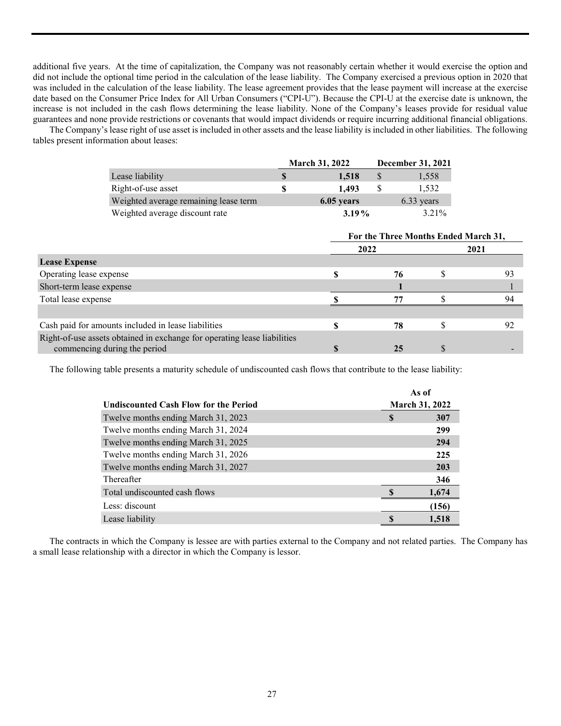additional five years. At the time of capitalization, the Company was not reasonably certain whether it would exercise the option and did not include the optional time period in the calculation of the lease liability. The Company exercised a previous option in 2020 that was included in the calculation of the lease liability. The lease agreement provides that the lease payment will increase at the exercise date based on the Consumer Price Index for All Urban Consumers ("CPI-U"). Because the CPI-U at the exercise date is unknown, the increase is not included in the cash flows determining the lease liability. None of the Company's leases provide for residual value guarantees and none provide restrictions or covenants that would impact dividends or require incurring additional financial obligations.

 The Company's lease right of use asset is included in other assets and the lease liability is included in other liabilities. The following tables present information about leases:

|                                       |   | <b>March 31, 2022</b> | December 31, 2021 |            |  |
|---------------------------------------|---|-----------------------|-------------------|------------|--|
| Lease liability                       |   | 1.518                 |                   | 1,558      |  |
| Right-of-use asset                    | S | 1.493                 |                   | 1.532      |  |
| Weighted average remaining lease term |   | 6.05 years            |                   | 6.33 years |  |
| Weighted average discount rate        |   | $3.19\%$              |                   | 3.21%      |  |

|                                                                          | For the Three Months Ended March 31, |    |      |
|--------------------------------------------------------------------------|--------------------------------------|----|------|
|                                                                          | 2022                                 |    | 2021 |
| <b>Lease Expense</b>                                                     |                                      |    |      |
| Operating lease expense                                                  | 76                                   |    | 93   |
| Short-term lease expense                                                 |                                      |    |      |
| Total lease expense                                                      |                                      |    | 94   |
|                                                                          |                                      |    |      |
| Cash paid for amounts included in lease liabilities                      | 78                                   |    | 92   |
| Right-of-use assets obtained in exchange for operating lease liabilities |                                      |    |      |
| commencing during the period                                             | 25                                   | JD |      |

The following table presents a maturity schedule of undiscounted cash flows that contribute to the lease liability:

|                                              |   | As of                 |
|----------------------------------------------|---|-----------------------|
| <b>Undiscounted Cash Flow for the Period</b> |   | <b>March 31, 2022</b> |
| Twelve months ending March 31, 2023          | S | 307                   |
| Twelve months ending March 31, 2024          |   | 299                   |
| Twelve months ending March 31, 2025          |   | 294                   |
| Twelve months ending March 31, 2026          |   | 225                   |
| Twelve months ending March 31, 2027          |   | 203                   |
| Thereafter                                   |   | 346                   |
| Total undiscounted cash flows                |   | 1,674                 |
| Less: discount                               |   | (156)                 |
| Lease liability                              |   | 1,518                 |

The contracts in which the Company is lessee are with parties external to the Company and not related parties. The Company has a small lease relationship with a director in which the Company is lessor.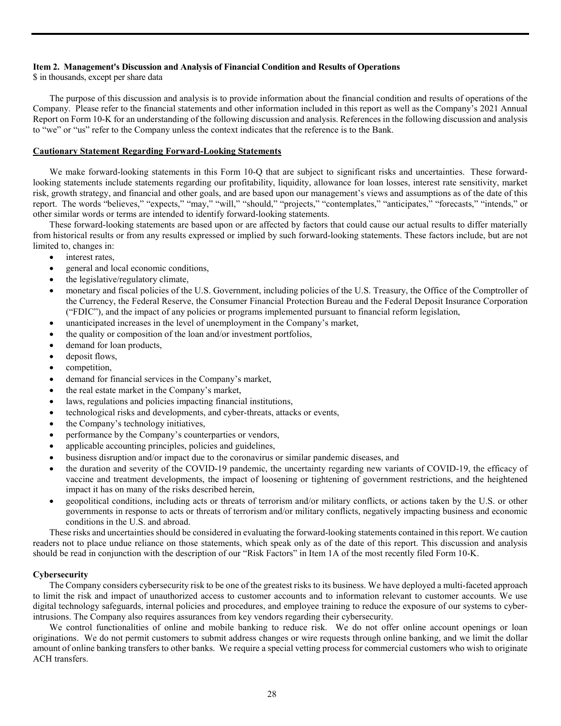### **Item 2. Management's Discussion and Analysis of Financial Condition and Results of Operations**

\$ in thousands, except per share data

The purpose of this discussion and analysis is to provide information about the financial condition and results of operations of the Company. Please refer to the financial statements and other information included in this report as well as the Company's 2021 Annual Report on Form 10-K for an understanding of the following discussion and analysis. References in the following discussion and analysis to "we" or "us" refer to the Company unless the context indicates that the reference is to the Bank.

## **Cautionary Statement Regarding Forward-Looking Statements**

We make forward-looking statements in this Form 10-Q that are subject to significant risks and uncertainties. These forwardlooking statements include statements regarding our profitability, liquidity, allowance for loan losses, interest rate sensitivity, market risk, growth strategy, and financial and other goals, and are based upon our management's views and assumptions as of the date of this report. The words "believes," "expects," "may," "will," "should," "projects," "contemplates," "anticipates," "forecasts," "intends," or other similar words or terms are intended to identify forward-looking statements.

These forward-looking statements are based upon or are affected by factors that could cause our actual results to differ materially from historical results or from any results expressed or implied by such forward-looking statements. These factors include, but are not limited to, changes in:

- interest rates.
- general and local economic conditions,
- the legislative/regulatory climate,
- monetary and fiscal policies of the U.S. Government, including policies of the U.S. Treasury, the Office of the Comptroller of the Currency, the Federal Reserve, the Consumer Financial Protection Bureau and the Federal Deposit Insurance Corporation ("FDIC"), and the impact of any policies or programs implemented pursuant to financial reform legislation,
- unanticipated increases in the level of unemployment in the Company's market,
- the quality or composition of the loan and/or investment portfolios,
- demand for loan products,
- deposit flows,
- competition,
- demand for financial services in the Company's market,
- the real estate market in the Company's market,
- laws, regulations and policies impacting financial institutions,
- technological risks and developments, and cyber-threats, attacks or events,
- the Company's technology initiatives,
- performance by the Company's counterparties or vendors,
- applicable accounting principles, policies and guidelines,
- business disruption and/or impact due to the coronavirus or similar pandemic diseases, and
- the duration and severity of the COVID-19 pandemic, the uncertainty regarding new variants of COVID-19, the efficacy of vaccine and treatment developments, the impact of loosening or tightening of government restrictions, and the heightened impact it has on many of the risks described herein,
- geopolitical conditions, including acts or threats of terrorism and/or military conflicts, or actions taken by the U.S. or other governments in response to acts or threats of terrorism and/or military conflicts, negatively impacting business and economic conditions in the U.S. and abroad.

These risks and uncertainties should be considered in evaluating the forward-looking statements contained in this report. We caution readers not to place undue reliance on those statements, which speak only as of the date of this report. This discussion and analysis should be read in conjunction with the description of our "Risk Factors" in Item 1A of the most recently filed Form 10-K.

## **Cybersecurity**

 The Company considers cybersecurity risk to be one of the greatest risks to its business. We have deployed a multi-faceted approach to limit the risk and impact of unauthorized access to customer accounts and to information relevant to customer accounts. We use digital technology safeguards, internal policies and procedures, and employee training to reduce the exposure of our systems to cyberintrusions. The Company also requires assurances from key vendors regarding their cybersecurity.

We control functionalities of online and mobile banking to reduce risk. We do not offer online account openings or loan originations. We do not permit customers to submit address changes or wire requests through online banking, and we limit the dollar amount of online banking transfers to other banks. We require a special vetting process for commercial customers who wish to originate ACH transfers.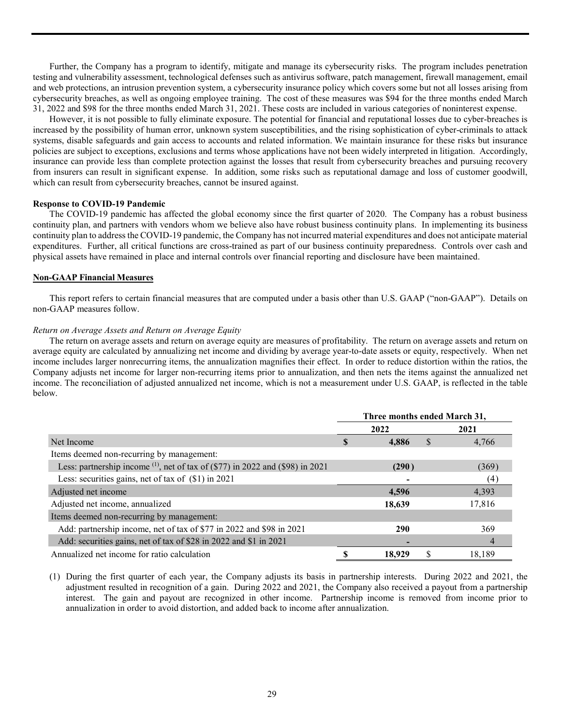Further, the Company has a program to identify, mitigate and manage its cybersecurity risks. The program includes penetration testing and vulnerability assessment, technological defenses such as antivirus software, patch management, firewall management, email and web protections, an intrusion prevention system, a cybersecurity insurance policy which covers some but not all losses arising from cybersecurity breaches, as well as ongoing employee training. The cost of these measures was \$94 for the three months ended March 31, 2022 and \$98 for the three months ended March 31, 2021. These costs are included in various categories of noninterest expense.

However, it is not possible to fully eliminate exposure. The potential for financial and reputational losses due to cyber-breaches is increased by the possibility of human error, unknown system susceptibilities, and the rising sophistication of cyber-criminals to attack systems, disable safeguards and gain access to accounts and related information. We maintain insurance for these risks but insurance policies are subject to exceptions, exclusions and terms whose applications have not been widely interpreted in litigation. Accordingly, insurance can provide less than complete protection against the losses that result from cybersecurity breaches and pursuing recovery from insurers can result in significant expense. In addition, some risks such as reputational damage and loss of customer goodwill, which can result from cybersecurity breaches, cannot be insured against.

#### **Response to COVID-19 Pandemic**

 The COVID-19 pandemic has affected the global economy since the first quarter of 2020. The Company has a robust business continuity plan, and partners with vendors whom we believe also have robust business continuity plans. In implementing its business continuity plan to address the COVID-19 pandemic, the Company has not incurred material expenditures and does not anticipate material expenditures. Further, all critical functions are cross-trained as part of our business continuity preparedness. Controls over cash and physical assets have remained in place and internal controls over financial reporting and disclosure have been maintained.

#### **Non-GAAP Financial Measures**

This report refers to certain financial measures that are computed under a basis other than U.S. GAAP ("non-GAAP"). Details on non-GAAP measures follow.

## *Return on Average Assets and Return on Average Equity*

The return on average assets and return on average equity are measures of profitability. The return on average assets and return on average equity are calculated by annualizing net income and dividing by average year-to-date assets or equity, respectively. When net income includes larger nonrecurring items, the annualization magnifies their effect. In order to reduce distortion within the ratios, the Company adjusts net income for larger non-recurring items prior to annualization, and then nets the items against the annualized net income. The reconciliation of adjusted annualized net income, which is not a measurement under U.S. GAAP, is reflected in the table below.

|                                                                                      | Three months ended March 31, |            |   |        |  |
|--------------------------------------------------------------------------------------|------------------------------|------------|---|--------|--|
|                                                                                      |                              | 2022       |   | 2021   |  |
| Net Income                                                                           | <b>S</b>                     | 4,886      | S | 4,766  |  |
| Items deemed non-recurring by management:                                            |                              |            |   |        |  |
| Less: partnership income $(1)$ , net of tax of $(\$77)$ in 2022 and $(\$98)$ in 2021 |                              | (290)      |   | (369)  |  |
| Less: securities gains, net of tax of $(1)$ in 2021                                  |                              |            |   | (4)    |  |
| Adjusted net income                                                                  |                              | 4,596      |   | 4,393  |  |
| Adjusted net income, annualized                                                      |                              | 18,639     |   | 17,816 |  |
| Items deemed non-recurring by management:                                            |                              |            |   |        |  |
| Add: partnership income, net of tax of \$77 in 2022 and \$98 in 2021                 |                              | <b>290</b> |   | 369    |  |
| Add: securities gains, net of tax of \$28 in 2022 and \$1 in 2021                    |                              |            |   |        |  |
| Annualized net income for ratio calculation                                          |                              | 18.929     |   | 18.189 |  |

(1) During the first quarter of each year, the Company adjusts its basis in partnership interests. During 2022 and 2021, the adjustment resulted in recognition of a gain. During 2022 and 2021, the Company also received a payout from a partnership interest. The gain and payout are recognized in other income. Partnership income is removed from income prior to annualization in order to avoid distortion, and added back to income after annualization.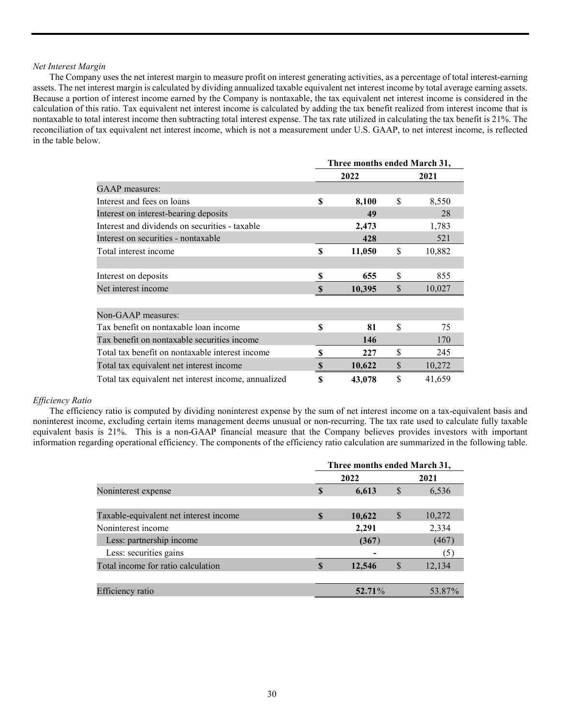#### *Net Interest Margin*

The Company uses the net interest margin to measure profit on interest generating activities, as a percentage of total interest-earning assets. The net interest margin is calculated by dividing annualized taxable equivalent net interest income by total average earning assets. Because a portion of interest income earned by the Company is nontaxable, the tax equivalent net interest income is considered in the calculation of this ratio. Tax equivalent net interest income is calculated by adding the tax benefit realized from interest income that is nontaxable to total interest income then subtracting total interest expense. The tax rate utilized in calculating the tax benefit is 21%. The reconciliation of tax equivalent net interest income, which is not a measurement under U.S. GAAP, to net interest income, is reflected in the table below.

|                                                      | Three months ended March 31, |        |    |        |
|------------------------------------------------------|------------------------------|--------|----|--------|
|                                                      |                              | 2022   |    | 2021   |
| <b>GAAP</b> measures:                                |                              |        |    |        |
| Interest and fees on loans                           | S                            | 8,100  | \$ | 8,550  |
| Interest on interest-bearing deposits                |                              | 49     |    | 28     |
| Interest and dividends on securities - taxable       |                              | 2,473  |    | 1,783  |
| Interest on securities - nontaxable                  |                              | 428    |    | 521    |
| Total interest income                                | S                            | 11,050 | \$ | 10,882 |
|                                                      |                              |        |    |        |
| Interest on deposits                                 | \$                           | 655    | \$ | 855    |
| Net interest income                                  | S                            | 10,395 | \$ | 10,027 |
| Non-GAAP measures:                                   |                              |        |    |        |
| Tax benefit on nontaxable loan income                | S                            | 81     | \$ | 75     |
| Tax benefit on nontaxable securities income          |                              | 146    |    | 170    |
| Total tax benefit on nontaxable interest income      | \$                           | 227    | \$ | 245    |
| Total tax equivalent net interest income             | \$                           | 10,622 | \$ | 10,272 |
| Total tax equivalent net interest income, annualized | S                            | 43,078 | \$ | 41,659 |

## *Efficiency Ratio*

The efficiency ratio is computed by dividing noninterest expense by the sum of net interest income on a tax-equivalent basis and noninterest income, excluding certain items management deems unusual or non-recurring. The tax rate used to calculate fully taxable equivalent basis is 21%. This is a non-GAAP financial measure that the Company believes provides investors with important information regarding operational efficiency. The components of the efficiency ratio calculation are summarized in the following table.

|                                        | Three months ended March 31, |        |              |        |  |  |  |
|----------------------------------------|------------------------------|--------|--------------|--------|--|--|--|
|                                        |                              | 2021   |              |        |  |  |  |
| Noninterest expense                    | S                            | 6,613  | <sup>S</sup> | 6,536  |  |  |  |
|                                        |                              |        |              |        |  |  |  |
| Taxable-equivalent net interest income | <b>S</b>                     | 10,622 | <sup>S</sup> | 10,272 |  |  |  |
| Noninterest income                     |                              | 2,291  |              | 2,334  |  |  |  |
| Less: partnership income               |                              | (367)  |              | (467)  |  |  |  |
| Less: securities gains                 |                              |        |              | (5)    |  |  |  |
| Total income for ratio calculation     | $\mathbf S$                  | 12,546 | <b>S</b>     | 12,134 |  |  |  |
|                                        |                              |        |              |        |  |  |  |
| Efficiency ratio                       |                              | 52.71% |              | 53.87% |  |  |  |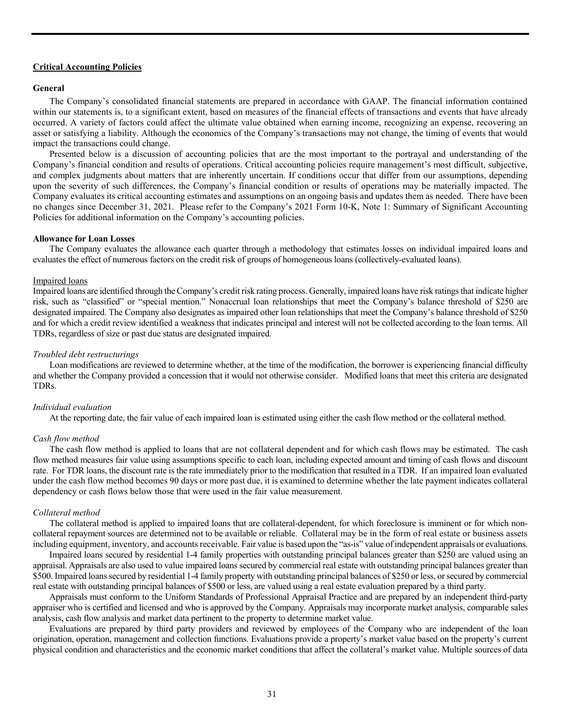## **Critical Accounting Policies**

## **General**

The Company's consolidated financial statements are prepared in accordance with GAAP. The financial information contained within our statements is, to a significant extent, based on measures of the financial effects of transactions and events that have already occurred. A variety of factors could affect the ultimate value obtained when earning income, recognizing an expense, recovering an asset or satisfying a liability. Although the economics of the Company's transactions may not change, the timing of events that would impact the transactions could change.

Presented below is a discussion of accounting policies that are the most important to the portrayal and understanding of the Company's financial condition and results of operations. Critical accounting policies require management's most difficult, subjective, and complex judgments about matters that are inherently uncertain. If conditions occur that differ from our assumptions, depending upon the severity of such differences, the Company's financial condition or results of operations may be materially impacted. The Company evaluates its critical accounting estimates and assumptions on an ongoing basis and updates them as needed. There have been no changes since December 31, 2021. Please refer to the Company's 2021 Form 10-K, Note 1: Summary of Significant Accounting Policies for additional information on the Company's accounting policies.

#### **Allowance for Loan Losses**

The Company evaluates the allowance each quarter through a methodology that estimates losses on individual impaired loans and evaluates the effect of numerous factors on the credit risk of groups of homogeneous loans (collectively-evaluated loans).

#### Impaired loans

Impaired loans are identified through the Company's credit risk rating process. Generally, impaired loans have risk ratings that indicate higher risk, such as "classified" or "special mention." Nonaccrual loan relationships that meet the Company's balance threshold of \$250 are designated impaired. The Company also designates as impaired other loan relationships that meet the Company's balance threshold of \$250 and for which a credit review identified a weakness that indicates principal and interest will not be collected according to the loan terms. All TDRs, regardless of size or past due status are designated impaired.

#### *Troubled debt restructurings*

Loan modifications are reviewed to determine whether, at the time of the modification, the borrower is experiencing financial difficulty and whether the Company provided a concession that it would not otherwise consider. Modified loans that meet this criteria are designated TDRs.

#### *Individual evaluation*

At the reporting date, the fair value of each impaired loan is estimated using either the cash flow method or the collateral method.

#### *Cash flow method*

The cash flow method is applied to loans that are not collateral dependent and for which cash flows may be estimated. The cash flow method measures fair value using assumptions specific to each loan, including expected amount and timing of cash flows and discount rate. For TDR loans, the discount rate is the rate immediately prior to the modification that resulted in a TDR. If an impaired loan evaluated under the cash flow method becomes 90 days or more past due, it is examined to determine whether the late payment indicates collateral dependency or cash flows below those that were used in the fair value measurement.

#### *Collateral method*

The collateral method is applied to impaired loans that are collateral-dependent, for which foreclosure is imminent or for which noncollateral repayment sources are determined not to be available or reliable. Collateral may be in the form of real estate or business assets including equipment, inventory, and accounts receivable. Fair value is based upon the "as-is" value of independent appraisals or evaluations.

 Impaired loans secured by residential 1-4 family properties with outstanding principal balances greater than \$250 are valued using an appraisal. Appraisals are also used to value impaired loans secured by commercial real estate with outstanding principal balances greater than \$500. Impaired loans secured by residential 1-4 family property with outstanding principal balances of \$250 or less, or secured by commercial real estate with outstanding principal balances of \$500 or less, are valued using a real estate evaluation prepared by a third party.

Appraisals must conform to the Uniform Standards of Professional Appraisal Practice and are prepared by an independent third-party appraiser who is certified and licensed and who is approved by the Company. Appraisals may incorporate market analysis, comparable sales analysis, cash flow analysis and market data pertinent to the property to determine market value.

Evaluations are prepared by third party providers and reviewed by employees of the Company who are independent of the loan origination, operation, management and collection functions. Evaluations provide a property's market value based on the property's current physical condition and characteristics and the economic market conditions that affect the collateral's market value. Multiple sources of data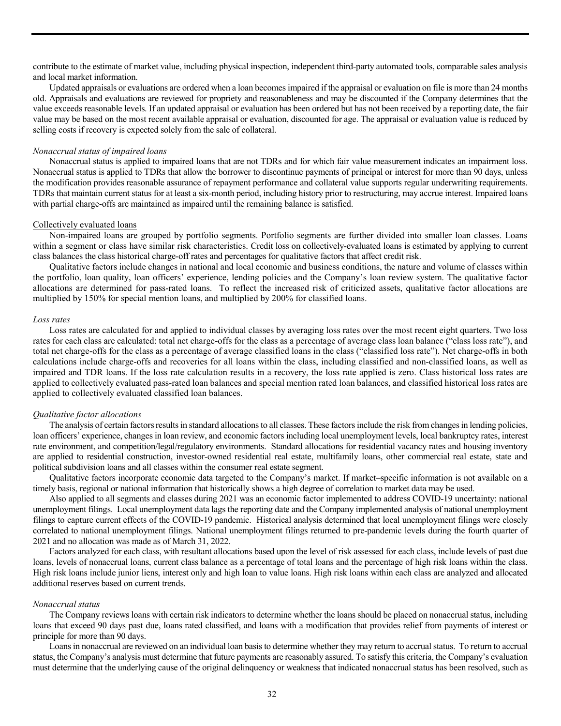contribute to the estimate of market value, including physical inspection, independent third-party automated tools, comparable sales analysis and local market information.

Updated appraisals or evaluations are ordered when a loan becomes impaired if the appraisal or evaluation on file is more than 24 months old. Appraisals and evaluations are reviewed for propriety and reasonableness and may be discounted if the Company determines that the value exceeds reasonable levels. If an updated appraisal or evaluation has been ordered but has not been received by a reporting date, the fair value may be based on the most recent available appraisal or evaluation, discounted for age. The appraisal or evaluation value is reduced by selling costs if recovery is expected solely from the sale of collateral.

#### *Nonaccrual status of impaired loans*

Nonaccrual status is applied to impaired loans that are not TDRs and for which fair value measurement indicates an impairment loss. Nonaccrual status is applied to TDRs that allow the borrower to discontinue payments of principal or interest for more than 90 days, unless the modification provides reasonable assurance of repayment performance and collateral value supports regular underwriting requirements. TDRs that maintain current status for at least a six-month period, including history prior to restructuring, may accrue interest. Impaired loans with partial charge-offs are maintained as impaired until the remaining balance is satisfied.

#### Collectively evaluated loans

Non-impaired loans are grouped by portfolio segments. Portfolio segments are further divided into smaller loan classes. Loans within a segment or class have similar risk characteristics. Credit loss on collectively-evaluated loans is estimated by applying to current class balances the class historical charge-off rates and percentages for qualitative factors that affect credit risk.

Qualitative factors include changes in national and local economic and business conditions, the nature and volume of classes within the portfolio, loan quality, loan officers' experience, lending policies and the Company's loan review system. The qualitative factor allocations are determined for pass-rated loans. To reflect the increased risk of criticized assets, qualitative factor allocations are multiplied by 150% for special mention loans, and multiplied by 200% for classified loans.

#### *Loss rates*

Loss rates are calculated for and applied to individual classes by averaging loss rates over the most recent eight quarters. Two loss rates for each class are calculated: total net charge-offs for the class as a percentage of average class loan balance ("class loss rate"), and total net charge-offs for the class as a percentage of average classified loans in the class ("classified loss rate"). Net charge-offs in both calculations include charge-offs and recoveries for all loans within the class, including classified and non-classified loans, as well as impaired and TDR loans. If the loss rate calculation results in a recovery, the loss rate applied is zero. Class historical loss rates are applied to collectively evaluated pass-rated loan balances and special mention rated loan balances, and classified historical loss rates are applied to collectively evaluated classified loan balances.

#### *Qualitative factor allocations*

The analysis of certain factors results in standard allocations to all classes. These factors include the risk from changes in lending policies, loan officers' experience, changes in loan review, and economic factors including local unemployment levels, local bankruptcy rates, interest rate environment, and competition/legal/regulatory environments. Standard allocations for residential vacancy rates and housing inventory are applied to residential construction, investor-owned residential real estate, multifamily loans, other commercial real estate, state and political subdivision loans and all classes within the consumer real estate segment.

Qualitative factors incorporate economic data targeted to the Company's market. If market–specific information is not available on a timely basis, regional or national information that historically shows a high degree of correlation to market data may be used.

Also applied to all segments and classes during 2021 was an economic factor implemented to address COVID-19 uncertainty: national unemployment filings. Local unemployment data lags the reporting date and the Company implemented analysis of national unemployment filings to capture current effects of the COVID-19 pandemic. Historical analysis determined that local unemployment filings were closely correlated to national unemployment filings. National unemployment filings returned to pre-pandemic levels during the fourth quarter of 2021 and no allocation was made as of March 31, 2022.

Factors analyzed for each class, with resultant allocations based upon the level of risk assessed for each class, include levels of past due loans, levels of nonaccrual loans, current class balance as a percentage of total loans and the percentage of high risk loans within the class. High risk loans include junior liens, interest only and high loan to value loans. High risk loans within each class are analyzed and allocated additional reserves based on current trends.

#### *Nonaccrual status*

The Company reviews loans with certain risk indicators to determine whether the loans should be placed on nonaccrual status, including loans that exceed 90 days past due, loans rated classified, and loans with a modification that provides relief from payments of interest or principle for more than 90 days.

Loans in nonaccrual are reviewed on an individual loan basis to determine whether they may return to accrual status. To return to accrual status, the Company's analysis must determine that future payments are reasonably assured. To satisfy this criteria, the Company's evaluation must determine that the underlying cause of the original delinquency or weakness that indicated nonaccrual status has been resolved, such as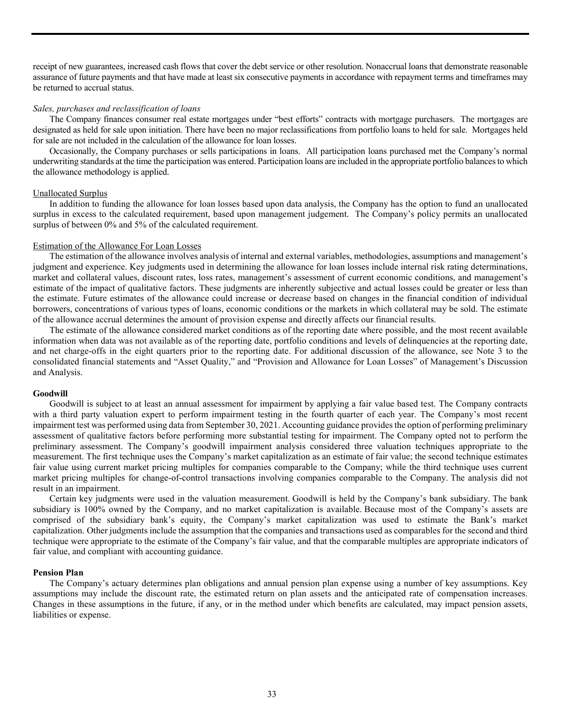receipt of new guarantees, increased cash flows that cover the debt service or other resolution. Nonaccrual loans that demonstrate reasonable assurance of future payments and that have made at least six consecutive payments in accordance with repayment terms and timeframes may be returned to accrual status.

#### *Sales, purchases and reclassification of loans*

The Company finances consumer real estate mortgages under "best efforts" contracts with mortgage purchasers. The mortgages are designated as held for sale upon initiation. There have been no major reclassifications from portfolio loans to held for sale. Mortgages held for sale are not included in the calculation of the allowance for loan losses.

Occasionally, the Company purchases or sells participations in loans. All participation loans purchased met the Company's normal underwriting standards at the time the participation was entered. Participation loans are included in the appropriate portfolio balances to which the allowance methodology is applied.

#### Unallocated Surplus

In addition to funding the allowance for loan losses based upon data analysis, the Company has the option to fund an unallocated surplus in excess to the calculated requirement, based upon management judgement. The Company's policy permits an unallocated surplus of between 0% and 5% of the calculated requirement.

#### Estimation of the Allowance For Loan Losses

The estimation of the allowance involves analysis of internal and external variables, methodologies, assumptions and management's judgment and experience. Key judgments used in determining the allowance for loan losses include internal risk rating determinations, market and collateral values, discount rates, loss rates, management's assessment of current economic conditions, and management's estimate of the impact of qualitative factors. These judgments are inherently subjective and actual losses could be greater or less than the estimate. Future estimates of the allowance could increase or decrease based on changes in the financial condition of individual borrowers, concentrations of various types of loans, economic conditions or the markets in which collateral may be sold. The estimate of the allowance accrual determines the amount of provision expense and directly affects our financial results.

The estimate of the allowance considered market conditions as of the reporting date where possible, and the most recent available information when data was not available as of the reporting date, portfolio conditions and levels of delinquencies at the reporting date, and net charge-offs in the eight quarters prior to the reporting date. For additional discussion of the allowance, see Note 3 to the consolidated financial statements and "Asset Quality," and "Provision and Allowance for Loan Losses" of Management's Discussion and Analysis.

## **Goodwill**

Goodwill is subject to at least an annual assessment for impairment by applying a fair value based test. The Company contracts with a third party valuation expert to perform impairment testing in the fourth quarter of each year. The Company's most recent impairment test was performed using data from September 30, 2021. Accounting guidance provides the option of performing preliminary assessment of qualitative factors before performing more substantial testing for impairment. The Company opted not to perform the preliminary assessment. The Company's goodwill impairment analysis considered three valuation techniques appropriate to the measurement. The first technique uses the Company's market capitalization as an estimate of fair value; the second technique estimates fair value using current market pricing multiples for companies comparable to the Company; while the third technique uses current market pricing multiples for change-of-control transactions involving companies comparable to the Company. The analysis did not result in an impairment.

Certain key judgments were used in the valuation measurement. Goodwill is held by the Company's bank subsidiary. The bank subsidiary is 100% owned by the Company, and no market capitalization is available. Because most of the Company's assets are comprised of the subsidiary bank's equity, the Company's market capitalization was used to estimate the Bank's market capitalization. Other judgments include the assumption that the companies and transactions used as comparables for the second and third technique were appropriate to the estimate of the Company's fair value, and that the comparable multiples are appropriate indicators of fair value, and compliant with accounting guidance.

#### **Pension Plan**

The Company's actuary determines plan obligations and annual pension plan expense using a number of key assumptions. Key assumptions may include the discount rate, the estimated return on plan assets and the anticipated rate of compensation increases. Changes in these assumptions in the future, if any, or in the method under which benefits are calculated, may impact pension assets, liabilities or expense.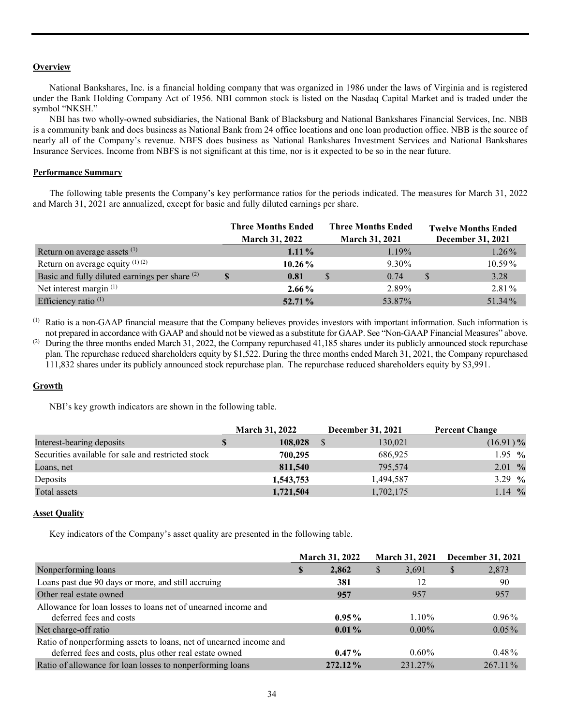## **Overview**

National Bankshares, Inc. is a financial holding company that was organized in 1986 under the laws of Virginia and is registered under the Bank Holding Company Act of 1956. NBI common stock is listed on the Nasdaq Capital Market and is traded under the symbol "NKSH."

NBI has two wholly-owned subsidiaries, the National Bank of Blacksburg and National Bankshares Financial Services, Inc. NBB is a community bank and does business as National Bank from 24 office locations and one loan production office. NBB is the source of nearly all of the Company's revenue. NBFS does business as National Bankshares Investment Services and National Bankshares Insurance Services. Income from NBFS is not significant at this time, nor is it expected to be so in the near future.

## **Performance Summary**

The following table presents the Company's key performance ratios for the periods indicated. The measures for March 31, 2022 and March 31, 2021 are annualized, except for basic and fully diluted earnings per share.

|                                                | <b>Three Months Ended</b><br><b>March 31, 2022</b> | <b>Three Months Ended</b><br><b>March 31, 2021</b> |        | <b>Twelve Months Ended</b><br><b>December 31, 2021</b> |           |
|------------------------------------------------|----------------------------------------------------|----------------------------------------------------|--------|--------------------------------------------------------|-----------|
| Return on average assets <sup>(1)</sup>        | $1.11\%$                                           |                                                    | 1.19%  |                                                        | $1.26\%$  |
| Return on average equity $(1)(2)$              | 10.26%                                             |                                                    | 9.30%  |                                                        | $10.59\%$ |
| Basic and fully diluted earnings per share (2) | 0.81                                               |                                                    | 0.74   |                                                        | 3.28      |
| Net interest margin $(1)$                      | $2.66\%$                                           |                                                    | 2.89%  |                                                        | $2.81\%$  |
| Efficiency ratio $(1)$                         | 52.71 %                                            |                                                    | 53.87% |                                                        | 51.34%    |

(1) Ratio is a non-GAAP financial measure that the Company believes provides investors with important information. Such information is not prepared in accordance with GAAP and should not be viewed as a substitute for GAAP. See "Non-GAAP Financial Measures" above.<br><sup>(2)</sup> During the three months ended March 31, 2022, the Company repurchased 41,185 shares und

plan. The repurchase reduced shareholders equity by \$1,522. During the three months ended March 31, 2021, the Company repurchased 111,832 shares under its publicly announced stock repurchase plan. The repurchase reduced shareholders equity by \$3,991.

## **Growth**

NBI's key growth indicators are shown in the following table.

|                                                    | <b>March 31, 2022</b> |  | <b>December 31, 2021</b> | <b>Percent Change</b> |
|----------------------------------------------------|-----------------------|--|--------------------------|-----------------------|
| Interest-bearing deposits                          | 108,028               |  | 130,021                  | $(16.91)\%$           |
| Securities available for sale and restricted stock | 700,295               |  | 686,925                  | 1.95 $%$              |
| Loans, net                                         | 811,540               |  | 795,574                  | $2.01\%$              |
| Deposits                                           | 1,543,753             |  | 1.494.587                | 3.29 $%$              |
| Total assets                                       | 1,721,504             |  | 1,702,175                | 1.14 $%$              |

## **Asset Quality**

Key indicators of the Company's asset quality are presented in the following table.

|                                                                                                                             |   | <b>March 31, 2022</b> | <b>March 31, 2021</b> |              | <b>December 31, 2021</b> |
|-----------------------------------------------------------------------------------------------------------------------------|---|-----------------------|-----------------------|--------------|--------------------------|
| Nonperforming loans                                                                                                         | S | 2,862                 | \$<br>3,691           | <sup>S</sup> | 2,873                    |
| Loans past due 90 days or more, and still accruing                                                                          |   | 381                   | 12                    |              | 90                       |
| Other real estate owned                                                                                                     |   | 957                   | 957                   |              | 957                      |
| Allowance for loan losses to loans net of unearned income and<br>deferred fees and costs                                    |   | $0.95\%$              | $1.10\%$              |              | $0.96\%$                 |
| Net charge-off ratio                                                                                                        |   | $0.01\%$              | $0.00\%$              |              | $0.05\%$                 |
| Ratio of nonperforming assets to loans, net of unearned income and<br>deferred fees and costs, plus other real estate owned |   | $0.47\%$              | $0.60\%$              |              | $0.48\%$                 |
| Ratio of allowance for loan losses to nonperforming loans                                                                   |   | $272.12\%$            | 231.27%               |              | $267.11\%$               |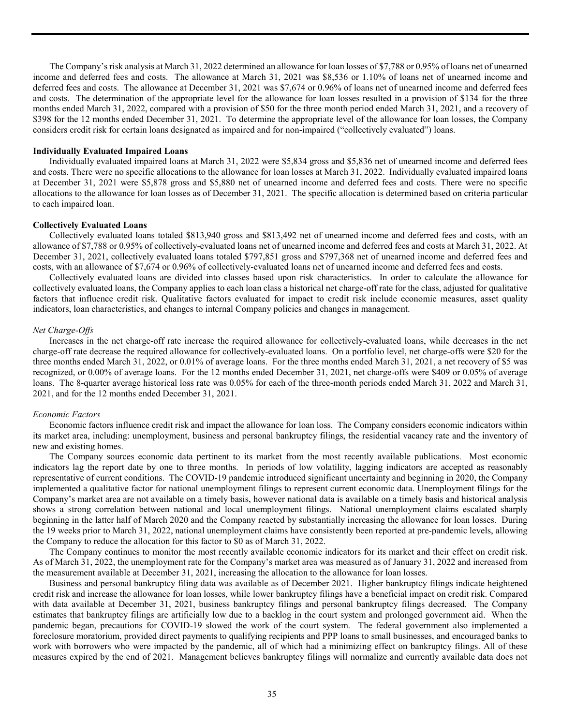The Company's risk analysis at March 31, 2022 determined an allowance for loan losses of \$7,788 or 0.95% of loans net of unearned income and deferred fees and costs. The allowance at March 31, 2021 was \$8,536 or 1.10% of loans net of unearned income and deferred fees and costs. The allowance at December 31, 2021 was \$7,674 or 0.96% of loans net of unearned income and deferred fees and costs. The determination of the appropriate level for the allowance for loan losses resulted in a provision of \$134 for the three months ended March 31, 2022, compared with a provision of \$50 for the three month period ended March 31, 2021, and a recovery of \$398 for the 12 months ended December 31, 2021. To determine the appropriate level of the allowance for loan losses, the Company considers credit risk for certain loans designated as impaired and for non-impaired ("collectively evaluated") loans.

#### **Individually Evaluated Impaired Loans**

Individually evaluated impaired loans at March 31, 2022 were \$5,834 gross and \$5,836 net of unearned income and deferred fees and costs. There were no specific allocations to the allowance for loan losses at March 31, 2022. Individually evaluated impaired loans at December 31, 2021 were \$5,878 gross and \$5,880 net of unearned income and deferred fees and costs. There were no specific allocations to the allowance for loan losses as of December 31, 2021. The specific allocation is determined based on criteria particular to each impaired loan.

#### **Collectively Evaluated Loans**

Collectively evaluated loans totaled \$813,940 gross and \$813,492 net of unearned income and deferred fees and costs, with an allowance of \$7,788 or 0.95% of collectively-evaluated loans net of unearned income and deferred fees and costs at March 31, 2022. At December 31, 2021, collectively evaluated loans totaled \$797,851 gross and \$797,368 net of unearned income and deferred fees and costs, with an allowance of \$7,674 or 0.96% of collectively-evaluated loans net of unearned income and deferred fees and costs.

Collectively evaluated loans are divided into classes based upon risk characteristics. In order to calculate the allowance for collectively evaluated loans, the Company applies to each loan class a historical net charge-off rate for the class, adjusted for qualitative factors that influence credit risk. Qualitative factors evaluated for impact to credit risk include economic measures, asset quality indicators, loan characteristics, and changes to internal Company policies and changes in management.

#### *Net Charge-Offs*

Increases in the net charge-off rate increase the required allowance for collectively-evaluated loans, while decreases in the net charge-off rate decrease the required allowance for collectively-evaluated loans. On a portfolio level, net charge-offs were \$20 for the three months ended March 31, 2022, or 0.01% of average loans. For the three months ended March 31, 2021, a net recovery of \$5 was recognized, or 0.00% of average loans. For the 12 months ended December 31, 2021, net charge-offs were \$409 or 0.05% of average loans. The 8-quarter average historical loss rate was 0.05% for each of the three-month periods ended March 31, 2022 and March 31, 2021, and for the 12 months ended December 31, 2021.

#### *Economic Factors*

Economic factors influence credit risk and impact the allowance for loan loss. The Company considers economic indicators within its market area, including: unemployment, business and personal bankruptcy filings, the residential vacancy rate and the inventory of new and existing homes.

The Company sources economic data pertinent to its market from the most recently available publications. Most economic indicators lag the report date by one to three months. In periods of low volatility, lagging indicators are accepted as reasonably representative of current conditions. The COVID-19 pandemic introduced significant uncertainty and beginning in 2020, the Company implemented a qualitative factor for national unemployment filings to represent current economic data. Unemployment filings for the Company's market area are not available on a timely basis, however national data is available on a timely basis and historical analysis shows a strong correlation between national and local unemployment filings. National unemployment claims escalated sharply beginning in the latter half of March 2020 and the Company reacted by substantially increasing the allowance for loan losses. During the 19 weeks prior to March 31, 2022, national unemployment claims have consistently been reported at pre-pandemic levels, allowing the Company to reduce the allocation for this factor to \$0 as of March 31, 2022.

The Company continues to monitor the most recently available economic indicators for its market and their effect on credit risk. As of March 31, 2022, the unemployment rate for the Company's market area was measured as of January 31, 2022 and increased from the measurement available at December 31, 2021, increasing the allocation to the allowance for loan losses.

Business and personal bankruptcy filing data was available as of December 2021. Higher bankruptcy filings indicate heightened credit risk and increase the allowance for loan losses, while lower bankruptcy filings have a beneficial impact on credit risk. Compared with data available at December 31, 2021, business bankruptcy filings and personal bankruptcy filings decreased. The Company estimates that bankruptcy filings are artificially low due to a backlog in the court system and prolonged government aid. When the pandemic began, precautions for COVID-19 slowed the work of the court system. The federal government also implemented a foreclosure moratorium, provided direct payments to qualifying recipients and PPP loans to small businesses, and encouraged banks to work with borrowers who were impacted by the pandemic, all of which had a minimizing effect on bankruptcy filings. All of these measures expired by the end of 2021. Management believes bankruptcy filings will normalize and currently available data does not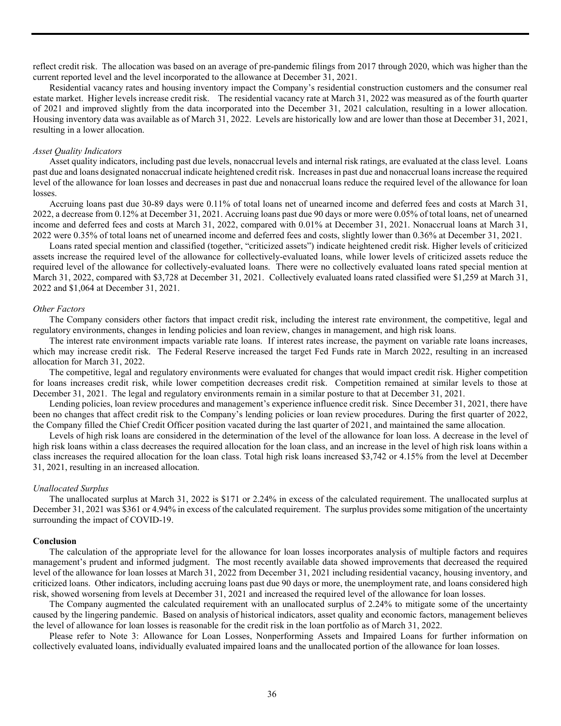reflect credit risk. The allocation was based on an average of pre-pandemic filings from 2017 through 2020, which was higher than the current reported level and the level incorporated to the allowance at December 31, 2021.

 Residential vacancy rates and housing inventory impact the Company's residential construction customers and the consumer real estate market. Higher levels increase credit risk. The residential vacancy rate at March 31, 2022 was measured as of the fourth quarter of 2021 and improved slightly from the data incorporated into the December 31, 2021 calculation, resulting in a lower allocation. Housing inventory data was available as of March 31, 2022. Levels are historically low and are lower than those at December 31, 2021, resulting in a lower allocation.

#### *Asset Quality Indicators*

Asset quality indicators, including past due levels, nonaccrual levels and internal risk ratings, are evaluated at the class level. Loans past due and loans designated nonaccrual indicate heightened credit risk. Increases in past due and nonaccrual loans increase the required level of the allowance for loan losses and decreases in past due and nonaccrual loans reduce the required level of the allowance for loan losses.

Accruing loans past due 30-89 days were 0.11% of total loans net of unearned income and deferred fees and costs at March 31, 2022, a decrease from 0.12% at December 31, 2021. Accruing loans past due 90 days or more were 0.05% of total loans, net of unearned income and deferred fees and costs at March 31, 2022, compared with 0.01% at December 31, 2021. Nonaccrual loans at March 31, 2022 were 0.35% of total loans net of unearned income and deferred fees and costs, slightly lower than 0.36% at December 31, 2021.

Loans rated special mention and classified (together, "criticized assets") indicate heightened credit risk. Higher levels of criticized assets increase the required level of the allowance for collectively-evaluated loans, while lower levels of criticized assets reduce the required level of the allowance for collectively-evaluated loans. There were no collectively evaluated loans rated special mention at March 31, 2022, compared with \$3,728 at December 31, 2021. Collectively evaluated loans rated classified were \$1,259 at March 31, 2022 and \$1,064 at December 31, 2021.

#### *Other Factors*

The Company considers other factors that impact credit risk, including the interest rate environment, the competitive, legal and regulatory environments, changes in lending policies and loan review, changes in management, and high risk loans.

The interest rate environment impacts variable rate loans. If interest rates increase, the payment on variable rate loans increases, which may increase credit risk. The Federal Reserve increased the target Fed Funds rate in March 2022, resulting in an increased allocation for March 31, 2022.

The competitive, legal and regulatory environments were evaluated for changes that would impact credit risk. Higher competition for loans increases credit risk, while lower competition decreases credit risk. Competition remained at similar levels to those at December 31, 2021. The legal and regulatory environments remain in a similar posture to that at December 31, 2021.

Lending policies, loan review procedures and management's experience influence credit risk. Since December 31, 2021, there have been no changes that affect credit risk to the Company's lending policies or loan review procedures. During the first quarter of 2022, the Company filled the Chief Credit Officer position vacated during the last quarter of 2021, and maintained the same allocation.

Levels of high risk loans are considered in the determination of the level of the allowance for loan loss. A decrease in the level of high risk loans within a class decreases the required allocation for the loan class, and an increase in the level of high risk loans within a class increases the required allocation for the loan class. Total high risk loans increased \$3,742 or 4.15% from the level at December 31, 2021, resulting in an increased allocation.

#### *Unallocated Surplus*

The unallocated surplus at March 31, 2022 is \$171 or 2.24% in excess of the calculated requirement. The unallocated surplus at December 31, 2021 was \$361 or 4.94% in excess of the calculated requirement. The surplus provides some mitigation of the uncertainty surrounding the impact of COVID-19.

#### **Conclusion**

The calculation of the appropriate level for the allowance for loan losses incorporates analysis of multiple factors and requires management's prudent and informed judgment. The most recently available data showed improvements that decreased the required level of the allowance for loan losses at March 31, 2022 from December 31, 2021 including residential vacancy, housing inventory, and criticized loans. Other indicators, including accruing loans past due 90 days or more, the unemployment rate, and loans considered high risk, showed worsening from levels at December 31, 2021 and increased the required level of the allowance for loan losses.

The Company augmented the calculated requirement with an unallocated surplus of 2.24% to mitigate some of the uncertainty caused by the lingering pandemic. Based on analysis of historical indicators, asset quality and economic factors, management believes the level of allowance for loan losses is reasonable for the credit risk in the loan portfolio as of March 31, 2022.

Please refer to Note 3: Allowance for Loan Losses, Nonperforming Assets and Impaired Loans for further information on collectively evaluated loans, individually evaluated impaired loans and the unallocated portion of the allowance for loan losses.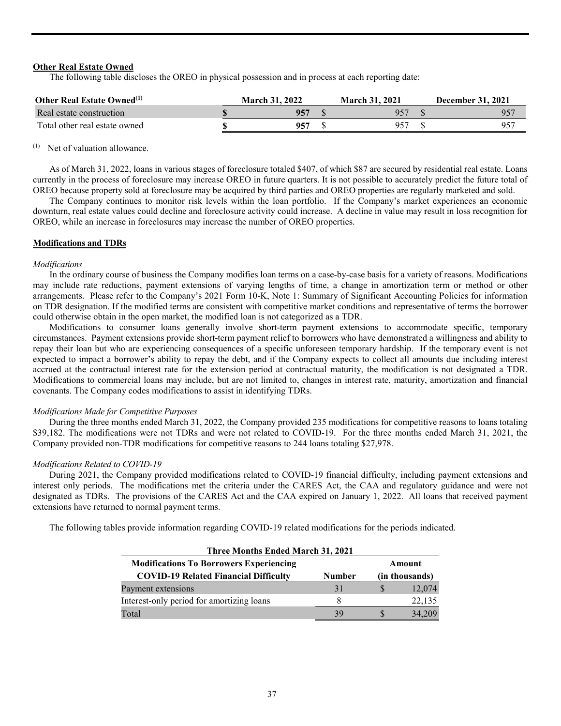#### **Other Real Estate Owned**

The following table discloses the OREO in physical possession and in process at each reporting date:

| <b>Other Real Estate Owned</b> <sup>(1)</sup> |  | <b>March 31, 2022</b> | <b>March 31, 2021</b> | <b>December 31, 2021</b> |  |               |
|-----------------------------------------------|--|-----------------------|-----------------------|--------------------------|--|---------------|
| Real estate construction                      |  |                       |                       |                          |  | $-957$        |
| Total other real estate owned                 |  |                       |                       | $95^{\circ}$             |  | $-95^{\circ}$ |

 $(1)$  Net of valuation allowance.

As of March 31, 2022, loans in various stages of foreclosure totaled \$407, of which \$87 are secured by residential real estate. Loans currently in the process of foreclosure may increase OREO in future quarters. It is not possible to accurately predict the future total of OREO because property sold at foreclosure may be acquired by third parties and OREO properties are regularly marketed and sold.

The Company continues to monitor risk levels within the loan portfolio. If the Company's market experiences an economic downturn, real estate values could decline and foreclosure activity could increase. A decline in value may result in loss recognition for OREO, while an increase in foreclosures may increase the number of OREO properties.

#### **Modifications and TDRs**

#### *Modifications*

In the ordinary course of business the Company modifies loan terms on a case-by-case basis for a variety of reasons. Modifications may include rate reductions, payment extensions of varying lengths of time, a change in amortization term or method or other arrangements. Please refer to the Company's 2021 Form 10-K, Note 1: Summary of Significant Accounting Policies for information on TDR designation. If the modified terms are consistent with competitive market conditions and representative of terms the borrower could otherwise obtain in the open market, the modified loan is not categorized as a TDR.

Modifications to consumer loans generally involve short-term payment extensions to accommodate specific, temporary circumstances. Payment extensions provide short-term payment relief to borrowers who have demonstrated a willingness and ability to repay their loan but who are experiencing consequences of a specific unforeseen temporary hardship. If the temporary event is not expected to impact a borrower's ability to repay the debt, and if the Company expects to collect all amounts due including interest accrued at the contractual interest rate for the extension period at contractual maturity, the modification is not designated a TDR. Modifications to commercial loans may include, but are not limited to, changes in interest rate, maturity, amortization and financial covenants. The Company codes modifications to assist in identifying TDRs.

## *Modifications Made for Competitive Purposes*

During the three months ended March 31, 2022, the Company provided 235 modifications for competitive reasons to loans totaling \$39,182. The modifications were not TDRs and were not related to COVID-19. For the three months ended March 31, 2021, the Company provided non-TDR modifications for competitive reasons to 244 loans totaling \$27,978.

#### *Modifications Related to COVID-19*

During 2021, the Company provided modifications related to COVID-19 financial difficulty, including payment extensions and interest only periods. The modifications met the criteria under the CARES Act, the CAA and regulatory guidance and were not designated as TDRs. The provisions of the CARES Act and the CAA expired on January 1, 2022. All loans that received payment extensions have returned to normal payment terms.

The following tables provide information regarding COVID-19 related modifications for the periods indicated.

| <b>Three Months Ended March 31, 2021</b>       |               |        |                |  |  |  |  |  |  |
|------------------------------------------------|---------------|--------|----------------|--|--|--|--|--|--|
| <b>Modifications To Borrowers Experiencing</b> |               | Amount |                |  |  |  |  |  |  |
| <b>COVID-19 Related Financial Difficulty</b>   | <b>Number</b> |        | (in thousands) |  |  |  |  |  |  |
| Payment extensions                             | 31            |        | 12,074         |  |  |  |  |  |  |
| Interest-only period for amortizing loans      |               |        | 22,135         |  |  |  |  |  |  |
| Total                                          | 39            |        |                |  |  |  |  |  |  |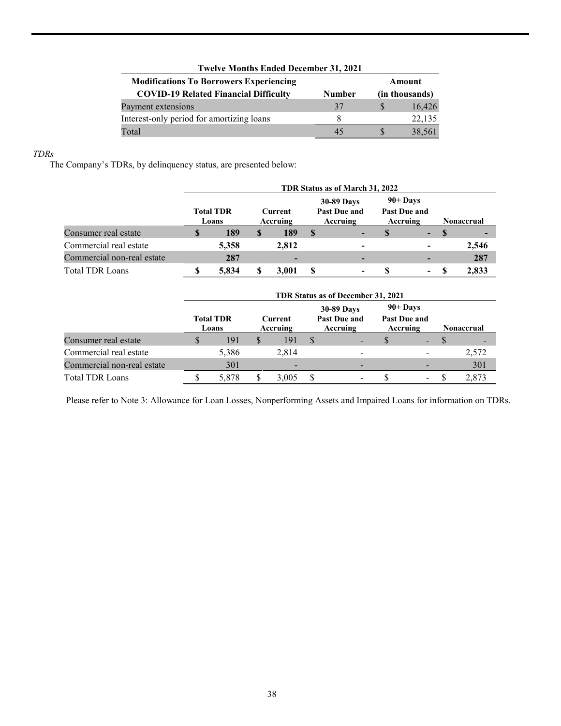| <b>Twelve Months Ended December 31, 2021</b>   |        |  |                |  |  |  |  |  |  |
|------------------------------------------------|--------|--|----------------|--|--|--|--|--|--|
| <b>Modifications To Borrowers Experiencing</b> | Amount |  |                |  |  |  |  |  |  |
| <b>COVID-19 Related Financial Difficulty</b>   | Number |  | (in thousands) |  |  |  |  |  |  |
| Payment extensions                             | 37     |  | 16,426         |  |  |  |  |  |  |
| Interest-only period for amortizing loans      |        |  | 22,135         |  |  |  |  |  |  |
| Total                                          | 45     |  | 38,561         |  |  |  |  |  |  |

## *TDRs*

The Company's TDRs, by delinquency status, are presented below:

|                            |   | TDR Status as of March 31, 2022 |  |                     |   |                                                      |  |                                                |     |                   |  |  |  |  |
|----------------------------|---|---------------------------------|--|---------------------|---|------------------------------------------------------|--|------------------------------------------------|-----|-------------------|--|--|--|--|
|                            |   | <b>Total TDR</b><br>Loans       |  | Current<br>Accruing |   | <b>30-89 Days</b><br><b>Past Due and</b><br>Accruing |  | $90 +$ Days<br><b>Past Due and</b><br>Accruing |     | <b>Nonaccrual</b> |  |  |  |  |
| Consumer real estate       | S | 189                             |  | 189                 | S | ٠                                                    |  | ۰.                                             | -SS |                   |  |  |  |  |
| Commercial real estate     |   | 5,358                           |  | 2,812               |   |                                                      |  |                                                |     | 2,546             |  |  |  |  |
| Commercial non-real estate |   | 287                             |  |                     |   |                                                      |  |                                                |     | 287               |  |  |  |  |
| <b>Total TDR Loans</b>     |   | 5.834                           |  | 3.001               |   | -                                                    |  | $\overline{\phantom{a}}$                       |     | 2,833             |  |  |  |  |

|                            |                           | TDR Status as of December 31, 2021 |                     |       |                                                      |  |                                         |                          |                   |       |  |  |  |  |
|----------------------------|---------------------------|------------------------------------|---------------------|-------|------------------------------------------------------|--|-----------------------------------------|--------------------------|-------------------|-------|--|--|--|--|
|                            | <b>Total TDR</b><br>Loans |                                    | Current<br>Accruing |       | <b>30-89 Days</b><br><b>Past Due and</b><br>Accruing |  | $90 +$ Days<br>Past Due and<br>Accruing |                          | <b>Nonaccrual</b> |       |  |  |  |  |
| Consumer real estate       | S                         | 191                                | <b>S</b>            | 191   | S                                                    |  | S                                       | ٠                        | S                 | -     |  |  |  |  |
| Commercial real estate     |                           | 5,386                              |                     | 2.814 |                                                      |  |                                         | $\overline{\phantom{a}}$ |                   | 2,572 |  |  |  |  |
| Commercial non-real estate |                           | 301                                |                     |       |                                                      |  |                                         |                          |                   | 301   |  |  |  |  |
| <b>Total TDR Loans</b>     |                           | 5,878                              |                     | 3,005 |                                                      |  |                                         | $\blacksquare$           |                   | 2,873 |  |  |  |  |

Please refer to Note 3: Allowance for Loan Losses, Nonperforming Assets and Impaired Loans for information on TDRs.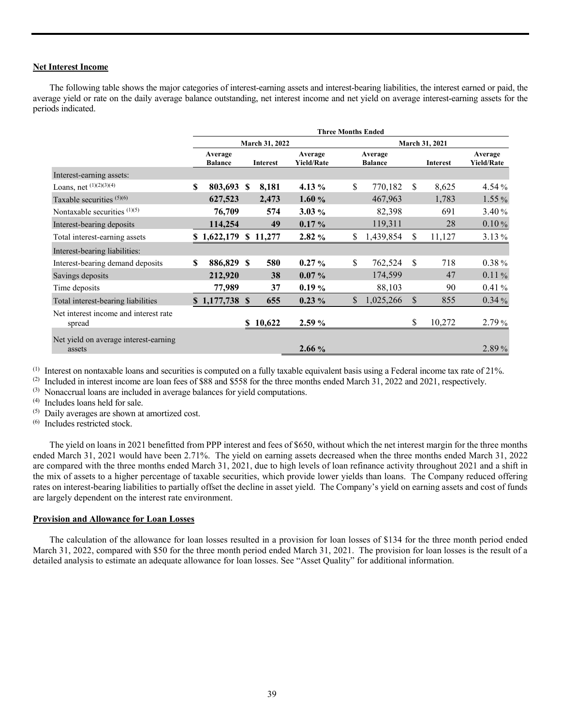### **Net Interest Income**

The following table shows the major categories of interest-earning assets and interest-bearing liabilities, the interest earned or paid, the average yield or rate on the daily average balance outstanding, net interest income and net yield on average interest-earning assets for the periods indicated.

|                                       | <b>Three Months Ended</b> |                           |          |                       |                              |    |                           |              |                 |                              |  |  |
|---------------------------------------|---------------------------|---------------------------|----------|-----------------------|------------------------------|----|---------------------------|--------------|-----------------|------------------------------|--|--|
|                                       |                           |                           |          | <b>March 31, 2022</b> |                              |    | <b>March 31, 2021</b>     |              |                 |                              |  |  |
|                                       |                           | Average<br><b>Balance</b> |          | <b>Interest</b>       | Average<br><b>Yield/Rate</b> |    | Average<br><b>Balance</b> |              | <b>Interest</b> | Average<br><b>Yield/Rate</b> |  |  |
| Interest-earning assets:              |                           |                           |          |                       |                              |    |                           |              |                 |                              |  |  |
| Loans, net $(1)(2)(3)(4)$             | S                         | 803,693                   | <b>S</b> | 8,181                 | 4.13 %                       | \$ | 770,182                   | \$           | 8,625           | 4.54%                        |  |  |
| Taxable securities $(5)(6)$           |                           | 627,523                   |          | 2,473                 | 1.60%                        |    | 467,963                   |              | 1,783           | $1.55\%$                     |  |  |
| Nontaxable securities $(1)(5)$        |                           | 76,709                    |          | 574                   | 3.03%                        |    | 82,398                    |              | 691             | 3.40%                        |  |  |
| Interest-bearing deposits             |                           | 114,254                   |          | 49                    | 0.17%                        |    | 119,311                   |              | 28              | 0.10%                        |  |  |
| Total interest-earning assets         |                           | 1,622,179                 |          | \$11,277              | 2.82 %                       | \$ | 1,439,854                 | \$           | 11,127          | 3.13%                        |  |  |
| Interest-bearing liabilities:         |                           |                           |          |                       |                              |    |                           |              |                 |                              |  |  |
| Interest-bearing demand deposits      | S                         | 886,829 \$                |          | 580                   | $0.27\%$                     | \$ | 762,524                   | \$           | 718             | 0.38%                        |  |  |
| Savings deposits                      |                           | 212,920                   |          | 38                    | $0.07\%$                     |    | 174,599                   |              | 47              | 0.11%                        |  |  |
| Time deposits                         |                           | 77,989                    |          | 37                    | 0.19%                        |    | 88,103                    |              | 90              | 0.41%                        |  |  |
| Total interest-bearing liabilities    |                           |                           |          | 655                   | 0.23%                        | \$ | 1,025,266                 | $\mathbb{S}$ | 855             | 0.34%                        |  |  |
| Net interest income and interest rate |                           |                           |          |                       |                              |    |                           |              |                 |                              |  |  |
| spread                                |                           |                           |          | \$10,622              | 2.59%                        |    |                           | \$           | 10,272          | 2.79%                        |  |  |
| Net yield on average interest-earning |                           |                           |          |                       |                              |    |                           |              |                 |                              |  |  |
| assets                                |                           |                           |          |                       | 2.66%                        |    |                           |              |                 | 2.89%                        |  |  |

 $<sup>(1)</sup>$  Interest on nontaxable loans and securities is computed on a fully taxable equivalent basis using a Federal income tax rate of 21%.</sup>

(2) Included in interest income are loan fees of \$88 and \$558 for the three months ended March 31, 2022 and 2021, respectively.

(3) Nonaccrual loans are included in average balances for yield computations.

 $(4)$  Includes loans held for sale.<br> $(5)$  Daily averages are shown at

(5) Daily averages are shown at amortized cost.

(6) Includes restricted stock.

The yield on loans in 2021 benefitted from PPP interest and fees of \$650, without which the net interest margin for the three months ended March 31, 2021 would have been 2.71%. The yield on earning assets decreased when the three months ended March 31, 2022 are compared with the three months ended March 31, 2021, due to high levels of loan refinance activity throughout 2021 and a shift in the mix of assets to a higher percentage of taxable securities, which provide lower yields than loans. The Company reduced offering rates on interest-bearing liabilities to partially offset the decline in asset yield. The Company's yield on earning assets and cost of funds are largely dependent on the interest rate environment.

## **Provision and Allowance for Loan Losses**

The calculation of the allowance for loan losses resulted in a provision for loan losses of \$134 for the three month period ended March 31, 2022, compared with \$50 for the three month period ended March 31, 2021. The provision for loan losses is the result of a detailed analysis to estimate an adequate allowance for loan losses. See "Asset Quality" for additional information.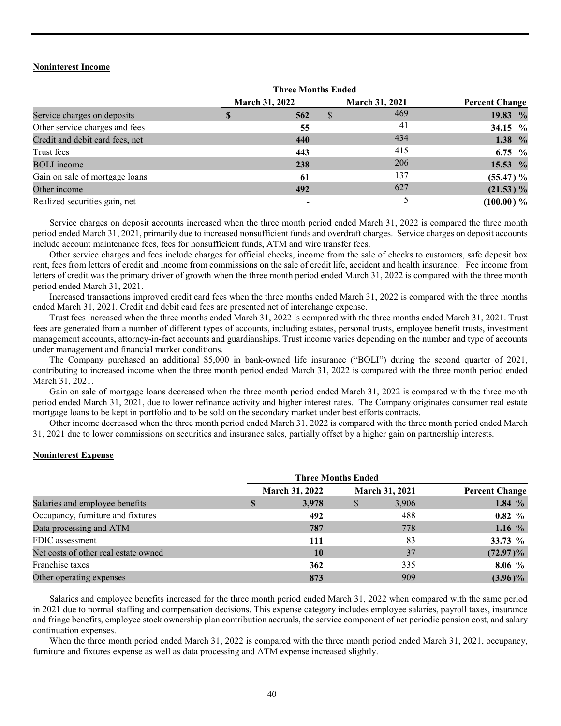### **Noninterest Income**

|                                 | <b>Three Months Ended</b> |               |                |                       |  |  |  |  |  |
|---------------------------------|---------------------------|---------------|----------------|-----------------------|--|--|--|--|--|
|                                 | <b>March 31, 2022</b>     |               | March 31, 2021 | <b>Percent Change</b> |  |  |  |  |  |
| Service charges on deposits     | 562                       | <sup>\$</sup> | 469            | 19.83 %               |  |  |  |  |  |
| Other service charges and fees  | 55                        |               | 41             | 34.15 %               |  |  |  |  |  |
| Credit and debit card fees, net | 440                       |               | 434            | 1.38 $%$              |  |  |  |  |  |
| Trust fees                      | 443                       |               | 415            | 6.75 $%$              |  |  |  |  |  |
| <b>BOLI</b> income              | 238                       |               | 206            | 15.53 %               |  |  |  |  |  |
| Gain on sale of mortgage loans  | 61                        |               | 137            | (55.47) %             |  |  |  |  |  |
| Other income                    | 492                       |               | 627            | (21.53) %             |  |  |  |  |  |
| Realized securities gain, net   | $\blacksquare$            |               |                | $(100.00)$ %          |  |  |  |  |  |

Service charges on deposit accounts increased when the three month period ended March 31, 2022 is compared the three month period ended March 31, 2021, primarily due to increased nonsufficient funds and overdraft charges. Service charges on deposit accounts include account maintenance fees, fees for nonsufficient funds, ATM and wire transfer fees.

Other service charges and fees include charges for official checks, income from the sale of checks to customers, safe deposit box rent, fees from letters of credit and income from commissions on the sale of credit life, accident and health insurance. Fee income from letters of credit was the primary driver of growth when the three month period ended March 31, 2022 is compared with the three month period ended March 31, 2021.

Increased transactions improved credit card fees when the three months ended March 31, 2022 is compared with the three months ended March 31, 2021. Credit and debit card fees are presented net of interchange expense.

Trust fees increased when the three months ended March 31, 2022 is compared with the three months ended March 31, 2021. Trust fees are generated from a number of different types of accounts, including estates, personal trusts, employee benefit trusts, investment management accounts, attorney-in-fact accounts and guardianships. Trust income varies depending on the number and type of accounts under management and financial market conditions.

The Company purchased an additional \$5,000 in bank-owned life insurance ("BOLI") during the second quarter of 2021, contributing to increased income when the three month period ended March 31, 2022 is compared with the three month period ended March 31, 2021.

Gain on sale of mortgage loans decreased when the three month period ended March 31, 2022 is compared with the three month period ended March 31, 2021, due to lower refinance activity and higher interest rates. The Company originates consumer real estate mortgage loans to be kept in portfolio and to be sold on the secondary market under best efforts contracts.

Other income decreased when the three month period ended March 31, 2022 is compared with the three month period ended March 31, 2021 due to lower commissions on securities and insurance sales, partially offset by a higher gain on partnership interests.

#### **Noninterest Expense**

| Salaries and employee benefits       | <b>March 31, 2022</b> |       | March 31, 2021 |       | <b>Percent Change</b> |
|--------------------------------------|-----------------------|-------|----------------|-------|-----------------------|
|                                      |                       | 3,978 | S              | 3,906 | 1.84 $%$              |
| Occupancy, furniture and fixtures    |                       | 492   |                | 488   | $0.82\,%$             |
| Data processing and ATM              |                       | 787   |                | 778   | 1.16 $%$              |
| FDIC assessment                      |                       | 111   |                | 83    | 33.73 $%$             |
| Net costs of other real estate owned |                       | 10    |                | 37    | $(72.97)\%$           |
| Franchise taxes                      |                       | 362   |                | 335   | 8.06 $%$              |
| Other operating expenses             |                       | 873   |                | 909   | $(3.96)\%$            |

 Salaries and employee benefits increased for the three month period ended March 31, 2022 when compared with the same period in 2021 due to normal staffing and compensation decisions. This expense category includes employee salaries, payroll taxes, insurance and fringe benefits, employee stock ownership plan contribution accruals, the service component of net periodic pension cost, and salary continuation expenses.

When the three month period ended March 31, 2022 is compared with the three month period ended March 31, 2021, occupancy, furniture and fixtures expense as well as data processing and ATM expense increased slightly.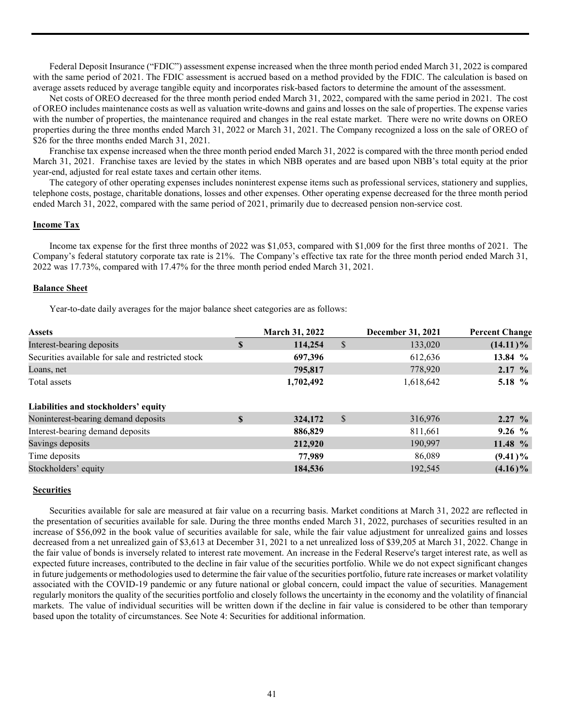Federal Deposit Insurance ("FDIC") assessment expense increased when the three month period ended March 31, 2022 is compared with the same period of 2021. The FDIC assessment is accrued based on a method provided by the FDIC. The calculation is based on average assets reduced by average tangible equity and incorporates risk-based factors to determine the amount of the assessment.

Net costs of OREO decreased for the three month period ended March 31, 2022, compared with the same period in 2021. The cost of OREO includes maintenance costs as well as valuation write-downs and gains and losses on the sale of properties. The expense varies with the number of properties, the maintenance required and changes in the real estate market. There were no write downs on OREO properties during the three months ended March 31, 2022 or March 31, 2021. The Company recognized a loss on the sale of OREO of \$26 for the three months ended March 31, 2021.

Franchise tax expense increased when the three month period ended March 31, 2022 is compared with the three month period ended March 31, 2021. Franchise taxes are levied by the states in which NBB operates and are based upon NBB's total equity at the prior year-end, adjusted for real estate taxes and certain other items.

The category of other operating expenses includes noninterest expense items such as professional services, stationery and supplies, telephone costs, postage, charitable donations, losses and other expenses. Other operating expense decreased for the three month period ended March 31, 2022, compared with the same period of 2021, primarily due to decreased pension non-service cost.

## **Income Tax**

Income tax expense for the first three months of 2022 was \$1,053, compared with \$1,009 for the first three months of 2021. The Company's federal statutory corporate tax rate is 21%. The Company's effective tax rate for the three month period ended March 31, 2022 was 17.73%, compared with 17.47% for the three month period ended March 31, 2021.

## **Balance Sheet**

Year-to-date daily averages for the major balance sheet categories are as follows:

| <b>Assets</b>                                      |    | <b>March 31, 2022</b> |               | December 31, 2021 | <b>Percent Change</b> |
|----------------------------------------------------|----|-----------------------|---------------|-------------------|-----------------------|
| Interest-bearing deposits                          | S  | 114,254               | <sup>\$</sup> | 133,020           | $(14.11)\%$           |
| Securities available for sale and restricted stock |    | 697,396               |               | 612,636           | 13.84 %               |
| Loans, net                                         |    | 795,817               |               | 778,920           | $2.17\%$              |
| Total assets                                       |    | 1,702,492             |               | 1,618,642         | 5.18 $%$              |
| Liabilities and stockholders' equity               |    |                       |               |                   |                       |
| Noninterest-bearing demand deposits                | \$ | 324,172               | <sup>S</sup>  | 316,976           | $2.27\frac{9}{6}$     |
| Interest-bearing demand deposits                   |    | 886,829               |               | 811,661           | $9.26\%$              |
| Savings deposits                                   |    | 212,920               |               | 190,997           | 11.48 $%$             |
| Time deposits                                      |    | 77,989                |               | 86,089            | $(9.41)\%$            |
| Stockholders' equity                               |    | 184,536               |               | 192,545           | $(4.16)\%$            |

#### **Securities**

Securities available for sale are measured at fair value on a recurring basis. Market conditions at March 31, 2022 are reflected in the presentation of securities available for sale. During the three months ended March 31, 2022, purchases of securities resulted in an increase of \$56,092 in the book value of securities available for sale, while the fair value adjustment for unrealized gains and losses decreased from a net unrealized gain of \$3,613 at December 31, 2021 to a net unrealized loss of \$39,205 at March 31, 2022. Change in the fair value of bonds is inversely related to interest rate movement. An increase in the Federal Reserve's target interest rate, as well as expected future increases, contributed to the decline in fair value of the securities portfolio. While we do not expect significant changes in future judgements or methodologies used to determine the fair value of the securities portfolio, future rate increases or market volatility associated with the COVID-19 pandemic or any future national or global concern, could impact the value of securities. Management regularly monitors the quality of the securities portfolio and closely follows the uncertainty in the economy and the volatility of financial markets. The value of individual securities will be written down if the decline in fair value is considered to be other than temporary based upon the totality of circumstances. See Note 4: Securities for additional information.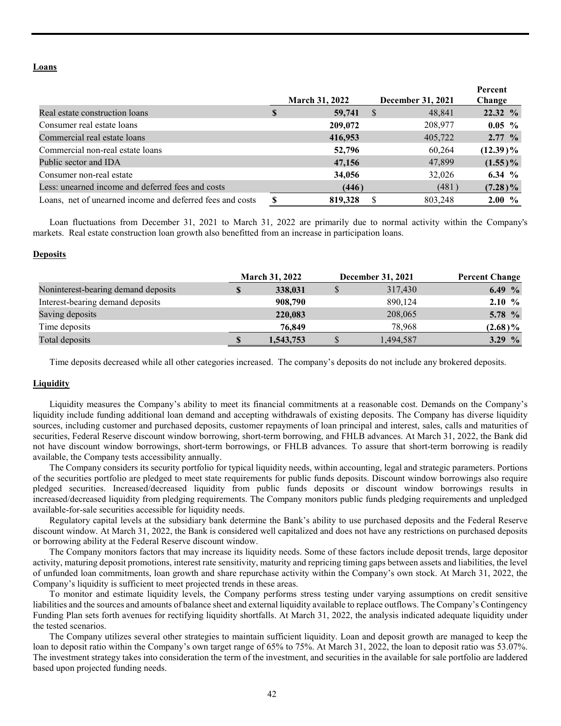#### **Loans**

|                                                           |   | <b>March 31, 2022</b> |              | December 31, 2021 | Percent<br>Change |
|-----------------------------------------------------------|---|-----------------------|--------------|-------------------|-------------------|
| Real estate construction loans                            | S | 59,741                | <sup>S</sup> | 48,841            | $22.32 \%$        |
| Consumer real estate loans                                |   | 209,072               |              | 208,977           | $0.05\%$          |
| Commercial real estate loans                              |   | 416,953               |              | 405,722           | $2.77\%$          |
| Commercial non-real estate loans                          |   | 52,796                |              | 60,264            | $(12.39)\%$       |
| Public sector and IDA                                     |   | 47,156                |              | 47,899            | $(1.55)\%$        |
| Consumer non-real estate                                  |   | 34,056                |              | 32,026            | 6.34 $%$          |
| Less: unearned income and deferred fees and costs         |   | (446)                 |              | (481)             | $(7.28)\%$        |
| Loans, net of unearned income and deferred fees and costs |   | 819,328               |              | 803,248           | $2.00\%$          |

Loan fluctuations from December 31, 2021 to March 31, 2022 are primarily due to normal activity within the Company's markets. Real estate construction loan growth also benefitted from an increase in participation loans.

## **Deposits**

|                                     | <b>March 31, 2022</b> |           | <b>December 31, 2021</b> | <b>Percent Change</b> |
|-------------------------------------|-----------------------|-----------|--------------------------|-----------------------|
| Noninterest-bearing demand deposits |                       | 338,031   | 317,430                  | 6.49 $%$              |
| Interest-bearing demand deposits    |                       | 908,790   | 890,124                  | $2.10\%$              |
| Saving deposits                     |                       | 220,083   | 208,065                  | 5.78 $%$              |
| Time deposits                       |                       | 76,849    | 78,968                   | $(2.68)\%$            |
| Total deposits                      |                       | 1,543,753 | 1.494.587                | 3.29 $\%$             |

Time deposits decreased while all other categories increased. The company's deposits do not include any brokered deposits.

## **Liquidity**

Liquidity measures the Company's ability to meet its financial commitments at a reasonable cost. Demands on the Company's liquidity include funding additional loan demand and accepting withdrawals of existing deposits. The Company has diverse liquidity sources, including customer and purchased deposits, customer repayments of loan principal and interest, sales, calls and maturities of securities, Federal Reserve discount window borrowing, short-term borrowing, and FHLB advances. At March 31, 2022, the Bank did not have discount window borrowings, short-term borrowings, or FHLB advances. To assure that short-term borrowing is readily available, the Company tests accessibility annually.

The Company considers its security portfolio for typical liquidity needs, within accounting, legal and strategic parameters. Portions of the securities portfolio are pledged to meet state requirements for public funds deposits. Discount window borrowings also require pledged securities. Increased/decreased liquidity from public funds deposits or discount window borrowings results in increased/decreased liquidity from pledging requirements. The Company monitors public funds pledging requirements and unpledged available-for-sale securities accessible for liquidity needs.

Regulatory capital levels at the subsidiary bank determine the Bank's ability to use purchased deposits and the Federal Reserve discount window. At March 31, 2022, the Bank is considered well capitalized and does not have any restrictions on purchased deposits or borrowing ability at the Federal Reserve discount window.

The Company monitors factors that may increase its liquidity needs. Some of these factors include deposit trends, large depositor activity, maturing deposit promotions, interest rate sensitivity, maturity and repricing timing gaps between assets and liabilities, the level of unfunded loan commitments, loan growth and share repurchase activity within the Company's own stock. At March 31, 2022, the Company's liquidity is sufficient to meet projected trends in these areas.

To monitor and estimate liquidity levels, the Company performs stress testing under varying assumptions on credit sensitive liabilities and the sources and amounts of balance sheet and external liquidity available to replace outflows. The Company's Contingency Funding Plan sets forth avenues for rectifying liquidity shortfalls. At March 31, 2022, the analysis indicated adequate liquidity under the tested scenarios.

The Company utilizes several other strategies to maintain sufficient liquidity. Loan and deposit growth are managed to keep the loan to deposit ratio within the Company's own target range of 65% to 75%. At March 31, 2022, the loan to deposit ratio was 53.07%. The investment strategy takes into consideration the term of the investment, and securities in the available for sale portfolio are laddered based upon projected funding needs.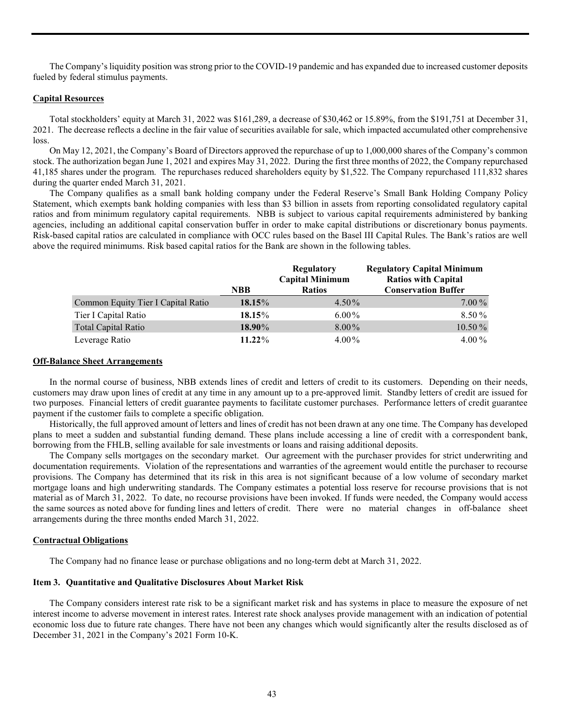The Company's liquidity position was strong prior to the COVID-19 pandemic and has expanded due to increased customer deposits fueled by federal stimulus payments.

#### **Capital Resources**

Total stockholders' equity at March 31, 2022 was \$161,289, a decrease of \$30,462 or 15.89%, from the \$191,751 at December 31, 2021. The decrease reflects a decline in the fair value of securities available for sale, which impacted accumulated other comprehensive loss.

On May 12, 2021, the Company's Board of Directors approved the repurchase of up to 1,000,000 shares of the Company's common stock. The authorization began June 1, 2021 and expires May 31, 2022. During the first three months of 2022, the Company repurchased 41,185 shares under the program. The repurchases reduced shareholders equity by \$1,522. The Company repurchased 111,832 shares during the quarter ended March 31, 2021.

The Company qualifies as a small bank holding company under the Federal Reserve's Small Bank Holding Company Policy Statement, which exempts bank holding companies with less than \$3 billion in assets from reporting consolidated regulatory capital ratios and from minimum regulatory capital requirements. NBB is subject to various capital requirements administered by banking agencies, including an additional capital conservation buffer in order to make capital distributions or discretionary bonus payments. Risk-based capital ratios are calculated in compliance with OCC rules based on the Basel III Capital Rules. The Bank's ratios are well above the required minimums. Risk based capital ratios for the Bank are shown in the following tables.

|                                    |            | Regulatory<br><b>Capital Minimum</b> | <b>Regulatory Capital Minimum</b><br><b>Ratios with Capital</b> |  |
|------------------------------------|------------|--------------------------------------|-----------------------------------------------------------------|--|
|                                    | <b>NBB</b> | <b>Ratios</b>                        | <b>Conservation Buffer</b>                                      |  |
| Common Equity Tier I Capital Ratio | 18.15%     | $4.50\%$                             | $7.00\%$                                                        |  |
| Tier I Capital Ratio               | 18.15%     | $6.00\%$                             | 8.50 %                                                          |  |
| <b>Total Capital Ratio</b>         | 18.90%     | $8.00\%$                             | $10.50\%$                                                       |  |
| Leverage Ratio                     | $11.22\%$  | $4.00\%$                             | 4.00 $%$                                                        |  |

## **Off-Balance Sheet Arrangements**

In the normal course of business, NBB extends lines of credit and letters of credit to its customers. Depending on their needs, customers may draw upon lines of credit at any time in any amount up to a pre-approved limit. Standby letters of credit are issued for two purposes. Financial letters of credit guarantee payments to facilitate customer purchases. Performance letters of credit guarantee payment if the customer fails to complete a specific obligation.

Historically, the full approved amount of letters and lines of credit has not been drawn at any one time. The Company has developed plans to meet a sudden and substantial funding demand. These plans include accessing a line of credit with a correspondent bank, borrowing from the FHLB, selling available for sale investments or loans and raising additional deposits.

The Company sells mortgages on the secondary market. Our agreement with the purchaser provides for strict underwriting and documentation requirements. Violation of the representations and warranties of the agreement would entitle the purchaser to recourse provisions. The Company has determined that its risk in this area is not significant because of a low volume of secondary market mortgage loans and high underwriting standards. The Company estimates a potential loss reserve for recourse provisions that is not material as of March 31, 2022. To date, no recourse provisions have been invoked. If funds were needed, the Company would access the same sources as noted above for funding lines and letters of credit. There were no material changes in off-balance sheet arrangements during the three months ended March 31, 2022.

#### **Contractual Obligations**

The Company had no finance lease or purchase obligations and no long-term debt at March 31, 2022.

#### <span id="page-42-0"></span>**Item 3. Quantitative and Qualitative Disclosures About Market Risk**

<span id="page-42-1"></span>The Company considers interest rate risk to be a significant market risk and has systems in place to measure the exposure of net interest income to adverse movement in interest rates. Interest rate shock analyses provide management with an indication of potential economic loss due to future rate changes. There have not been any changes which would significantly alter the results disclosed as of December 31, 2021 in the Company's 2021 Form 10-K.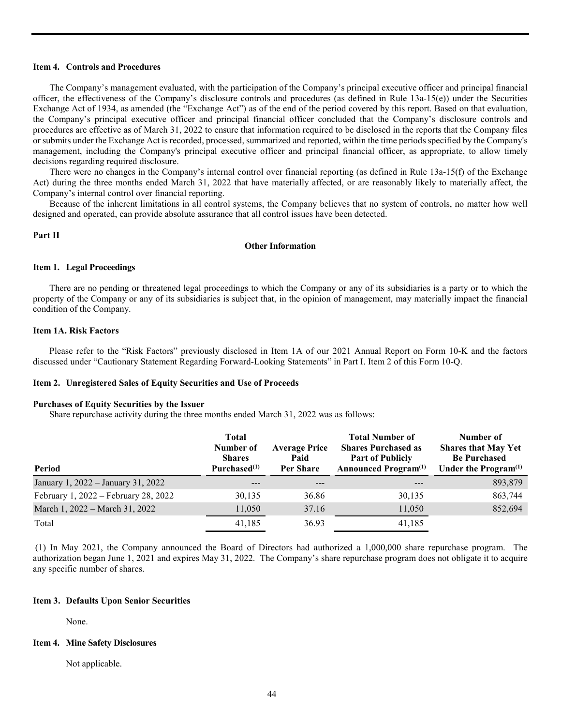#### **Item 4. Controls and Procedures**

The Company's management evaluated, with the participation of the Company's principal executive officer and principal financial officer, the effectiveness of the Company's disclosure controls and procedures (as defined in Rule  $13a-15(e)$ ) under the Securities Exchange Act of 1934, as amended (the "Exchange Act") as of the end of the period covered by this report. Based on that evaluation, the Company's principal executive officer and principal financial officer concluded that the Company's disclosure controls and procedures are effective as of March 31, 2022 to ensure that information required to be disclosed in the reports that the Company files or submits under the Exchange Act is recorded, processed, summarized and reported, within the time periods specified by the Company's management, including the Company's principal executive officer and principal financial officer, as appropriate, to allow timely decisions regarding required disclosure.

There were no changes in the Company's internal control over financial reporting (as defined in Rule 13a-15(f) of the Exchange Act) during the three months ended March 31, 2022 that have materially affected, or are reasonably likely to materially affect, the Company's internal control over financial reporting.

Because of the inherent limitations in all control systems, the Company believes that no system of controls, no matter how well designed and operated, can provide absolute assurance that all control issues have been detected.

#### <span id="page-43-0"></span>**Part II**

#### **Other Information**

#### <span id="page-43-1"></span>**Item 1. Legal Proceedings**

There are no pending or threatened legal proceedings to which the Company or any of its subsidiaries is a party or to which the property of the Company or any of its subsidiaries is subject that, in the opinion of management, may materially impact the financial condition of the Company.

#### <span id="page-43-2"></span>**Item 1A. Risk Factors**

Please refer to the "Risk Factors" previously disclosed in Item 1A of our 2021 Annual Report on Form 10-K and the factors discussed under "Cautionary Statement Regarding Forward-Looking Statements" in Part I. Item 2 of this Form 10-Q.

#### <span id="page-43-3"></span>**Item 2. Unregistered Sales of Equity Securities and Use of Proceeds**

#### **Purchases of Equity Securities by the Issuer**

Share repurchase activity during the three months ended March 31, 2022 was as follows:

| Period                                 | <b>Total</b><br>Number of<br><b>Shares</b><br>Purchased $(1)$ | <b>Average Price</b><br>Paid<br><b>Per Share</b> | <b>Total Number of</b><br><b>Shares Purchased as</b><br><b>Part of Publicly</b><br>Announced Program <sup>(1)</sup> | Number of<br><b>Shares that May Yet</b><br><b>Be Purchased</b><br>Under the Program $(1)$ |
|----------------------------------------|---------------------------------------------------------------|--------------------------------------------------|---------------------------------------------------------------------------------------------------------------------|-------------------------------------------------------------------------------------------|
| January 1, 2022 – January 31, 2022     |                                                               |                                                  |                                                                                                                     | 893,879                                                                                   |
| February 1, $2022$ – February 28, 2022 | 30,135                                                        | 36.86                                            | 30,135                                                                                                              | 863,744                                                                                   |
| March 1, 2022 – March 31, 2022         | 11,050                                                        | 37.16                                            | 11,050                                                                                                              | 852,694                                                                                   |
| Total                                  | 41,185                                                        | 36.93                                            | 41,185                                                                                                              |                                                                                           |

(1) In May 2021, the Company announced the Board of Directors had authorized a 1,000,000 share repurchase program. The authorization began June 1, 2021 and expires May 31, 2022. The Company's share repurchase program does not obligate it to acquire any specific number of shares.

### <span id="page-43-4"></span>**Item 3. Defaults Upon Senior Securities**

None.

#### <span id="page-43-5"></span>**Item 4. Mine Safety Disclosures**

Not applicable.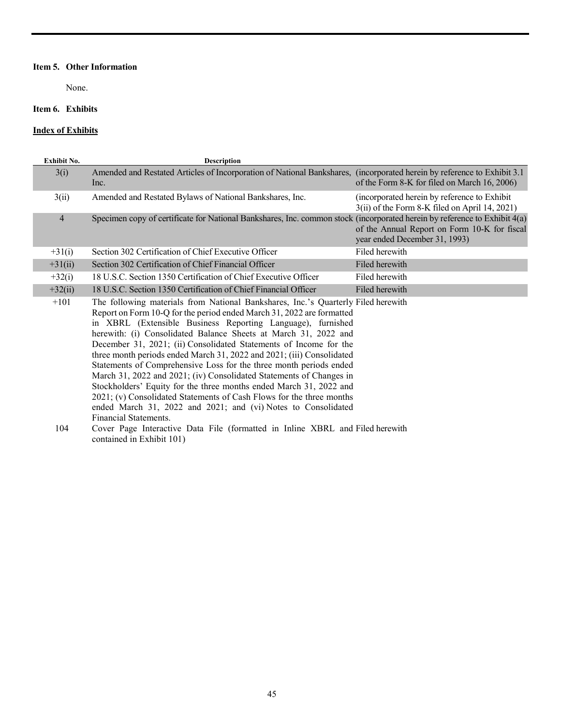# <span id="page-44-0"></span>**Item 5. Other Information**

<span id="page-44-2"></span>None.

## <span id="page-44-1"></span>**Item 6. Exhibits**

# **Index of Exhibits**

| <b>Exhibit No.</b> | <b>Description</b>                                                                                                                                                                                                                                                                                                                                                                                                                                                                                                                                                                                                                                                                                                                                                                                                              |                                                                                                |
|--------------------|---------------------------------------------------------------------------------------------------------------------------------------------------------------------------------------------------------------------------------------------------------------------------------------------------------------------------------------------------------------------------------------------------------------------------------------------------------------------------------------------------------------------------------------------------------------------------------------------------------------------------------------------------------------------------------------------------------------------------------------------------------------------------------------------------------------------------------|------------------------------------------------------------------------------------------------|
| 3(i)               | Amended and Restated Articles of Incorporation of National Bankshares, (incorporated herein by reference to Exhibit 3.1)<br>Inc.                                                                                                                                                                                                                                                                                                                                                                                                                                                                                                                                                                                                                                                                                                | of the Form 8-K for filed on March 16, 2006)                                                   |
| 3(ii)              | Amended and Restated Bylaws of National Bankshares, Inc.                                                                                                                                                                                                                                                                                                                                                                                                                                                                                                                                                                                                                                                                                                                                                                        | (incorporated herein by reference to Exhibit<br>3(ii) of the Form 8-K filed on April 14, 2021) |
| $\overline{4}$     | Specimen copy of certificate for National Bankshares, Inc. common stock (incorporated herein by reference to Exhibit 4(a)                                                                                                                                                                                                                                                                                                                                                                                                                                                                                                                                                                                                                                                                                                       | of the Annual Report on Form 10-K for fiscal<br>year ended December 31, 1993)                  |
| $+31(i)$           | Section 302 Certification of Chief Executive Officer                                                                                                                                                                                                                                                                                                                                                                                                                                                                                                                                                                                                                                                                                                                                                                            | Filed herewith                                                                                 |
| $+31(ii)$          | Section 302 Certification of Chief Financial Officer                                                                                                                                                                                                                                                                                                                                                                                                                                                                                                                                                                                                                                                                                                                                                                            | Filed herewith                                                                                 |
| $+32(i)$           | 18 U.S.C. Section 1350 Certification of Chief Executive Officer                                                                                                                                                                                                                                                                                                                                                                                                                                                                                                                                                                                                                                                                                                                                                                 | Filed herewith                                                                                 |
| $+32(ii)$          | 18 U.S.C. Section 1350 Certification of Chief Financial Officer                                                                                                                                                                                                                                                                                                                                                                                                                                                                                                                                                                                                                                                                                                                                                                 | Filed herewith                                                                                 |
| $+101$             | The following materials from National Bankshares, Inc.'s Quarterly Filed herewith<br>Report on Form 10-Q for the period ended March 31, 2022 are formatted<br>in XBRL (Extensible Business Reporting Language), furnished<br>herewith: (i) Consolidated Balance Sheets at March 31, 2022 and<br>December 31, 2021; (ii) Consolidated Statements of Income for the<br>three month periods ended March 31, 2022 and 2021; (iii) Consolidated<br>Statements of Comprehensive Loss for the three month periods ended<br>March 31, 2022 and 2021; (iv) Consolidated Statements of Changes in<br>Stockholders' Equity for the three months ended March 31, 2022 and<br>2021; (v) Consolidated Statements of Cash Flows for the three months<br>ended March 31, 2022 and 2021; and (vi) Notes to Consolidated<br>Financial Statements. |                                                                                                |
| 104                | Cover Page Interactive Data File (formatted in Inline XBRL and Filed herewith<br>contained in Exhibit 101)                                                                                                                                                                                                                                                                                                                                                                                                                                                                                                                                                                                                                                                                                                                      |                                                                                                |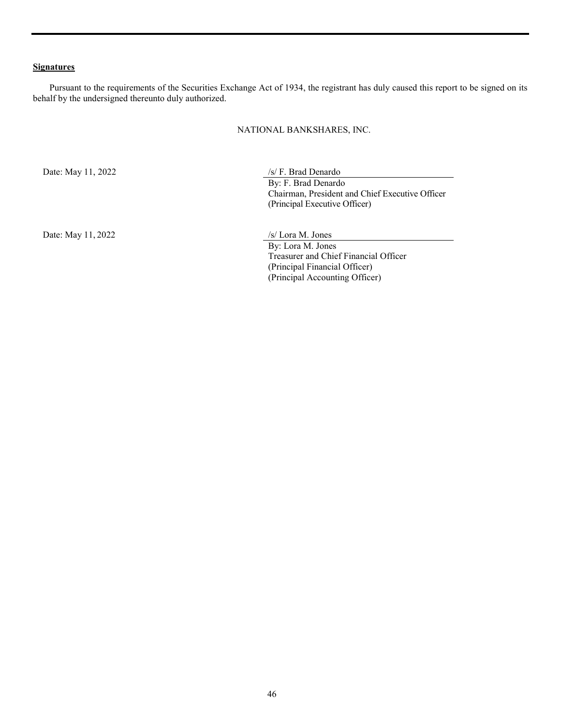#### **Signatures**

Pursuant to the requirements of the Securities Exchange Act of 1934, the registrant has duly caused this report to be signed on its behalf by the undersigned thereunto duly authorized.

# NATIONAL BANKSHARES, INC.

Date: May 11, 2022 /s/ F. Brad Denardo By: F. Brad Denardo Chairman, President and Chief Executive Officer (Principal Executive Officer)

Date: May 11, 2022 /s/ Lora M. Jones By: Lora M. Jones Treasurer and Chief Financial Officer (Principal Financial Officer) (Principal Accounting Officer)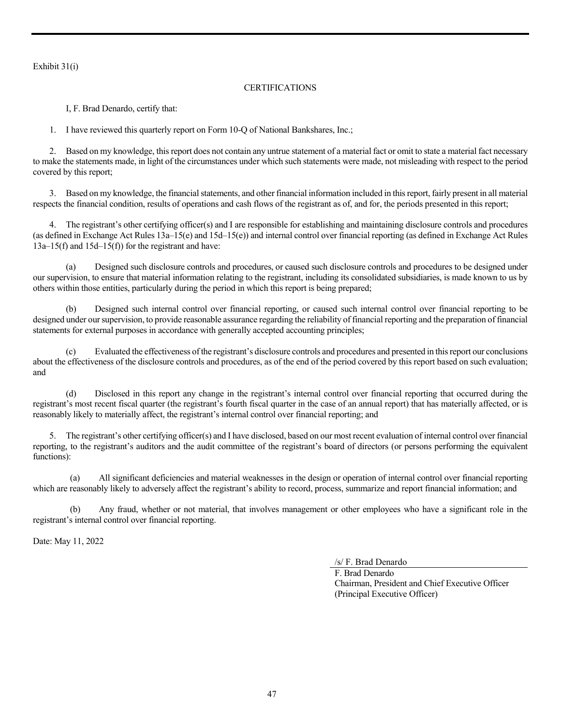<span id="page-46-0"></span>Exhibit 31(i)

## CERTIFICATIONS

I, F. Brad Denardo, certify that:

1. I have reviewed this quarterly report on Form 10-Q of National Bankshares, Inc.;

2. Based on my knowledge, this report does not contain any untrue statement of a material fact or omit to state a material fact necessary to make the statements made, in light of the circumstances under which such statements were made, not misleading with respect to the period covered by this report;

3. Based on my knowledge, the financial statements, and other financial information included in this report, fairly present in all material respects the financial condition, results of operations and cash flows of the registrant as of, and for, the periods presented in this report;

4. The registrant's other certifying officer(s) and I are responsible for establishing and maintaining disclosure controls and procedures (as defined in Exchange Act Rules 13a–15(e) and 15d–15(e)) and internal control over financial reporting (as defined in Exchange Act Rules  $13a-15(f)$  and  $15d-15(f)$  for the registrant and have:

(a) Designed such disclosure controls and procedures, or caused such disclosure controls and procedures to be designed under our supervision, to ensure that material information relating to the registrant, including its consolidated subsidiaries, is made known to us by others within those entities, particularly during the period in which this report is being prepared;

(b) Designed such internal control over financial reporting, or caused such internal control over financial reporting to be designed under our supervision, to provide reasonable assurance regarding the reliability of financial reporting and the preparation of financial statements for external purposes in accordance with generally accepted accounting principles;

(c) Evaluated the effectiveness of the registrant's disclosure controls and procedures and presented in this report our conclusions about the effectiveness of the disclosure controls and procedures, as of the end of the period covered by this report based on such evaluation; and

(d) Disclosed in this report any change in the registrant's internal control over financial reporting that occurred during the registrant's most recent fiscal quarter (the registrant's fourth fiscal quarter in the case of an annual report) that has materially affected, or is reasonably likely to materially affect, the registrant's internal control over financial reporting; and

5. The registrant's other certifying officer(s) and I have disclosed, based on our most recent evaluation of internal control over financial reporting, to the registrant's auditors and the audit committee of the registrant's board of directors (or persons performing the equivalent functions):

(a) All significant deficiencies and material weaknesses in the design or operation of internal control over financial reporting which are reasonably likely to adversely affect the registrant's ability to record, process, summarize and report financial information; and

(b) Any fraud, whether or not material, that involves management or other employees who have a significant role in the registrant's internal control over financial reporting.

Date: May 11, 2022

/s/ F. Brad Denardo

F. Brad Denardo Chairman, President and Chief Executive Officer (Principal Executive Officer)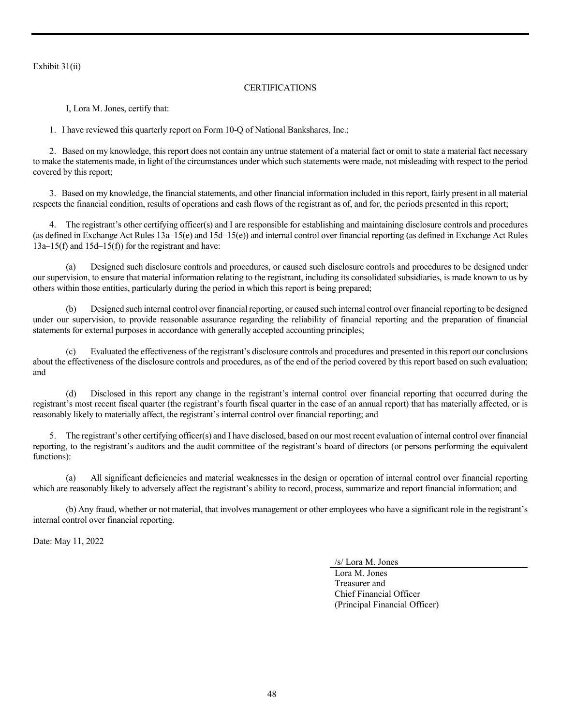Exhibit 31(ii)

## CERTIFICATIONS

I, Lora M. Jones, certify that:

1. I have reviewed this quarterly report on Form 10-Q of National Bankshares, Inc.;

2. Based on my knowledge, this report does not contain any untrue statement of a material fact or omit to state a material fact necessary to make the statements made, in light of the circumstances under which such statements were made, not misleading with respect to the period covered by this report;

3. Based on my knowledge, the financial statements, and other financial information included in this report, fairly present in all material respects the financial condition, results of operations and cash flows of the registrant as of, and for, the periods presented in this report;

4. The registrant's other certifying officer(s) and I are responsible for establishing and maintaining disclosure controls and procedures (as defined in Exchange Act Rules 13a–15(e) and 15d–15(e)) and internal control over financial reporting (as defined in Exchange Act Rules  $13a-15(f)$  and  $15d-15(f)$  for the registrant and have:

(a) Designed such disclosure controls and procedures, or caused such disclosure controls and procedures to be designed under our supervision, to ensure that material information relating to the registrant, including its consolidated subsidiaries, is made known to us by others within those entities, particularly during the period in which this report is being prepared;

(b) Designed such internal control over financial reporting, or caused such internal control over financial reporting to be designed under our supervision, to provide reasonable assurance regarding the reliability of financial reporting and the preparation of financial statements for external purposes in accordance with generally accepted accounting principles;

(c) Evaluated the effectiveness of the registrant's disclosure controls and procedures and presented in this report our conclusions about the effectiveness of the disclosure controls and procedures, as of the end of the period covered by this report based on such evaluation; and

(d) Disclosed in this report any change in the registrant's internal control over financial reporting that occurred during the registrant's most recent fiscal quarter (the registrant's fourth fiscal quarter in the case of an annual report) that has materially affected, or is reasonably likely to materially affect, the registrant's internal control over financial reporting; and

5. The registrant's other certifying officer(s) and I have disclosed, based on our most recent evaluation of internal control over financial reporting, to the registrant's auditors and the audit committee of the registrant's board of directors (or persons performing the equivalent functions):

(a) All significant deficiencies and material weaknesses in the design or operation of internal control over financial reporting which are reasonably likely to adversely affect the registrant's ability to record, process, summarize and report financial information; and

(b) Any fraud, whether or not material, that involves management or other employees who have a significant role in the registrant's internal control over financial reporting.

Date: May 11, 2022

/s/ Lora M. Jones

Lora M. Jones Treasurer and Chief Financial Officer (Principal Financial Officer)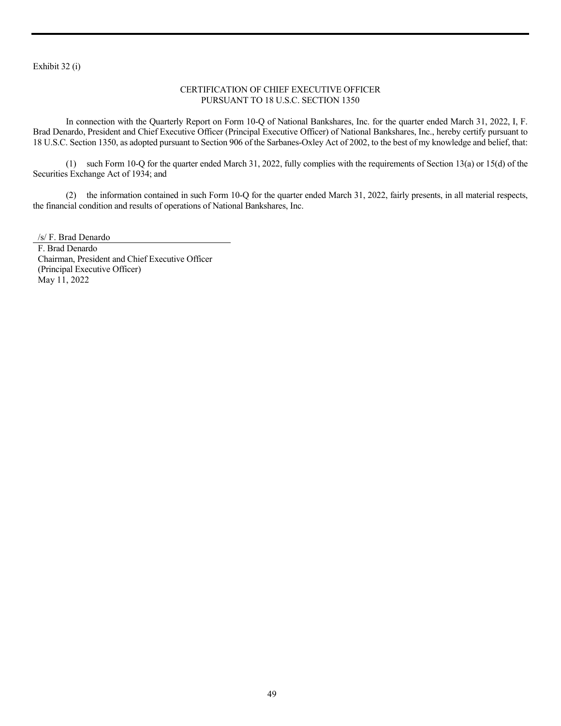Exhibit 32 (i)

## CERTIFICATION OF CHIEF EXECUTIVE OFFICER PURSUANT TO 18 U.S.C. SECTION 1350

In connection with the Quarterly Report on Form 10-Q of National Bankshares, Inc. for the quarter ended March 31, 2022, I, F. Brad Denardo, President and Chief Executive Officer (Principal Executive Officer) of National Bankshares, Inc., hereby certify pursuant to 18 U.S.C. Section 1350, as adopted pursuant to Section 906 of the Sarbanes-Oxley Act of 2002, to the best of my knowledge and belief, that:

(1) such Form 10-Q for the quarter ended March 31, 2022, fully complies with the requirements of Section 13(a) or 15(d) of the Securities Exchange Act of 1934; and

(2) the information contained in such Form 10-Q for the quarter ended March 31, 2022, fairly presents, in all material respects, the financial condition and results of operations of National Bankshares, Inc.

/s/ F. Brad Denardo

F. Brad Denardo Chairman, President and Chief Executive Officer (Principal Executive Officer) May 11, 2022